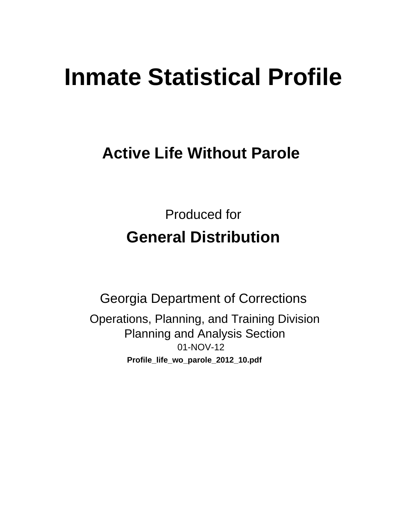# **Inmate Statistical Profile**

# **Active Life Without Parole**

**Produced for General Distribution** 

**Georgia Department of Corrections** Operations, Planning, and Training Division **Planning and Analysis Section** 01-NOV-12 Profile\_life\_wo\_parole\_2012\_10.pdf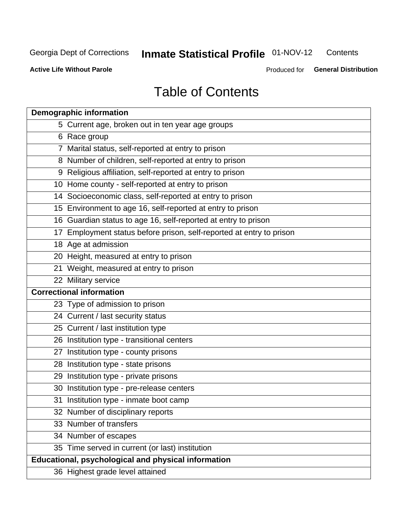#### Inmate Statistical Profile 01-NOV-12 Contents

**Active Life Without Parole** 

Produced for General Distribution

# **Table of Contents**

| <b>Demographic information</b>                                       |
|----------------------------------------------------------------------|
| 5 Current age, broken out in ten year age groups                     |
| 6 Race group                                                         |
| 7 Marital status, self-reported at entry to prison                   |
| 8 Number of children, self-reported at entry to prison               |
| 9 Religious affiliation, self-reported at entry to prison            |
| 10 Home county - self-reported at entry to prison                    |
| 14 Socioeconomic class, self-reported at entry to prison             |
| 15 Environment to age 16, self-reported at entry to prison           |
| 16 Guardian status to age 16, self-reported at entry to prison       |
| 17 Employment status before prison, self-reported at entry to prison |
| 18 Age at admission                                                  |
| 20 Height, measured at entry to prison                               |
| 21 Weight, measured at entry to prison                               |
| 22 Military service                                                  |
| <b>Correctional information</b>                                      |
| 23 Type of admission to prison                                       |
| 24 Current / last security status                                    |
| 25 Current / last institution type                                   |
| 26 Institution type - transitional centers                           |
| 27 Institution type - county prisons                                 |
| 28 Institution type - state prisons                                  |
| 29 Institution type - private prisons                                |
| 30 Institution type - pre-release centers                            |
| 31 Institution type - inmate boot camp                               |
| 32 Number of disciplinary reports                                    |
| 33 Number of transfers                                               |
| 34 Number of escapes                                                 |
| 35 Time served in current (or last) institution                      |
| <b>Educational, psychological and physical information</b>           |
| 36 Highest grade level attained                                      |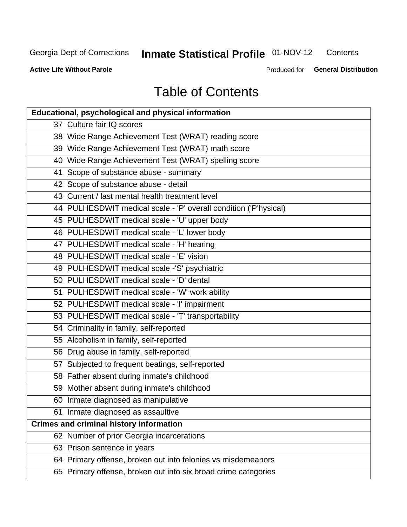#### **Inmate Statistical Profile 01-NOV-12** Contents

**Active Life Without Parole** 

Produced for General Distribution

# **Table of Contents**

| <b>Educational, psychological and physical information</b>       |
|------------------------------------------------------------------|
| 37 Culture fair IQ scores                                        |
| 38 Wide Range Achievement Test (WRAT) reading score              |
| 39 Wide Range Achievement Test (WRAT) math score                 |
| 40 Wide Range Achievement Test (WRAT) spelling score             |
| 41 Scope of substance abuse - summary                            |
| 42 Scope of substance abuse - detail                             |
| 43 Current / last mental health treatment level                  |
| 44 PULHESDWIT medical scale - 'P' overall condition ('P'hysical) |
| 45 PULHESDWIT medical scale - 'U' upper body                     |
| 46 PULHESDWIT medical scale - 'L' lower body                     |
| 47 PULHESDWIT medical scale - 'H' hearing                        |
| 48 PULHESDWIT medical scale - 'E' vision                         |
| 49 PULHESDWIT medical scale -'S' psychiatric                     |
| 50 PULHESDWIT medical scale - 'D' dental                         |
| 51 PULHESDWIT medical scale - 'W' work ability                   |
| 52 PULHESDWIT medical scale - 'I' impairment                     |
| 53 PULHESDWIT medical scale - 'T' transportability               |
| 54 Criminality in family, self-reported                          |
| 55 Alcoholism in family, self-reported                           |
| 56 Drug abuse in family, self-reported                           |
| 57 Subjected to frequent beatings, self-reported                 |
| 58 Father absent during inmate's childhood                       |
| 59 Mother absent during inmate's childhood                       |
| 60 Inmate diagnosed as manipulative                              |
| 61 Inmate diagnosed as assaultive                                |
| <b>Crimes and criminal history information</b>                   |
| 62 Number of prior Georgia incarcerations                        |
| 63 Prison sentence in years                                      |
| 64 Primary offense, broken out into felonies vs misdemeanors     |
| 65 Primary offense, broken out into six broad crime categories   |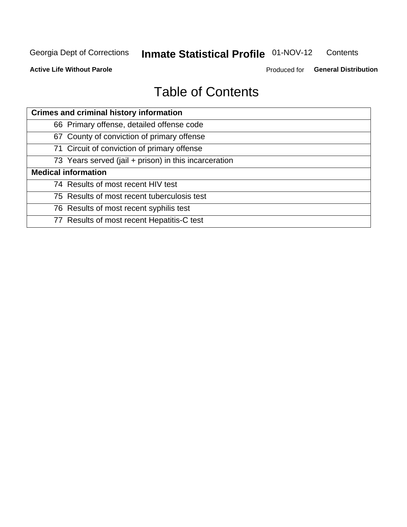#### Inmate Statistical Profile 01-NOV-12 Contents

**Active Life Without Parole** 

Produced for General Distribution

# **Table of Contents**

| <b>Crimes and criminal history information</b>        |
|-------------------------------------------------------|
| 66 Primary offense, detailed offense code             |
| 67 County of conviction of primary offense            |
| 71 Circuit of conviction of primary offense           |
| 73 Years served (jail + prison) in this incarceration |
| <b>Medical information</b>                            |
| 74 Results of most recent HIV test                    |
| 75 Results of most recent tuberculosis test           |
| 76 Results of most recent syphilis test               |
| 77 Results of most recent Hepatitis-C test            |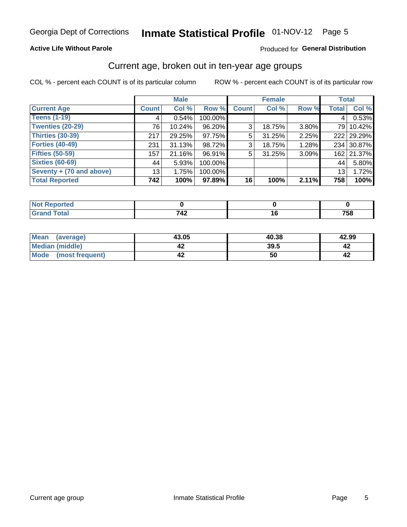# Inmate Statistical Profile 01-NOV-12 Page 5

#### **Active Life Without Parole**

#### Produced for General Distribution

### Current age, broken out in ten-year age groups

COL % - percent each COUNT is of its particular column

|                          |                 | <b>Male</b> |         |                | <b>Female</b> |          |              | <b>Total</b> |
|--------------------------|-----------------|-------------|---------|----------------|---------------|----------|--------------|--------------|
| <b>Current Age</b>       | <b>Count</b>    | Col %       | Row %   | <b>Count</b>   | Col %         | Row %    | <b>Total</b> | Col %        |
| <b>Teens (1-19)</b>      | 4               | 0.54%       | 100.00% |                |               |          | 4            | 0.53%        |
| <b>Twenties (20-29)</b>  | 76              | 10.24%      | 96.20%  | 3 <sup>1</sup> | 18.75%        | $3.80\%$ |              | 79 10.42%    |
| <b>Thirties (30-39)</b>  | 217             | 29.25%      | 97.75%  | 5              | 31.25%        | 2.25%    |              | 222 29.29%   |
| <b>Forties (40-49)</b>   | 231             | 31.13%      | 98.72%  | 3 <sup>1</sup> | 18.75%        | 1.28%    |              | 234 30.87%   |
| <b>Fifties (50-59)</b>   | 157             | 21.16%      | 96.91%  | 5              | 31.25%        | 3.09%    |              | 162 21.37%   |
| <b>Sixties (60-69)</b>   | 44              | 5.93%       | 100.00% |                |               |          | 44           | 5.80%        |
| Seventy + (70 and above) | 13 <sub>1</sub> | 1.75%       | 100.00% |                |               |          | 13           | 1.72%        |
| <b>Total Reported</b>    | 742             | 100%        | 97.89%  | 16             | 100%          | 2.11%    | 758          | 100%         |

| ______ | 710<br>$\mathbf{r}$ | $\sim$ | ---<br>эо<br>. |
|--------|---------------------|--------|----------------|

| <b>Mean</b><br>(average) | 43.05 | 40.38 | 42.99 |
|--------------------------|-------|-------|-------|
| Median (middle)          |       | 39.5  |       |
| Mode<br>(most frequent)  | 4∡    | 50    |       |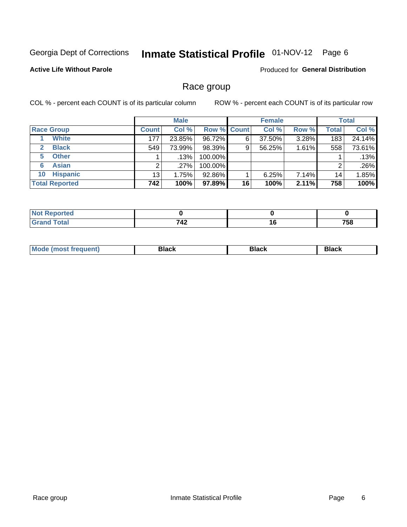#### Inmate Statistical Profile 01-NOV-12 Page 6

#### **Active Life Without Parole**

Produced for General Distribution

### Race group

COL % - percent each COUNT is of its particular column

|                              |              | <b>Male</b> |                    |    | <b>Female</b> |       |       | <b>Total</b> |
|------------------------------|--------------|-------------|--------------------|----|---------------|-------|-------|--------------|
| <b>Race Group</b>            | <b>Count</b> | Col %       | <b>Row % Count</b> |    | Col %         | Row % | Total | Col %        |
| <b>White</b>                 | 177          | 23.85%      | 96.72%             | 6  | 37.50%        | 3.28% | 183   | 24.14%       |
| <b>Black</b><br>$\mathbf{2}$ | 549          | 73.99%      | 98.39%             | 9  | 56.25%        | 1.61% | 558   | 73.61%       |
| <b>Other</b><br>5.           |              | $.13\%$     | 100.00%            |    |               |       |       | .13%         |
| <b>Asian</b><br>6            |              | $.27\%$     | 100.00%            |    |               |       | 2     | .26%         |
| <b>Hispanic</b><br>10        | 13           | 1.75%       | 92.86%             |    | 6.25%         | 7.14% | 14    | 1.85%        |
| <b>Total Reported</b>        | 742          | 100%        | 97.89%             | 16 | 100%          | 2.11% | 758   | 100%         |

| المفمئ<br>$\sim$ $\sim$ $\sim$ $\sim$ $\sim$ | 749<br><u> 174 </u> | $\overline{\phantom{a}}$ | 758 |
|----------------------------------------------|---------------------|--------------------------|-----|

| M | --- | $-1$ |
|---|-----|------|
|   |     |      |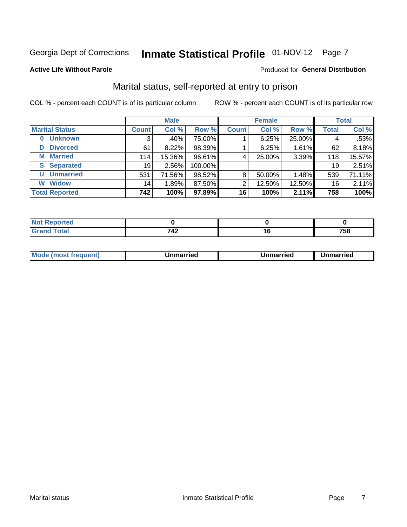# Inmate Statistical Profile 01-NOV-12 Page 7

#### **Active Life Without Parole**

#### Produced for General Distribution

### Marital status, self-reported at entry to prison

COL % - percent each COUNT is of its particular column

|                            |                 | <b>Male</b> |         |                 | <b>Female</b> |        |                 | <b>Total</b> |
|----------------------------|-----------------|-------------|---------|-----------------|---------------|--------|-----------------|--------------|
| <b>Marital Status</b>      | <b>Count</b>    | Col %       | Row %   | <b>Count</b>    | Col %         | Row %  | <b>Total</b>    | Col %        |
| <b>Unknown</b><br>$\bf{0}$ | 3               | .40%        | 75.00%  |                 | 6.25%         | 25.00% | 4               | .53%         |
| <b>Divorced</b><br>D       | 61              | 8.22%       | 98.39%  |                 | 6.25%         | 1.61%  | 62              | 8.18%        |
| <b>Married</b><br>М        | 114             | 15.36%      | 96.61%  | 4               | 25.00%        | 3.39%  | 118             | 15.57%       |
| <b>Separated</b><br>S.     | 19              | $2.56\%$    | 100.00% |                 |               |        | 19              | 2.51%        |
| <b>Unmarried</b><br>U      | 531             | 71.56%      | 98.52%  | 8               | 50.00%        | 1.48%  | 539             | 71.11%       |
| <b>Widow</b><br>W          | 14 <sub>1</sub> | 1.89%       | 87.50%  | 2               | 12.50%        | 12.50% | 16 <sub>1</sub> | 2.11%        |
| <b>Total Reported</b>      | 742             | 100%        | 97.89%  | 16 <sup>1</sup> | 100%          | 2.11%  | 758             | 100%         |

| m.<br><b>Tea</b> |            |    |          |
|------------------|------------|----|----------|
|                  | 740<br>- 4 | 10 | 750<br>ю |

|--|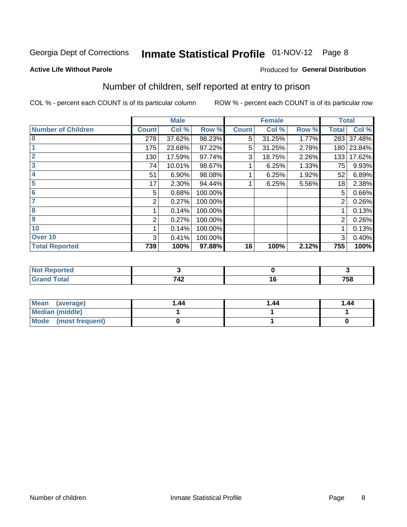# Inmate Statistical Profile 01-NOV-12 Page 8

#### **Active Life Without Parole**

#### Produced for General Distribution

### Number of children, self reported at entry to prison

COL % - percent each COUNT is of its particular column

|                           |              | <b>Male</b> |         |              | <b>Female</b> |       |                | <b>Total</b> |
|---------------------------|--------------|-------------|---------|--------------|---------------|-------|----------------|--------------|
| <b>Number of Children</b> | <b>Count</b> | Col %       | Row %   | <b>Count</b> | Col %         | Row % | <b>Total</b>   | Col %        |
| $\bf{0}$                  | 278          | 37.62%      | 98.23%  | 5            | 31.25%        | 1.77% | 283            | 37.48%       |
|                           | 175          | 23.68%      | 97.22%  | 5            | 31.25%        | 2.78% |                | 180 23.84%   |
| $\overline{2}$            | 130          | 17.59%      | 97.74%  | 3            | 18.75%        | 2.26% | 133            | 17.62%       |
| 3                         | 74           | 10.01%      | 98.67%  |              | 6.25%         | 1.33% | 75             | 9.93%        |
| 4                         | 51           | 6.90%       | 98.08%  |              | 6.25%         | 1.92% | 52             | 6.89%        |
| 5                         | 17           | 2.30%       | 94.44%  |              | 6.25%         | 5.56% | 18             | 2.38%        |
| 6                         | 5            | 0.68%       | 100.00% |              |               |       | 5              | 0.66%        |
|                           | 2            | 0.27%       | 100.00% |              |               |       | 2              | 0.26%        |
| 8                         |              | 0.14%       | 100.00% |              |               |       |                | 0.13%        |
| $\boldsymbol{9}$          | 2            | 0.27%       | 100.00% |              |               |       | $\overline{2}$ | 0.26%        |
| 10                        |              | 0.14%       | 100.00% |              |               |       |                | 0.13%        |
| Over 10                   | 3            | 0.41%       | 100.00% |              |               |       | 3              | 0.40%        |
| <b>Total Reported</b>     | 739          | 100%        | 97.88%  | 16           | 100%          | 2.12% | 755            | 100%         |

| rrea<br>.<br>$\sim$ |       |         |
|---------------------|-------|---------|
| νιαι                | - - - | $- - -$ |
| $\sim$ .            | 742   | סט ו    |

| Mean<br>(average)       | 1.44 | 1.44 | 1.44 |
|-------------------------|------|------|------|
| Median (middle)         |      |      |      |
| Mode<br>(most frequent) |      |      |      |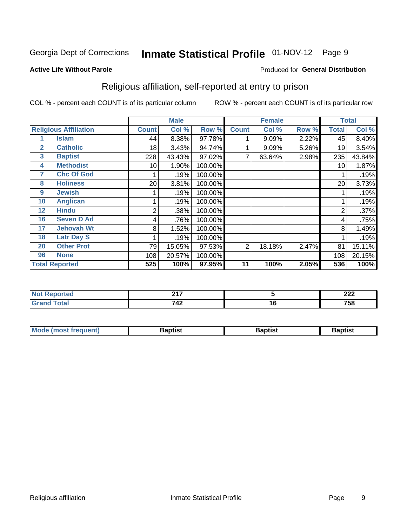# Inmate Statistical Profile 01-NOV-12 Page 9

#### **Active Life Without Parole**

#### Produced for General Distribution

### Religious affiliation, self-reported at entry to prison

COL % - percent each COUNT is of its particular column

|              |                              |              | <b>Male</b> |         |              | <b>Female</b> |       | <b>Total</b>   |        |
|--------------|------------------------------|--------------|-------------|---------|--------------|---------------|-------|----------------|--------|
|              | <b>Religious Affiliation</b> | <b>Count</b> | Col %       | Row %   | <b>Count</b> | Col %         | Row % | <b>Total</b>   | Col %  |
|              | <b>Islam</b>                 | 44           | 8.38%       | 97.78%  |              | 9.09%         | 2.22% | 45             | 8.40%  |
| $\mathbf{2}$ | <b>Catholic</b>              | 18           | 3.43%       | 94.74%  |              | 9.09%         | 5.26% | 19             | 3.54%  |
| 3            | <b>Baptist</b>               | 228          | 43.43%      | 97.02%  |              | 63.64%        | 2.98% | 235            | 43.84% |
| 4            | <b>Methodist</b>             | 10           | 1.90%       | 100.00% |              |               |       | 10             | 1.87%  |
| 7            | <b>Chc Of God</b>            |              | .19%        | 100.00% |              |               |       |                | .19%   |
| 8            | <b>Holiness</b>              | 20           | 3.81%       | 100.00% |              |               |       | 20             | 3.73%  |
| 9            | <b>Jewish</b>                |              | .19%        | 100.00% |              |               |       |                | .19%   |
| 10           | <b>Anglican</b>              |              | .19%        | 100.00% |              |               |       |                | .19%   |
| 12           | <b>Hindu</b>                 | 2            | .38%        | 100.00% |              |               |       | $\overline{2}$ | .37%   |
| 16           | <b>Seven D Ad</b>            | 4            | .76%        | 100.00% |              |               |       | 4              | .75%   |
| 17           | <b>Jehovah Wt</b>            | 8            | 1.52%       | 100.00% |              |               |       | 8              | 1.49%  |
| 18           | <b>Latr Day S</b>            |              | .19%        | 100.00% |              |               |       |                | .19%   |
| 20           | <b>Other Prot</b>            | 79           | 15.05%      | 97.53%  | 2            | 18.18%        | 2.47% | 81             | 15.11% |
| 96           | <b>None</b>                  | 108          | 20.57%      | 100.00% |              |               |       | 108            | 20.15% |
|              | <b>Total Reported</b>        | 525          | 100%        | 97.95%  | 11           | 100%          | 2.05% | 536            | 100%   |

| rtea<br> | 247          |               | ົດດດ<br>LLL |
|----------|--------------|---------------|-------------|
| ______   | 710<br>1 T 4 | י י<br>$\sim$ | 758         |

| <b>Mode (most frequent)</b> | եaptist | 3aptisเ | aptist |
|-----------------------------|---------|---------|--------|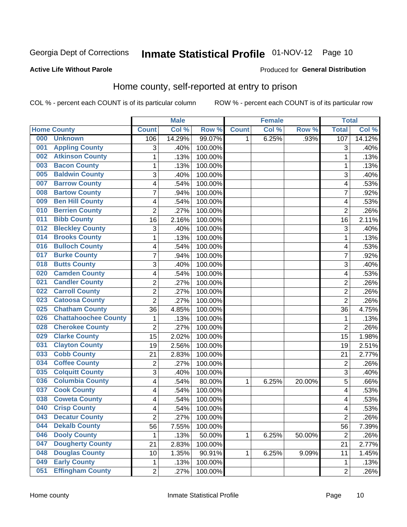# Inmate Statistical Profile 01-NOV-12 Page 10

#### **Active Life Without Parole**

#### Produced for General Distribution

### Home county, self-reported at entry to prison

COL % - percent each COUNT is of its particular column

|     |                             |                | <b>Male</b> |         |              | <b>Female</b> |        | <b>Total</b>            |        |
|-----|-----------------------------|----------------|-------------|---------|--------------|---------------|--------|-------------------------|--------|
|     | <b>Home County</b>          | <b>Count</b>   | Col %       | Row %   | <b>Count</b> | Col %         | Row %  | <b>Total</b>            | Col %  |
| 000 | <b>Unknown</b>              | 106            | 14.29%      | 99.07%  | 1            | 6.25%         | .93%   | 107                     | 14.12% |
| 001 | <b>Appling County</b>       | 3              | .40%        | 100.00% |              |               |        | 3                       | .40%   |
| 002 | <b>Atkinson County</b>      | $\mathbf 1$    | .13%        | 100.00% |              |               |        | 1                       | .13%   |
| 003 | <b>Bacon County</b>         | $\mathbf 1$    | .13%        | 100.00% |              |               |        | 1                       | .13%   |
| 005 | <b>Baldwin County</b>       | 3              | .40%        | 100.00% |              |               |        | 3                       | .40%   |
| 007 | <b>Barrow County</b>        | 4              | .54%        | 100.00% |              |               |        | $\overline{\mathbf{4}}$ | .53%   |
| 008 | <b>Bartow County</b>        | $\overline{7}$ | .94%        | 100.00% |              |               |        | 7                       | .92%   |
| 009 | <b>Ben Hill County</b>      | 4              | .54%        | 100.00% |              |               |        | 4                       | .53%   |
| 010 | <b>Berrien County</b>       | $\overline{2}$ | .27%        | 100.00% |              |               |        | $\overline{2}$          | .26%   |
| 011 | <b>Bibb County</b>          | 16             | 2.16%       | 100.00% |              |               |        | 16                      | 2.11%  |
| 012 | <b>Bleckley County</b>      | 3              | .40%        | 100.00% |              |               |        | 3                       | .40%   |
| 014 | <b>Brooks County</b>        | $\mathbf 1$    | .13%        | 100.00% |              |               |        | 1                       | .13%   |
| 016 | <b>Bulloch County</b>       | 4              | .54%        | 100.00% |              |               |        | 4                       | .53%   |
| 017 | <b>Burke County</b>         | $\overline{7}$ | .94%        | 100.00% |              |               |        | 7                       | .92%   |
| 018 | <b>Butts County</b>         | 3              | .40%        | 100.00% |              |               |        | 3                       | .40%   |
| 020 | <b>Camden County</b>        | 4              | .54%        | 100.00% |              |               |        | 4                       | .53%   |
| 021 | <b>Candler County</b>       | $\overline{2}$ | .27%        | 100.00% |              |               |        | $\overline{2}$          | .26%   |
| 022 | <b>Carroll County</b>       | $\overline{c}$ | .27%        | 100.00% |              |               |        | $\overline{2}$          | .26%   |
| 023 | <b>Catoosa County</b>       | $\overline{2}$ | .27%        | 100.00% |              |               |        | $\overline{2}$          | .26%   |
| 025 | <b>Chatham County</b>       | 36             | 4.85%       | 100.00% |              |               |        | 36                      | 4.75%  |
| 026 | <b>Chattahoochee County</b> | $\mathbf 1$    | .13%        | 100.00% |              |               |        | $\mathbf 1$             | .13%   |
| 028 | <b>Cherokee County</b>      | $\overline{2}$ | .27%        | 100.00% |              |               |        | $\overline{2}$          | .26%   |
| 029 | <b>Clarke County</b>        | 15             | 2.02%       | 100.00% |              |               |        | 15                      | 1.98%  |
| 031 | <b>Clayton County</b>       | 19             | 2.56%       | 100.00% |              |               |        | 19                      | 2.51%  |
| 033 | <b>Cobb County</b>          | 21             | 2.83%       | 100.00% |              |               |        | 21                      | 2.77%  |
| 034 | <b>Coffee County</b>        | $\overline{c}$ | .27%        | 100.00% |              |               |        | $\overline{2}$          | .26%   |
| 035 | <b>Colquitt County</b>      | 3              | .40%        | 100.00% |              |               |        | 3                       | .40%   |
| 036 | <b>Columbia County</b>      | 4              | .54%        | 80.00%  | 1            | 6.25%         | 20.00% | 5                       | .66%   |
| 037 | <b>Cook County</b>          | 4              | .54%        | 100.00% |              |               |        | 4                       | .53%   |
| 038 | <b>Coweta County</b>        | 4              | .54%        | 100.00% |              |               |        | $\overline{\mathbf{4}}$ | .53%   |
| 040 | <b>Crisp County</b>         | 4              | .54%        | 100.00% |              |               |        | 4                       | .53%   |
| 043 | <b>Decatur County</b>       | 2              | .27%        | 100.00% |              |               |        | $\overline{c}$          | .26%   |
| 044 | <b>Dekalb County</b>        | 56             | 7.55%       | 100.00% |              |               |        | 56                      | 7.39%  |
| 046 | <b>Dooly County</b>         | 1              | .13%        | 50.00%  | 1            | 6.25%         | 50.00% | $\overline{2}$          | .26%   |
| 047 | <b>Dougherty County</b>     | 21             | 2.83%       | 100.00% |              |               |        | 21                      | 2.77%  |
| 048 | <b>Douglas County</b>       | 10             | 1.35%       | 90.91%  | 1            | 6.25%         | 9.09%  | 11                      | 1.45%  |
| 049 | <b>Early County</b>         | $\mathbf{1}$   | .13%        | 100.00% |              |               |        | $\mathbf{1}$            | .13%   |
| 051 | <b>Effingham County</b>     | $\overline{2}$ | .27%        | 100.00% |              |               |        | $\overline{2}$          | .26%   |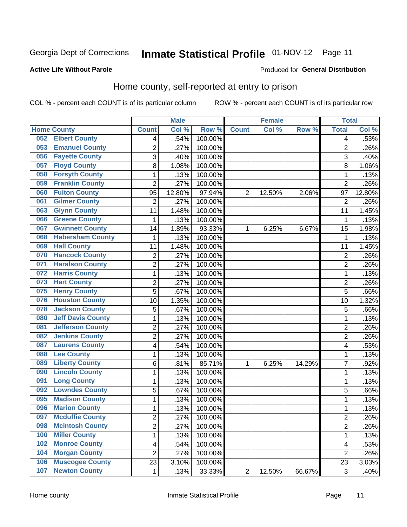#### Inmate Statistical Profile 01-NOV-12 Page 11

#### **Active Life Without Parole**

#### Produced for General Distribution

### Home county, self-reported at entry to prison

COL % - percent each COUNT is of its particular column

|     |                          |                         | <b>Male</b> |         |                | <b>Female</b> |        | <b>Total</b>   |        |
|-----|--------------------------|-------------------------|-------------|---------|----------------|---------------|--------|----------------|--------|
|     | <b>Home County</b>       | <b>Count</b>            | Col %       | Row %   | <b>Count</b>   | Col%          | Row %  | <b>Total</b>   | Col %  |
| 052 | <b>Elbert County</b>     | 4                       | .54%        | 100.00% |                |               |        | 4              | .53%   |
| 053 | <b>Emanuel County</b>    | $\overline{2}$          | .27%        | 100.00% |                |               |        | $\overline{2}$ | .26%   |
| 056 | <b>Fayette County</b>    | 3                       | .40%        | 100.00% |                |               |        | 3              | .40%   |
| 057 | <b>Floyd County</b>      | 8                       | 1.08%       | 100.00% |                |               |        | 8              | 1.06%  |
| 058 | <b>Forsyth County</b>    | $\mathbf{1}$            | .13%        | 100.00% |                |               |        | 1              | .13%   |
| 059 | <b>Franklin County</b>   | $\overline{2}$          | .27%        | 100.00% |                |               |        | $\overline{2}$ | .26%   |
| 060 | <b>Fulton County</b>     | 95                      | 12.80%      | 97.94%  | 2              | 12.50%        | 2.06%  | 97             | 12.80% |
| 061 | <b>Gilmer County</b>     | $\overline{2}$          | .27%        | 100.00% |                |               |        | $\overline{2}$ | .26%   |
| 063 | <b>Glynn County</b>      | 11                      | 1.48%       | 100.00% |                |               |        | 11             | 1.45%  |
| 066 | <b>Greene County</b>     | $\mathbf{1}$            | .13%        | 100.00% |                |               |        | 1              | .13%   |
| 067 | <b>Gwinnett County</b>   | 14                      | 1.89%       | 93.33%  | 1              | 6.25%         | 6.67%  | 15             | 1.98%  |
| 068 | <b>Habersham County</b>  | $\mathbf{1}$            | .13%        | 100.00% |                |               |        | 1              | .13%   |
| 069 | <b>Hall County</b>       | 11                      | 1.48%       | 100.00% |                |               |        | 11             | 1.45%  |
| 070 | <b>Hancock County</b>    | $\overline{2}$          | .27%        | 100.00% |                |               |        | $\overline{2}$ | .26%   |
| 071 | <b>Haralson County</b>   | $\overline{2}$          | .27%        | 100.00% |                |               |        | $\overline{2}$ | .26%   |
| 072 | <b>Harris County</b>     | $\mathbf{1}$            | .13%        | 100.00% |                |               |        | 1              | .13%   |
| 073 | <b>Hart County</b>       | $\overline{2}$          | .27%        | 100.00% |                |               |        | 2              | .26%   |
| 075 | <b>Henry County</b>      | 5                       | .67%        | 100.00% |                |               |        | 5              | .66%   |
| 076 | <b>Houston County</b>    | 10                      | 1.35%       | 100.00% |                |               |        | 10             | 1.32%  |
| 078 | <b>Jackson County</b>    | $\mathbf 5$             | .67%        | 100.00% |                |               |        | 5              | .66%   |
| 080 | <b>Jeff Davis County</b> | $\mathbf{1}$            | .13%        | 100.00% |                |               |        | 1              | .13%   |
| 081 | <b>Jefferson County</b>  | $\overline{2}$          | .27%        | 100.00% |                |               |        | $\overline{2}$ | .26%   |
| 082 | <b>Jenkins County</b>    | $\overline{2}$          | .27%        | 100.00% |                |               |        | $\overline{2}$ | .26%   |
| 087 | <b>Laurens County</b>    | $\overline{\mathbf{4}}$ | .54%        | 100.00% |                |               |        | 4              | .53%   |
| 088 | <b>Lee County</b>        | $\mathbf{1}$            | .13%        | 100.00% |                |               |        | 1              | .13%   |
| 089 | <b>Liberty County</b>    | 6                       | .81%        | 85.71%  | 1              | 6.25%         | 14.29% | 7              | .92%   |
| 090 | <b>Lincoln County</b>    | $\mathbf 1$             | .13%        | 100.00% |                |               |        | 1              | .13%   |
| 091 | <b>Long County</b>       | $\mathbf{1}$            | .13%        | 100.00% |                |               |        | 1              | .13%   |
| 092 | <b>Lowndes County</b>    | 5                       | .67%        | 100.00% |                |               |        | 5              | .66%   |
| 095 | <b>Madison County</b>    | $\mathbf{1}$            | .13%        | 100.00% |                |               |        | 1              | .13%   |
| 096 | <b>Marion County</b>     | $\mathbf{1}$            | .13%        | 100.00% |                |               |        | 1              | .13%   |
| 097 | <b>Mcduffie County</b>   | 2                       | .27%        | 100.00% |                |               |        | 2              | .26%   |
| 098 | <b>Mcintosh County</b>   | $\overline{2}$          | .27%        | 100.00% |                |               |        | $\overline{2}$ | .26%   |
| 100 | <b>Miller County</b>     | $\mathbf 1$             | .13%        | 100.00% |                |               |        | $\mathbf{1}$   | .13%   |
| 102 | <b>Monroe County</b>     | $\overline{\mathbf{4}}$ | .54%        | 100.00% |                |               |        | 4              | .53%   |
| 104 | <b>Morgan County</b>     | $\overline{2}$          | .27%        | 100.00% |                |               |        | $\overline{2}$ | .26%   |
| 106 | <b>Muscogee County</b>   | 23                      | 3.10%       | 100.00% |                |               |        | 23             | 3.03%  |
| 107 | <b>Newton County</b>     | 1                       | .13%        | 33.33%  | $\overline{2}$ | 12.50%        | 66.67% | 3              | .40%   |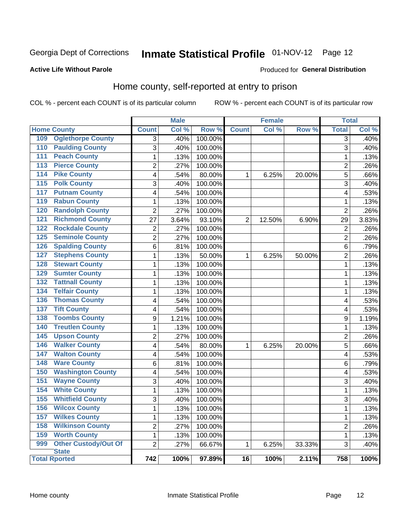# Inmate Statistical Profile 01-NOV-12 Page 12

#### **Active Life Without Parole**

#### Produced for General Distribution

### Home county, self-reported at entry to prison

COL % - percent each COUNT is of its particular column

|                      |                             |                | <b>Male</b> |         |                 | <b>Female</b> |        | <b>Total</b>   |       |
|----------------------|-----------------------------|----------------|-------------|---------|-----------------|---------------|--------|----------------|-------|
| <b>Home County</b>   |                             | <b>Count</b>   | Col %       | Row %   | <b>Count</b>    | Col %         | Row %  | <b>Total</b>   | Col % |
| 109                  | <b>Oglethorpe County</b>    | 3              | .40%        | 100.00% |                 |               |        | $\overline{3}$ | .40%  |
| 110                  | <b>Paulding County</b>      | $\overline{3}$ | .40%        | 100.00% |                 |               |        | 3              | .40%  |
| $\overline{111}$     | <b>Peach County</b>         | $\mathbf 1$    | .13%        | 100.00% |                 |               |        | 1              | .13%  |
| 113                  | <b>Pierce County</b>        | $\overline{2}$ | .27%        | 100.00% |                 |               |        | $\overline{2}$ | .26%  |
| 114                  | <b>Pike County</b>          | 4              | .54%        | 80.00%  | $\mathbf{1}$    | 6.25%         | 20.00% | 5              | .66%  |
| 115                  | <b>Polk County</b>          | 3              | .40%        | 100.00% |                 |               |        | 3              | .40%  |
| 117                  | <b>Putnam County</b>        | 4              | .54%        | 100.00% |                 |               |        | 4              | .53%  |
| 119                  | <b>Rabun County</b>         | 1              | .13%        | 100.00% |                 |               |        | 1              | .13%  |
| 120                  | <b>Randolph County</b>      | $\overline{2}$ | .27%        | 100.00% |                 |               |        | $\overline{2}$ | .26%  |
| 121                  | <b>Richmond County</b>      | 27             | 3.64%       | 93.10%  | $\overline{2}$  | 12.50%        | 6.90%  | 29             | 3.83% |
| 122                  | <b>Rockdale County</b>      | $\overline{2}$ | .27%        | 100.00% |                 |               |        | $\overline{2}$ | .26%  |
| 125                  | <b>Seminole County</b>      | $\overline{2}$ | .27%        | 100.00% |                 |               |        | $\overline{2}$ | .26%  |
| 126                  | <b>Spalding County</b>      | 6              | .81%        | 100.00% |                 |               |        | 6              | .79%  |
| 127                  | <b>Stephens County</b>      | $\mathbf{1}$   | .13%        | 50.00%  | 1               | 6.25%         | 50.00% | $\overline{c}$ | .26%  |
| 128                  | <b>Stewart County</b>       | $\mathbf{1}$   | .13%        | 100.00% |                 |               |        | 1              | .13%  |
| 129                  | <b>Sumter County</b>        | $\mathbf{1}$   | .13%        | 100.00% |                 |               |        | 1              | .13%  |
| 132                  | <b>Tattnall County</b>      | $\mathbf{1}$   | .13%        | 100.00% |                 |               |        | $\mathbf 1$    | .13%  |
| 134                  | <b>Telfair County</b>       | $\mathbf 1$    | .13%        | 100.00% |                 |               |        | 1              | .13%  |
| 136                  | <b>Thomas County</b>        | 4              | .54%        | 100.00% |                 |               |        | 4              | .53%  |
| 137                  | <b>Tift County</b>          | 4              | .54%        | 100.00% |                 |               |        | 4              | .53%  |
| 138                  | <b>Toombs County</b>        | 9              | 1.21%       | 100.00% |                 |               |        | 9              | 1.19% |
| 140                  | <b>Treutlen County</b>      | $\mathbf{1}$   | .13%        | 100.00% |                 |               |        | 1              | .13%  |
| $\overline{145}$     | <b>Upson County</b>         | $\overline{2}$ | .27%        | 100.00% |                 |               |        | $\overline{2}$ | .26%  |
| 146                  | <b>Walker County</b>        | 4              | .54%        | 80.00%  | $\mathbf{1}$    | 6.25%         | 20.00% | 5              | .66%  |
| 147                  | <b>Walton County</b>        | 4              | .54%        | 100.00% |                 |               |        | 4              | .53%  |
| 148                  | <b>Ware County</b>          | 6              | .81%        | 100.00% |                 |               |        | 6              | .79%  |
| 150                  | <b>Washington County</b>    | 4              | .54%        | 100.00% |                 |               |        | 4              | .53%  |
| 151                  | <b>Wayne County</b>         | 3              | .40%        | 100.00% |                 |               |        | 3              | .40%  |
| 154                  | <b>White County</b>         | $\mathbf{1}$   | .13%        | 100.00% |                 |               |        | $\mathbf 1$    | .13%  |
| 155                  | <b>Whitfield County</b>     | $\overline{3}$ | .40%        | 100.00% |                 |               |        | 3              | .40%  |
| 156                  | <b>Wilcox County</b>        | $\mathbf{1}$   | .13%        | 100.00% |                 |               |        | 1              | .13%  |
| 157                  | <b>Wilkes County</b>        | $\mathbf{1}$   | .13%        | 100.00% |                 |               |        | $\mathbf 1$    | .13%  |
| 158                  | <b>Wilkinson County</b>     | $\overline{2}$ | .27%        | 100.00% |                 |               |        | $\overline{c}$ | .26%  |
| 159                  | <b>Worth County</b>         | $\mathbf{1}$   | .13%        | 100.00% |                 |               |        | 1              | .13%  |
| 999                  | <b>Other Custody/Out Of</b> | $\overline{2}$ | .27%        | 66.67%  | 1               | 6.25%         | 33.33% | 3              | .40%  |
| <b>State</b>         |                             | 742            | 100%        | 97.89%  | $\overline{16}$ | 100%          | 2.11%  | 758            | 100%  |
| <b>Total Rported</b> |                             |                |             |         |                 |               |        |                |       |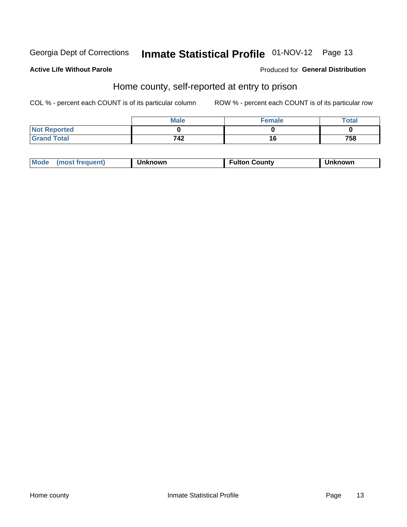# Inmate Statistical Profile 01-NOV-12 Page 13

#### **Active Life Without Parole**

#### Produced for General Distribution

### Home county, self-reported at entry to prison

COL % - percent each COUNT is of its particular column

|                     | <b>Male</b> | Female | Total |
|---------------------|-------------|--------|-------|
| <b>Not Reported</b> |             |        |       |
| <b>Grand Total</b>  | 742         | 16     | 758   |

| Mode<br>(most frequent)<br>າknown | <b>Fulton County</b> | known |
|-----------------------------------|----------------------|-------|
|-----------------------------------|----------------------|-------|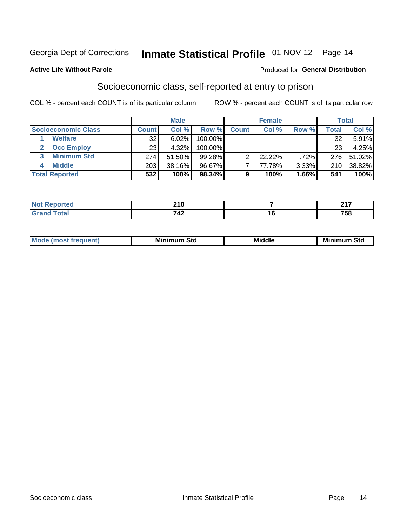### Inmate Statistical Profile 01-NOV-12 Page 14

#### **Active Life Without Parole**

#### Produced for General Distribution

### Socioeconomic class, self-reported at entry to prison

COL % - percent each COUNT is of its particular column

|                         | <b>Male</b><br><b>Female</b> |        |            | <b>Total</b> |        |       |       |        |
|-------------------------|------------------------------|--------|------------|--------------|--------|-------|-------|--------|
| Socioeconomic Class     | <b>Count</b>                 | Col %  | Row %      | <b>Count</b> | Col %  | Row % | Total | Col %  |
| <b>Welfare</b>          | 32                           | 6.02%  | 100.00%    |              |        |       | 32    | 5.91%  |
| <b>Occ Employ</b>       | 23                           | 4.32%  | $100.00\%$ |              |        |       | 23    | 4.25%  |
| <b>Minimum Std</b><br>3 | 274                          | 51.50% | $99.28\%$  |              | 22.22% | .72%  | 276   | 51.02% |
| <b>Middle</b>           | 203                          | 38.16% | 96.67%     |              | 77.78% | 3.33% | 210   | 38.82% |
| <b>Total Reported</b>   | 532                          | 100%   | 98.34%     | 9            | 100%   | 1.66% | 541   | 100%   |

|   | <b>040</b><br>∸ I V<br>$\sim$ |        | 247<br>-    |
|---|-------------------------------|--------|-------------|
| . | 742                           | $\sim$ | 750<br>70 L |

| ____ |
|------|
|------|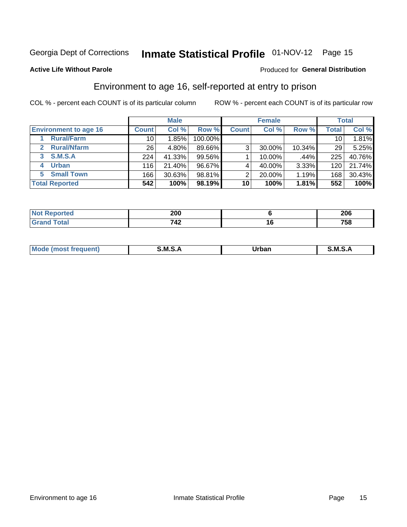# Inmate Statistical Profile 01-NOV-12 Page 15

#### **Active Life Without Parole**

#### Produced for General Distribution

### Environment to age 16, self-reported at entry to prison

COL % - percent each COUNT is of its particular column

|                              |                 | <b>Male</b> |         |              | <b>Female</b> |        |       | <b>Total</b> |
|------------------------------|-----------------|-------------|---------|--------------|---------------|--------|-------|--------------|
| <b>Environment to age 16</b> | <b>Count</b>    | Col %       | Row %   | <b>Count</b> | Col %         | Row %  | Total | Col %        |
| <b>Rural/Farm</b>            | 10              | $.85\%$     | 100.00% |              |               |        | 10    | $1.81\%$     |
| <b>Rural/Nfarm</b><br>2      | 26 <sub>1</sub> | 4.80%       | 89.66%  | 3            | 30.00%        | 10.34% | 29    | 5.25%        |
| S.M.S.A<br>3                 | 224             | 41.33%      | 99.56%  |              | 10.00%        | .44%   | 225   | 40.76%       |
| <b>Urban</b><br>4            | 116             | 21.40%      | 96.67%  |              | 40.00%        | 3.33%  | 120   | 21.74%       |
| 5 Small Town                 | 166             | 30.63%      | 98.81%  | 2            | 20.00%        | 1.19%  | 168   | 30.43%       |
| <b>Total Reported</b>        | 542             | 100%        | 98.19%  | 10           | 100%          | 1.81%  | 552   | 100%         |

| ਾted<br>теро. | 200       |    | 206 |
|---------------|-----------|----|-----|
|               | フィつ<br>⊶∠ | 16 | 758 |

| Mo | M | urhar . | M      |
|----|---|---------|--------|
|    |   | _____   | ______ |
|    |   |         |        |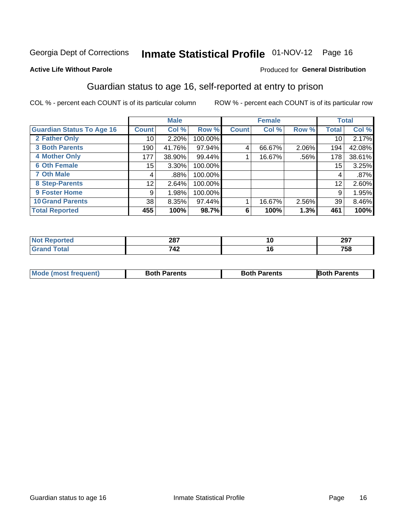## Inmate Statistical Profile 01-NOV-12 Page 16

#### **Active Life Without Parole**

#### Produced for General Distribution

### Guardian status to age 16, self-reported at entry to prison

COL % - percent each COUNT is of its particular column

|                                  |              | <b>Male</b> |         |              | <b>Female</b> |         |                 | <b>Total</b> |
|----------------------------------|--------------|-------------|---------|--------------|---------------|---------|-----------------|--------------|
| <b>Guardian Status To Age 16</b> | <b>Count</b> | Col %       | Row %   | <b>Count</b> | Col %         | Row %   | Total           | Col %        |
| 2 Father Only                    | 10           | 2.20%       | 100.00% |              |               |         | 10              | 2.17%        |
| <b>3 Both Parents</b>            | 190          | 41.76%      | 97.94%  | 4            | 66.67%        | 2.06%   | 194             | 42.08%       |
| <b>4 Mother Only</b>             | 177          | 38.90%      | 99.44%  |              | 16.67%        | $.56\%$ | 178             | 38.61%       |
| <b>6 Oth Female</b>              | 15           | $3.30\%$    | 100.00% |              |               |         | 15 <sub>1</sub> | 3.25%        |
| <b>7 Oth Male</b>                | 4            | .88%        | 100.00% |              |               |         | 4               | .87%         |
| 8 Step-Parents                   | 12           | 2.64%       | 100.00% |              |               |         | 12              | 2.60%        |
| <b>9 Foster Home</b>             | 9            | 1.98%       | 100.00% |              |               |         | 9               | 1.95%        |
| <b>10 Grand Parents</b>          | 38           | $8.35\%$    | 97.44%  |              | 16.67%        | 2.56%   | 39              | 8.46%        |
| <b>Total Reported</b>            | 455          | 100%        | 98.7%   | 6            | 100%          | 1.3%    | 461             | 100%         |

| τeα | 207<br>20 I | יי | 297 |
|-----|-------------|----|-----|
|     | 742         | יי | 758 |

| <b>Mode (most frequent)</b> | <b>Both Parents</b> | <b>Both Parents</b> | <b>Both Parents</b> |
|-----------------------------|---------------------|---------------------|---------------------|
|                             |                     |                     |                     |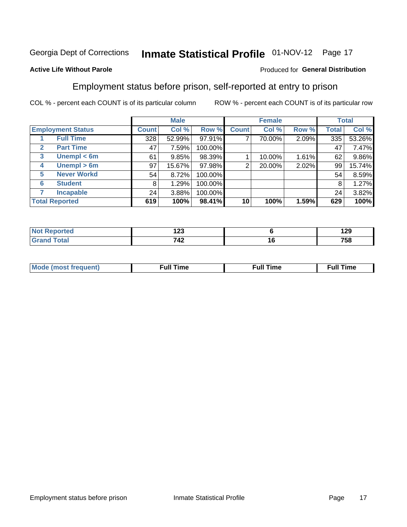# Inmate Statistical Profile 01-NOV-12 Page 17

#### **Active Life Without Parole**

#### Produced for General Distribution

### Employment status before prison, self-reported at entry to prison

COL % - percent each COUNT is of its particular column

|                                  |              | <b>Male</b> |         |                | <b>Female</b> |       |       | <b>Total</b> |
|----------------------------------|--------------|-------------|---------|----------------|---------------|-------|-------|--------------|
| <b>Employment Status</b>         | <b>Count</b> | Col %       | Row %   | <b>Count</b>   | Col %         | Row % | Total | Col %        |
| <b>Full Time</b>                 | 328          | 52.99%      | 97.91%  | ⇁              | 70.00%        | 2.09% | 335   | 53.26%       |
| <b>Part Time</b><br>$\mathbf{2}$ | 47           | 7.59%       | 100.00% |                |               |       | 47    | 7.47%        |
| Unempl $<$ 6m<br>3               | 61           | 9.85%       | 98.39%  |                | 10.00%        | 1.61% | 62    | 9.86%        |
| Unempl > 6m<br>4                 | 97           | 15.67%      | 97.98%  | $\overline{2}$ | 20.00%        | 2.02% | 99    | 15.74%       |
| <b>Never Workd</b><br>5          | 54           | 8.72%       | 100.00% |                |               |       | 54    | 8.59%        |
| <b>Student</b><br>6              | 8            | 1.29%       | 100.00% |                |               |       | 8     | 1.27%        |
| <b>Incapable</b>                 | 24           | 3.88%       | 100.00% |                |               |       | 24    | 3.82%        |
| <b>Total Reported</b>            | 619          | 100%        | 98.41%  | 10             | 100%          | 1.59% | 629   | 100%         |

| ге с | .<br>14J     | חר ו<br>1 Z.J |
|------|--------------|---------------|
|      | 712<br>- - - | 758           |

| Mc | ∙u∥<br>----<br>ıme | ίuΙ<br>Πmε |
|----|--------------------|------------|
|    |                    |            |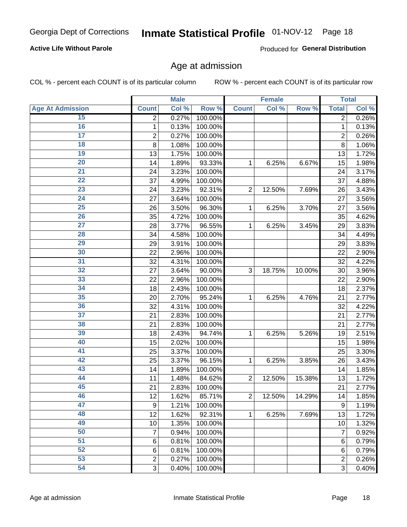# Inmate Statistical Profile 01-NOV-12 Page 18

#### **Active Life Without Parole**

Produced for General Distribution

### Age at admission

COL % - percent each COUNT is of its particular column

|                         |                         | <b>Male</b> |         |                | <b>Female</b> |        |                | <b>Total</b> |
|-------------------------|-------------------------|-------------|---------|----------------|---------------|--------|----------------|--------------|
| <b>Age At Admission</b> | <b>Count</b>            | Col %       | Row %   | <b>Count</b>   | Col %         | Row %  | <b>Total</b>   | Col %        |
| 15                      | $\overline{2}$          | 0.27%       | 100.00% |                |               |        | $\overline{2}$ | 0.26%        |
| 16                      | 1                       | 0.13%       | 100.00% |                |               |        | $\mathbf{1}$   | 0.13%        |
| $\overline{17}$         | $\overline{\mathbf{c}}$ | 0.27%       | 100.00% |                |               |        | $\overline{2}$ | 0.26%        |
| 18                      | 8                       | 1.08%       | 100.00% |                |               |        | 8              | 1.06%        |
| 19                      | 13                      | 1.75%       | 100.00% |                |               |        | 13             | 1.72%        |
| 20                      | 14                      | 1.89%       | 93.33%  | 1              | 6.25%         | 6.67%  | 15             | 1.98%        |
| 21                      | 24                      | 3.23%       | 100.00% |                |               |        | 24             | 3.17%        |
| 22                      | 37                      | 4.99%       | 100.00% |                |               |        | 37             | 4.88%        |
| 23                      | 24                      | 3.23%       | 92.31%  | $\overline{2}$ | 12.50%        | 7.69%  | 26             | 3.43%        |
| 24                      | 27                      | 3.64%       | 100.00% |                |               |        | 27             | 3.56%        |
| $\overline{25}$         | 26                      | 3.50%       | 96.30%  | 1              | 6.25%         | 3.70%  | 27             | 3.56%        |
| 26                      | 35                      | 4.72%       | 100.00% |                |               |        | 35             | 4.62%        |
| $\overline{27}$         | 28                      | 3.77%       | 96.55%  | $\mathbf{1}$   | 6.25%         | 3.45%  | 29             | 3.83%        |
| 28                      | 34                      | 4.58%       | 100.00% |                |               |        | 34             | 4.49%        |
| 29                      | 29                      | 3.91%       | 100.00% |                |               |        | 29             | 3.83%        |
| 30                      | 22                      | 2.96%       | 100.00% |                |               |        | 22             | 2.90%        |
| 31                      | 32                      | 4.31%       | 100.00% |                |               |        | 32             | 4.22%        |
| 32                      | 27                      | 3.64%       | 90.00%  | 3              | 18.75%        | 10.00% | 30             | 3.96%        |
| 33                      | 22                      | 2.96%       | 100.00% |                |               |        | 22             | 2.90%        |
| 34                      | 18                      | 2.43%       | 100.00% |                |               |        | 18             | 2.37%        |
| 35                      | 20                      | 2.70%       | 95.24%  | 1              | 6.25%         | 4.76%  | 21             | 2.77%        |
| 36                      | 32                      | 4.31%       | 100.00% |                |               |        | 32             | 4.22%        |
| $\overline{37}$         | 21                      | 2.83%       | 100.00% |                |               |        | 21             | 2.77%        |
| 38                      | 21                      | 2.83%       | 100.00% |                |               |        | 21             | 2.77%        |
| 39                      | 18                      | 2.43%       | 94.74%  | 1              | 6.25%         | 5.26%  | 19             | 2.51%        |
| 40                      | 15                      | 2.02%       | 100.00% |                |               |        | 15             | 1.98%        |
| 41                      | 25                      | 3.37%       | 100.00% |                |               |        | 25             | 3.30%        |
| 42                      | 25                      | 3.37%       | 96.15%  | 1              | 6.25%         | 3.85%  | 26             | 3.43%        |
| 43                      | 14                      | 1.89%       | 100.00% |                |               |        | 14             | 1.85%        |
| 44                      | 11                      | 1.48%       | 84.62%  | $\overline{2}$ | 12.50%        | 15.38% | 13             | 1.72%        |
| 45                      | 21                      | 2.83%       | 100.00% |                |               |        | 21             | 2.77%        |
| 46                      | 12                      | 1.62%       | 85.71%  | $\overline{2}$ | 12.50%        | 14.29% | 14             | 1.85%        |
| 47                      | 9                       | 1.21%       | 100.00% |                |               |        | 9              | 1.19%        |
| 48                      | 12                      | 1.62%       | 92.31%  | 1              | 6.25%         | 7.69%  | 13             | 1.72%        |
| 49                      | 10                      | 1.35%       | 100.00% |                |               |        | 10             | 1.32%        |
| 50                      | 7                       | 0.94%       | 100.00% |                |               |        | 7              | 0.92%        |
| $\overline{51}$         | $6\phantom{1}6$         | 0.81%       | 100.00% |                |               |        | 6              | 0.79%        |
| 52                      | 6                       | 0.81%       | 100.00% |                |               |        | 6              | 0.79%        |
| 53                      | $\overline{c}$          | 0.27%       | 100.00% |                |               |        | 2              | 0.26%        |
| 54                      | 3                       | 0.40%       | 100.00% |                |               |        | $\overline{3}$ | 0.40%        |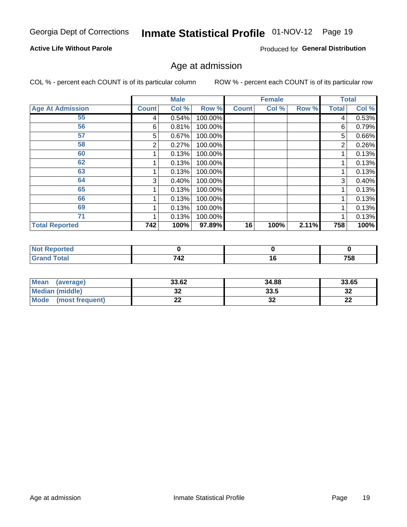# Inmate Statistical Profile 01-NOV-12 Page 19

#### **Active Life Without Parole**

Produced for General Distribution

### Age at admission

COL % - percent each COUNT is of its particular column

|                         |              | <b>Male</b> |         |              | <b>Female</b> |       |              | <b>Total</b> |
|-------------------------|--------------|-------------|---------|--------------|---------------|-------|--------------|--------------|
| <b>Age At Admission</b> | <b>Count</b> | Col %       | Row %   | <b>Count</b> | Col %         | Row % | <b>Total</b> | Col %        |
| 55                      | 4            | 0.54%       | 100.00% |              |               |       | 4            | 0.53%        |
| 56                      | 6            | 0.81%       | 100.00% |              |               |       | 6            | 0.79%        |
| 57                      | 5            | 0.67%       | 100.00% |              |               |       | 5            | 0.66%        |
| 58                      | 2            | 0.27%       | 100.00% |              |               |       | 2            | 0.26%        |
| 60                      |              | 0.13%       | 100.00% |              |               |       |              | 0.13%        |
| 62                      |              | 0.13%       | 100.00% |              |               |       |              | 0.13%        |
| 63                      |              | 0.13%       | 100.00% |              |               |       |              | 0.13%        |
| 64                      | 3            | 0.40%       | 100.00% |              |               |       | 3            | 0.40%        |
| 65                      |              | 0.13%       | 100.00% |              |               |       |              | 0.13%        |
| 66                      |              | 0.13%       | 100.00% |              |               |       |              | 0.13%        |
| 69                      |              | 0.13%       | 100.00% |              |               |       |              | 0.13%        |
| 71                      |              | 0.13%       | 100.00% |              |               |       |              | 0.13%        |
| <b>Total Reported</b>   | 742          | 100%        | 97.89%  | 16           | 100%          | 2.11% | 758          | 100%         |

| rted            |     |        |      |
|-----------------|-----|--------|------|
| $int^{\bullet}$ | 742 | יי     | 750  |
|                 |     | $\sim$ | 7 JO |

| Mean<br>(average)              | 33.62 | 34.88    | 33.65    |
|--------------------------------|-------|----------|----------|
| <b>Median (middle)</b>         | JŁ    | 33.5     | າາ<br>১∠ |
| <b>Mode</b><br>(most frequent) | --    | ^^<br>JZ | n,<br>LL |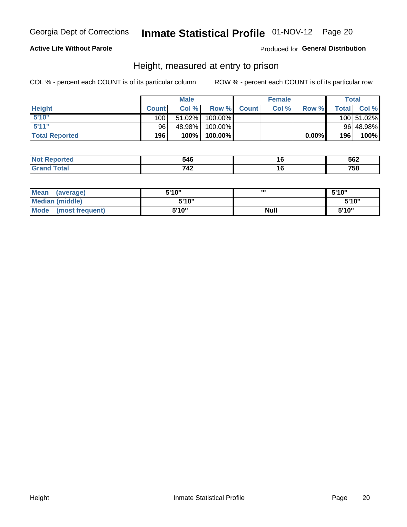# Inmate Statistical Profile 01-NOV-12 Page 20

#### **Active Life Without Parole**

Produced for General Distribution

### Height, measured at entry to prison

COL % - percent each COUNT is of its particular column

|                       |              | <b>Male</b> |          |              | <b>Female</b> |       |                | Total      |
|-----------------------|--------------|-------------|----------|--------------|---------------|-------|----------------|------------|
| <b>Height</b>         | <b>Count</b> | Col%        | Row %    | <b>Count</b> | Col %         | Row % | <b>Total</b> I | Col %      |
| 5'10''                | 100          | $51.02\%$   | 100.00%  |              |               |       |                | 100 51.02% |
| 5'11''                | 96           | 48.98%      | 100.00%  |              |               |       |                | 96 48.98%  |
| <b>Total Reported</b> | 196          | 100%        | 100.00%) |              |               | 0.00% | 196            | 100%       |

| <b>No</b><br>тео             | 516                 | 562        |
|------------------------------|---------------------|------------|
| <b>Total</b><br>Gra<br>----- | 710<br>$\mathbf{r}$ | 750<br>้วด |

| <b>Mean</b><br>(average)       | 5'10'' | ,,,         | 5'10" |
|--------------------------------|--------|-------------|-------|
| Median (middle)                | 5'10"  |             | 5'10" |
| <b>Mode</b><br>(most frequent) | 5'10"  | <b>Null</b> | 5'10" |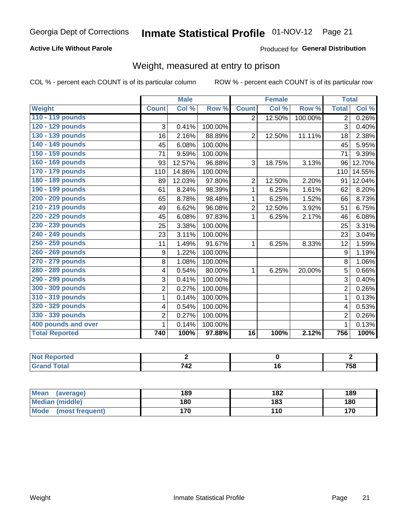# Inmate Statistical Profile 01-NOV-12 Page 21

#### **Active Life Without Parole**

#### Produced for General Distribution

### Weight, measured at entry to prison

COL % - percent each COUNT is of its particular column

|                       |                | <b>Male</b>                |         |                 | <b>Female</b>              |         | <b>Total</b>   |        |
|-----------------------|----------------|----------------------------|---------|-----------------|----------------------------|---------|----------------|--------|
| Weight                | <b>Count</b>   | $\overline{\text{Col }^9}$ | Row %   | <b>Count</b>    | $\overline{\text{Col }^9}$ | Row %   | <b>Total</b>   | Col %  |
| 110 - 119 pounds      |                |                            |         | $\overline{2}$  | 12.50%                     | 100.00% | $\overline{2}$ | 0.26%  |
| 120 - 129 pounds      | 3              | 0.41%                      | 100.00% |                 |                            |         | 3              | 0.40%  |
| 130 - 139 pounds      | 16             | 2.16%                      | 88.89%  | $\overline{2}$  | 12.50%                     | 11.11%  | 18             | 2.38%  |
| 140 - 149 pounds      | 45             | 6.08%                      | 100.00% |                 |                            |         | 45             | 5.95%  |
| 150 - 159 pounds      | 71             | 9.59%                      | 100.00% |                 |                            |         | 71             | 9.39%  |
| 160 - 169 pounds      | 93             | 12.57%                     | 96.88%  | 3               | 18.75%                     | 3.13%   | 96             | 12.70% |
| 170 - 179 pounds      | 110            | 14.86%                     | 100.00% |                 |                            |         | 110            | 14.55% |
| 180 - 189 pounds      | 89             | 12.03%                     | 97.80%  | $\overline{2}$  | 12.50%                     | 2.20%   | 91             | 12.04% |
| 190 - 199 pounds      | 61             | 8.24%                      | 98.39%  | 1               | 6.25%                      | 1.61%   | 62             | 8.20%  |
| 200 - 209 pounds      | 65             | 8.78%                      | 98.48%  | 1               | 6.25%                      | 1.52%   | 66             | 8.73%  |
| 210 - 219 pounds      | 49             | 6.62%                      | 96.08%  | $\overline{2}$  | 12.50%                     | 3.92%   | 51             | 6.75%  |
| 220 - 229 pounds      | 45             | 6.08%                      | 97.83%  | 1               | 6.25%                      | 2.17%   | 46             | 6.08%  |
| 230 - 239 pounds      | 25             | 3.38%                      | 100.00% |                 |                            |         | 25             | 3.31%  |
| 240 - 249 pounds      | 23             | 3.11%                      | 100.00% |                 |                            |         | 23             | 3.04%  |
| 250 - 259 pounds      | 11             | 1.49%                      | 91.67%  | 1               | 6.25%                      | 8.33%   | 12             | 1.59%  |
| 260 - 269 pounds      | 9              | 1.22%                      | 100.00% |                 |                            |         | 9              | 1.19%  |
| 270 - 279 pounds      | 8              | 1.08%                      | 100.00% |                 |                            |         | 8              | 1.06%  |
| 280 - 289 pounds      | 4              | 0.54%                      | 80.00%  | 1               | 6.25%                      | 20.00%  | 5              | 0.66%  |
| 290 - 299 pounds      | 3              | 0.41%                      | 100.00% |                 |                            |         | 3              | 0.40%  |
| 300 - 309 pounds      | $\overline{2}$ | 0.27%                      | 100.00% |                 |                            |         | $\overline{2}$ | 0.26%  |
| 310 - 319 pounds      | 1              | 0.14%                      | 100.00% |                 |                            |         | 1              | 0.13%  |
| 320 - 329 pounds      | 4              | 0.54%                      | 100.00% |                 |                            |         | 4              | 0.53%  |
| 330 - 339 pounds      | $\overline{2}$ | 0.27%                      | 100.00% |                 |                            |         | $\overline{2}$ | 0.26%  |
| 400 pounds and over   | 1              | 0.14%                      | 100.00% |                 |                            |         | 1              | 0.13%  |
| <b>Total Reported</b> | 740            | 100%                       | 97.88%  | $\overline{16}$ | 100%                       | 2.12%   | 756            | 100%   |

| eported<br>NA<br>$\sim$ |                            |     |     |
|-------------------------|----------------------------|-----|-----|
| `otal<br>$\sim$ .       | <b>742</b><br>$\mathbf{r}$ | . . | 758 |

| Mean<br>(average)              | 189 | 182 | 189 |
|--------------------------------|-----|-----|-----|
| <b>Median (middle)</b>         | 180 | 183 | 180 |
| <b>Mode</b><br>(most frequent) | 170 | 110 | 170 |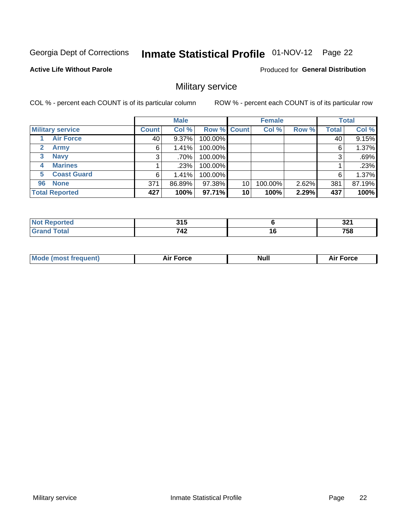# Inmate Statistical Profile 01-NOV-12 Page 22

#### **Active Life Without Parole**

**Produced for General Distribution** 

### Military service

COL % - percent each COUNT is of its particular column

|              |                         |              | <b>Male</b> |         |             | <b>Female</b> |       |              | <b>Total</b> |
|--------------|-------------------------|--------------|-------------|---------|-------------|---------------|-------|--------------|--------------|
|              | <b>Military service</b> | <b>Count</b> | Col %       |         | Row % Count | Col %         | Row % | <b>Total</b> | Col %        |
|              | <b>Air Force</b>        | 40           | $9.37\%$    | 100.00% |             |               |       | 40           | 9.15%        |
| $\mathbf{2}$ | <b>Army</b>             | 6            | 1.41%       | 100.00% |             |               |       | 6            | 1.37%        |
| 3            | <b>Navy</b>             | 3            | .70%        | 100.00% |             |               |       | 3            | .69%         |
| 4            | <b>Marines</b>          |              | .23%        | 100.00% |             |               |       |              | .23%         |
| 5.           | <b>Coast Guard</b>      | 6            | 1.41%       | 100.00% |             |               |       | 6            | 1.37%        |
| 96           | <b>None</b>             | 371          | 86.89%      | 97.38%  | 10          | 100.00%       | 2.62% | 381          | 87.19%       |
|              | <b>Total Reported</b>   | 427          | 100%        | 97.71%  | 10          | 100%          | 2.29% | 437          | 100%         |

| <b>rted</b>                   | <b>24 E</b><br>J I J |    | $\sim$<br>JZ. |
|-------------------------------|----------------------|----|---------------|
| $f \wedge f \wedge f$<br>υιαι | 742                  | 16 | 758           |

|  |  | <b>Mode</b><br>uent)<br>most tren | Force<br>Aır | <b>Null</b> | orce |
|--|--|-----------------------------------|--------------|-------------|------|
|--|--|-----------------------------------|--------------|-------------|------|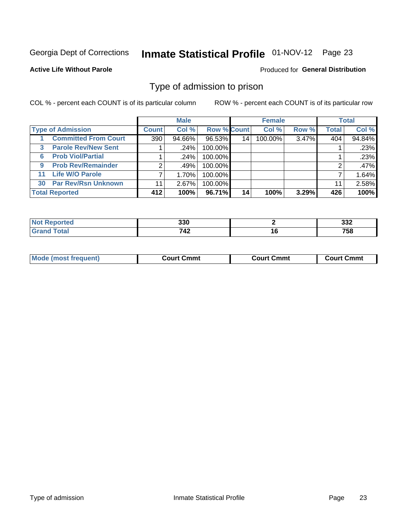# Inmate Statistical Profile 01-NOV-12 Page 23

#### **Active Life Without Parole**

#### Produced for General Distribution

### Type of admission to prison

COL % - percent each COUNT is of its particular column

|   |                             |                | <b>Male</b> |                    |                 | <b>Female</b> |       |              | <b>Total</b> |
|---|-----------------------------|----------------|-------------|--------------------|-----------------|---------------|-------|--------------|--------------|
|   | <b>Type of Admission</b>    | <b>Count</b>   | Col %       | <b>Row % Count</b> |                 | Col %         | Row % | <b>Total</b> | Col %        |
|   | <b>Committed From Court</b> | 390            | 94.66%      | 96.53%             | 14              | 100.00%       | 3.47% | 404          | 94.84%       |
| 3 | <b>Parole Rev/New Sent</b>  |                | .24%        | 100.00%            |                 |               |       |              | .23%         |
| 6 | <b>Prob Viol/Partial</b>    |                | .24%        | 100.00%            |                 |               |       |              | .23%         |
| 9 | <b>Prob Rev/Remainder</b>   | $\overline{2}$ | .49%        | 100.00%            |                 |               |       |              | .47%         |
|   | 11 Life W/O Parole          |                | 1.70%       | 100.00%            |                 |               |       |              | 1.64%        |
|   | 30 Par Rev/Rsn Unknown      | 11             | 2.67%       | 100.00%            |                 |               |       | 11           | 2.58%        |
|   | <b>Total Reported</b>       | 412            | 100%        | 96.71%             | 14 <sub>1</sub> | 100%          | 3.29% | 426          | 100%         |

| тео | 330      |    | 22c<br>১১∠  |
|-----|----------|----|-------------|
|     | .<br>14L | 10 | ---<br>75 I |

|  | <b>Mode (most frequent</b> | Court Cmmt | Court Cmmt | Cmmt<br>∴ourt C |
|--|----------------------------|------------|------------|-----------------|
|--|----------------------------|------------|------------|-----------------|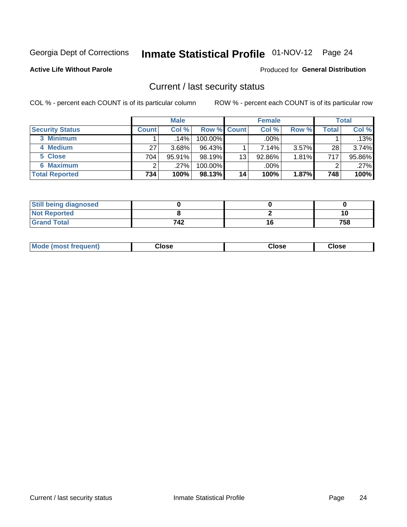# Inmate Statistical Profile 01-NOV-12 Page 24

#### **Active Life Without Parole**

#### Produced for General Distribution

### Current / last security status

COL % - percent each COUNT is of its particular column

|                        |              | <b>Male</b> |                    |    | <b>Female</b> |          |       | <b>Total</b> |
|------------------------|--------------|-------------|--------------------|----|---------------|----------|-------|--------------|
| <b>Security Status</b> | <b>Count</b> | Col %       | <b>Row % Count</b> |    | Col %         | Row %    | Total | Col %        |
| 3 Minimum              |              | $.14\%$     | 100.00%            |    | .00%          |          |       | .13%         |
| 4 Medium               | 27           | $3.68\%$    | 96.43%             |    | 7.14%         | $3.57\%$ | 28    | $3.74\%$     |
| 5 Close                | 704          | $95.91\%$   | 98.19%             | 13 | 92.86%        | $1.81\%$ | 717   | 95.86%       |
| <b>6 Maximum</b>       | ົ            | $.27\%$     | 100.00%            |    | $.00\%$       |          | ◠     | .27%         |
| <b>Total Reported</b>  | 734          | 100%        | 98.13%             | 14 | 100%          | $1.87\%$ | 748   | 100%         |

| <b>Still being diagnosed</b> |     |     |
|------------------------------|-----|-----|
| <b>Not Reported</b>          |     | 10  |
| <b>Grand Total</b>           | 742 | 758 |

|  | Mode<br>: (most frequent) | Close<br>- - - - | Close | Close |
|--|---------------------------|------------------|-------|-------|
|--|---------------------------|------------------|-------|-------|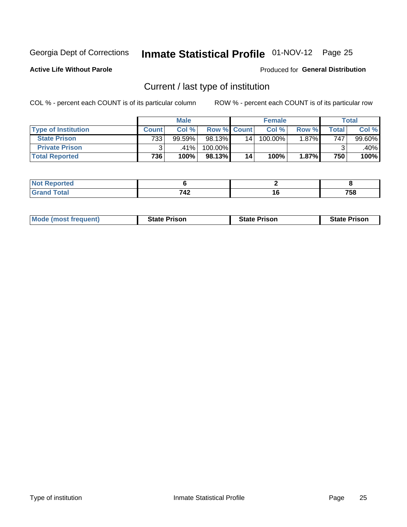# Inmate Statistical Profile 01-NOV-12 Page 25

**Active Life Without Parole** 

#### Produced for General Distribution

### Current / last type of institution

COL % - percent each COUNT is of its particular column

|                            |              | <b>Male</b> |                    |    | <b>Female</b> |          |       | <b>Total</b> |
|----------------------------|--------------|-------------|--------------------|----|---------------|----------|-------|--------------|
| <b>Type of Institution</b> | <b>Count</b> | Col %       | <b>Row % Count</b> |    | Col %         | Row %    | Total | Col %        |
| <b>State Prison</b>        | 733          | 99.59%      | 98.13%             | 14 | 100.00%       | $1.87\%$ | 747   | $99.60\%$    |
| <b>Private Prison</b>      |              | ا 1%،41.    | $100.00\%$         |    |               |          |       | .40%         |
| <b>Total Reported</b>      | 736          | 100%        | 98.13%             | 14 | 100%          | 1.87%    | 750   | 100%         |

| rtea |     |    |            |
|------|-----|----|------------|
|      | 740 | 10 | ---<br>סכי |

| <b>Mode (most frequent)</b> | <b>State Prison</b> | <b>State Prison</b> | <b>State Prison</b> |
|-----------------------------|---------------------|---------------------|---------------------|
|                             |                     |                     |                     |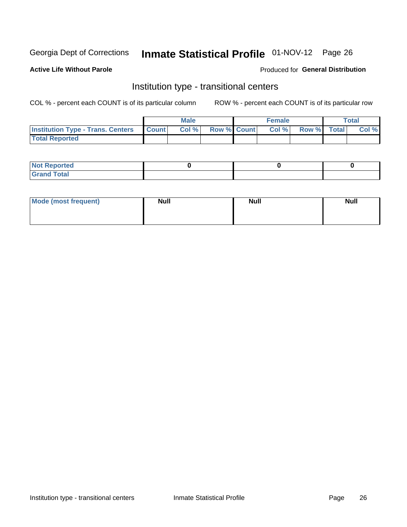# Inmate Statistical Profile 01-NOV-12 Page 26

#### **Active Life Without Parole**

#### Produced for General Distribution

### Institution type - transitional centers

COL % - percent each COUNT is of its particular column

|                                                | <b>Male</b> |                          | <b>Female</b> |             | Total |
|------------------------------------------------|-------------|--------------------------|---------------|-------------|-------|
| <b>Institution Type - Trans. Centers Count</b> |             | <b>Col %</b> Row % Count | CoI%          | Row % Total | Col % |
| <b>Total Reported</b>                          |             |                          |               |             |       |

| <b>Reported</b><br><b>NOT</b><br>$\sim$            |  |  |
|----------------------------------------------------|--|--|
| $f$ $f \circ f \circ f$<br>$C = 1$<br><b>TULAI</b> |  |  |

| Mode (most frequent) | <b>Null</b> | <b>Null</b> | <b>Null</b> |
|----------------------|-------------|-------------|-------------|
|                      |             |             |             |
|                      |             |             |             |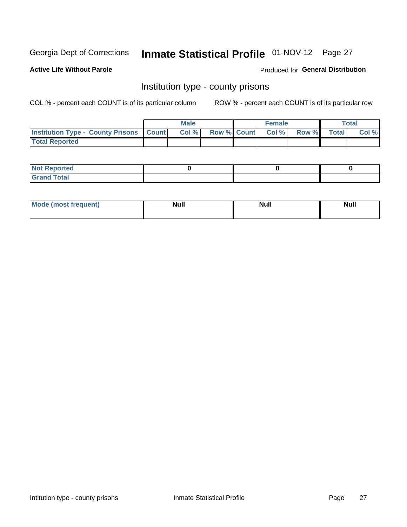# Inmate Statistical Profile 01-NOV-12 Page 27

**Active Life Without Parole** 

Produced for General Distribution

### Institution type - county prisons

COL % - percent each COUNT is of its particular column

|                                                    | <b>Male</b> |                          | <b>Female</b> |             | <b>Total</b> |
|----------------------------------------------------|-------------|--------------------------|---------------|-------------|--------------|
| <b>Institution Type - County Prisons   Count  </b> | Col %       | <b>Row % Count Col %</b> |               | Row % Total | Col %        |
| <b>Total Reported</b>                              |             |                          |               |             |              |

| <b>Not Reported</b>         |  |  |
|-----------------------------|--|--|
| <b>Total</b><br>-<br>______ |  |  |

| <b>Mode</b>      | <b>Null</b> | <b>Null</b> | <b>Null</b> |
|------------------|-------------|-------------|-------------|
| (most freauent). |             |             |             |
|                  |             |             |             |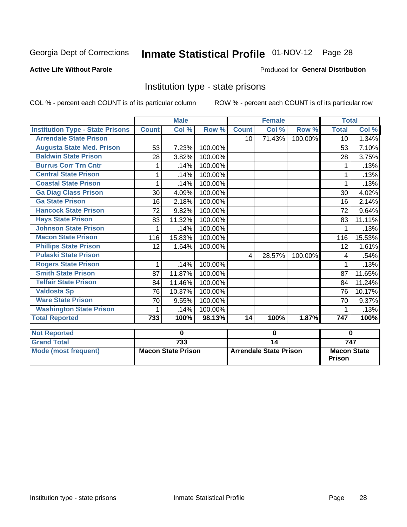# Inmate Statistical Profile 01-NOV-12 Page 28

#### **Active Life Without Parole**

#### Produced for General Distribution

### Institution type - state prisons

COL % - percent each COUNT is of its particular column ROW % - percent each COUNT is of its particular row

|                                         |              | <b>Male</b>               |         |              | <b>Female</b>                 |         | <b>Total</b>                        |                  |
|-----------------------------------------|--------------|---------------------------|---------|--------------|-------------------------------|---------|-------------------------------------|------------------|
| <b>Institution Type - State Prisons</b> | <b>Count</b> | Col %                     | Row %   | <b>Count</b> | $\overline{\text{Col }^9}$    | Row %   | <b>Total</b>                        | Col %            |
| <b>Arrendale State Prison</b>           |              |                           |         | 10           | 71.43%                        | 100.00% | 10 <sup>1</sup>                     | 1.34%            |
| <b>Augusta State Med. Prison</b>        | 53           | 7.23%                     | 100.00% |              |                               |         | 53                                  | 7.10%            |
| <b>Baldwin State Prison</b>             | 28           | 3.82%                     | 100.00% |              |                               |         | 28                                  | 3.75%            |
| <b>Burrus Corr Trn Cntr</b>             | 1            | .14%                      | 100.00% |              |                               |         |                                     | .13%             |
| <b>Central State Prison</b>             | 1            | .14%                      | 100.00% |              |                               |         | $\mathbf{1}$                        | .13%             |
| <b>Coastal State Prison</b>             | 1            | .14%                      | 100.00% |              |                               |         | 1                                   | .13%             |
| <b>Ga Diag Class Prison</b>             | 30           | 4.09%                     | 100.00% |              |                               |         | 30                                  | 4.02%            |
| <b>Ga State Prison</b>                  | 16           | 2.18%                     | 100.00% |              |                               |         | 16                                  | 2.14%            |
| <b>Hancock State Prison</b>             | 72           | 9.82%                     | 100.00% |              |                               |         | 72                                  | 9.64%            |
| <b>Hays State Prison</b>                | 83           | 11.32%                    | 100.00% |              |                               |         | 83                                  | 11.11%           |
| <b>Johnson State Prison</b>             |              | .14%                      | 100.00% |              |                               |         |                                     | .13%             |
| <b>Macon State Prison</b>               | 116          | 15.83%                    | 100.00% |              |                               |         | 116                                 | 15.53%           |
| <b>Phillips State Prison</b>            | 12           | 1.64%                     | 100.00% |              |                               |         | 12                                  | 1.61%            |
| <b>Pulaski State Prison</b>             |              |                           |         | 4            | 28.57%                        | 100.00% | 4                                   | .54%             |
| <b>Rogers State Prison</b>              | 1            | .14%                      | 100.00% |              |                               |         |                                     | .13%             |
| <b>Smith State Prison</b>               | 87           | 11.87%                    | 100.00% |              |                               |         | 87                                  | 11.65%           |
| <b>Telfair State Prison</b>             | 84           | 11.46%                    | 100.00% |              |                               |         | 84                                  | 11.24%           |
| <b>Valdosta Sp</b>                      | 76           | 10.37%                    | 100.00% |              |                               |         | 76                                  | 10.17%           |
| <b>Ware State Prison</b>                | 70           | 9.55%                     | 100.00% |              |                               |         | 70                                  | 9.37%            |
| <b>Washington State Prison</b>          | 1            | .14%                      | 100.00% |              |                               |         | 1                                   | .13%             |
| <b>Total Reported</b>                   | 733          | 100%                      | 98.13%  | 14           | 100%                          | 1.87%   | 747                                 | 100%             |
| <b>Not Reported</b>                     |              | 0                         |         |              | $\mathbf 0$                   |         | $\bf{0}$                            |                  |
| <b>Grand Total</b>                      |              | 733                       |         |              | $\overline{14}$               |         |                                     | $\overline{747}$ |
| <b>Mode (most frequent)</b>             |              | <b>Macon State Prison</b> |         |              | <b>Arrendale State Prison</b> |         | <b>Macon State</b><br><b>Prison</b> |                  |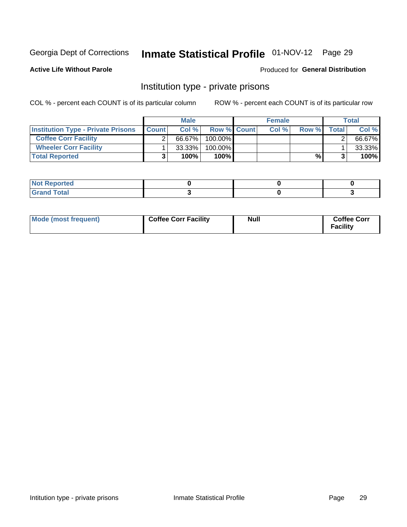# Inmate Statistical Profile 01-NOV-12 Page 29

**Active Life Without Parole** 

#### Produced for General Distribution

### Institution type - private prisons

COL % - percent each COUNT is of its particular column

|                                           |              | <b>Male</b> |                    | <b>Female</b> |       |       | <b>Total</b> |
|-------------------------------------------|--------------|-------------|--------------------|---------------|-------|-------|--------------|
| <b>Institution Type - Private Prisons</b> | <b>Count</b> | Col $%$     | <b>Row % Count</b> | Col%          | Row % | Total | Col %        |
| <b>Coffee Corr Facility</b>               |              | 66.67%      | $100.00\%$         |               |       |       | 66.67%       |
| <b>Wheeler Corr Facility</b>              |              | $33.33\%$   | $100.00\%$         |               |       |       | 33.33%       |
| <b>Total Reported</b>                     |              | 100%        | 100%               |               | %।    |       | 100%         |

| <b>Not Reported</b>     |  |  |
|-------------------------|--|--|
| <u>i Utal</u><br>------ |  |  |

| Mode (most frequent) | <b>Coffee Corr Facility</b> | Null | <b>Coffee Corr</b><br><b>Facility</b> |
|----------------------|-----------------------------|------|---------------------------------------|
|----------------------|-----------------------------|------|---------------------------------------|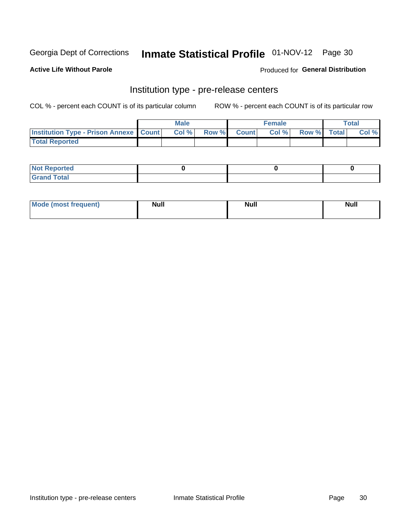# Inmate Statistical Profile 01-NOV-12 Page 30

**Active Life Without Parole** 

**Produced for General Distribution** 

# Institution type - pre-release centers

COL % - percent each COUNT is of its particular column

|                                                   | <b>Male</b> |              |       | <b>Female</b> |                    | <b>Total</b> |
|---------------------------------------------------|-------------|--------------|-------|---------------|--------------------|--------------|
| <b>Institution Type - Prison Annexe   Count  </b> | Col %       | <b>Row %</b> | Count | Col %         | <b>Row %</b> Total | Col %        |
| <b>Total Reported</b>                             |             |              |       |               |                    |              |

| <b>Reported</b><br>I NOT |  |  |
|--------------------------|--|--|
| <b>Total</b><br>$C$ ren  |  |  |

| <b>Mo</b><br>frequent)<br>(most | <b>Null</b> | <b>Null</b> | <b>Null</b> |
|---------------------------------|-------------|-------------|-------------|
|                                 |             |             |             |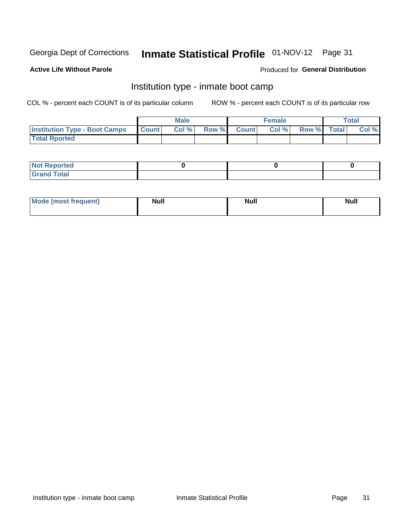# Inmate Statistical Profile 01-NOV-12 Page 31

#### **Active Life Without Parole**

#### Produced for General Distribution

### Institution type - inmate boot camp

COL % - percent each COUNT is of its particular column

|                                      |                  | <b>Male</b> |              |              | <b>Female</b> |             | <b>Total</b> |
|--------------------------------------|------------------|-------------|--------------|--------------|---------------|-------------|--------------|
| <b>Institution Type - Boot Camps</b> | <b>I</b> Count I | Col %       | <b>Row %</b> | <b>Count</b> | Col %         | Row % Total | Col %        |
| <b>Total Rported</b>                 |                  |             |              |              |               |             |              |

| <b>Not Reported</b> |  |  |
|---------------------|--|--|
| <b>Total</b><br>Cro |  |  |

| <b>I Mode (most frequent)</b> | <b>Null</b> | <b>Null</b> | <b>Null</b> |
|-------------------------------|-------------|-------------|-------------|
|                               |             |             |             |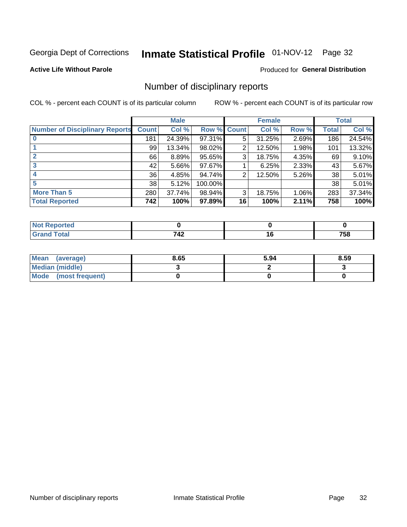# Inmate Statistical Profile 01-NOV-12 Page 32

#### **Active Life Without Parole**

#### Produced for General Distribution

### Number of disciplinary reports

COL % - percent each COUNT is of its particular column

|                                       |              | <b>Male</b> |             |    | <b>Female</b> |       |       | <b>Total</b> |
|---------------------------------------|--------------|-------------|-------------|----|---------------|-------|-------|--------------|
| <b>Number of Disciplinary Reports</b> | <b>Count</b> | Col %       | Row % Count |    | Col %         | Row % | Total | Col %        |
|                                       | 181          | 24.39%      | 97.31%      | 5  | 31.25%        | 2.69% | 186   | 24.54%       |
|                                       | 99           | 13.34%      | 98.02%      | 2  | 12.50%        | 1.98% | 101   | 13.32%       |
| $\mathbf{2}$                          | 66           | 8.89%       | 95.65%      | 3  | 18.75%        | 4.35% | 69    | 9.10%        |
| 3                                     | 42           | $5.66\%$    | 97.67%      |    | 6.25%         | 2.33% | 43    | 5.67%        |
|                                       | 36           | 4.85%       | 94.74%      | 2  | 12.50%        | 5.26% | 38    | 5.01%        |
| 5                                     | 38           | 5.12%       | 100.00%     |    |               |       | 38    | 5.01%        |
| <b>More Than 5</b>                    | 280          | 37.74%      | 98.94%      | 3  | 18.75%        | 1.06% | 283   | 37.34%       |
| <b>Total Reported</b>                 | 742          | 100%        | 97.89%      | 16 | 100%          | 2.11% | 758   | 100%         |

| <b>prted</b><br>NO |             |     |
|--------------------|-------------|-----|
| `otal              | 712<br>' TŁ | 758 |

| Mean (average)       | 8.65 | 5.94 | 8.59 |
|----------------------|------|------|------|
| Median (middle)      |      |      |      |
| Mode (most frequent) |      |      |      |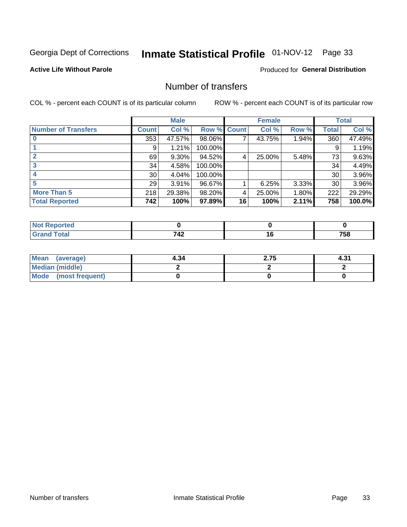# Inmate Statistical Profile 01-NOV-12 Page 33

#### **Active Life Without Parole**

#### **Produced for General Distribution**

### Number of transfers

COL % - percent each COUNT is of its particular column

|                            |                 | <b>Male</b> |         |              | <b>Female</b> |          |              | <b>Total</b> |
|----------------------------|-----------------|-------------|---------|--------------|---------------|----------|--------------|--------------|
| <b>Number of Transfers</b> | Count l         | Col %       | Row %   | <b>Count</b> | Col %         | Row %    | <b>Total</b> | Col %        |
|                            | 353             | 47.57%      | 98.06%  | 7            | 43.75%        | 1.94%    | 360          | 47.49%       |
|                            | 9               | 1.21%       | 100.00% |              |               |          | 9            | 1.19%        |
|                            | 69              | 9.30%       | 94.52%  | 4            | 25.00%        | 5.48%    | 73           | 9.63%        |
| 3                          | 34              | 4.58%       | 100.00% |              |               |          | 34           | 4.49%        |
|                            | 30 <sup>1</sup> | 4.04%       | 100.00% |              |               |          | 30           | 3.96%        |
| 5                          | 29              | $3.91\%$    | 96.67%  |              | 6.25%         | $3.33\%$ | 30           | 3.96%        |
| <b>More Than 5</b>         | 218             | 29.38%      | 98.20%  | 4            | 25.00%        | 1.80%    | 222          | 29.29%       |
| <b>Total Reported</b>      | 742             | 100%        | 97.89%  | 16           | 100%          | 2.11%    | 758          | 100.0%       |

| <b>prted</b><br>NO |             |     |
|--------------------|-------------|-----|
| `otal              | 712<br>' TŁ | 758 |

| Mean (average)       | 4.34 | 2.75 | 4.31 |
|----------------------|------|------|------|
| Median (middle)      |      |      |      |
| Mode (most frequent) |      |      |      |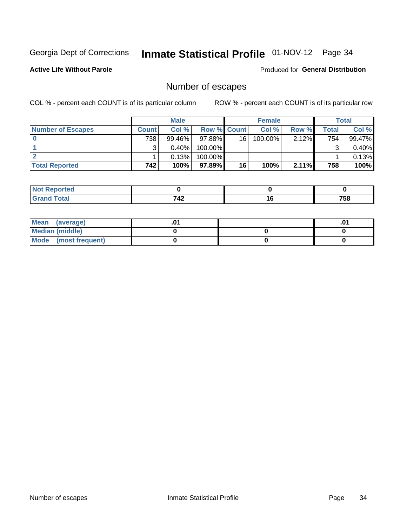# Inmate Statistical Profile 01-NOV-12 Page 34

**Active Life Without Parole** 

Produced for General Distribution

### Number of escapes

COL % - percent each COUNT is of its particular column

|                          |              | <b>Male</b> |                    |    | <b>Female</b> |          |       | Total  |
|--------------------------|--------------|-------------|--------------------|----|---------------|----------|-------|--------|
| <b>Number of Escapes</b> | <b>Count</b> | Col%        | <b>Row % Count</b> |    | Col %         | Row %    | Total | Col %  |
|                          | 738          | $99.46\%$   | $97.88\%$          | 16 | $100.00\%$    | 2.12%    | 754   | 99.47% |
|                          |              | 0.40%       | 100.00%            |    |               |          |       | 0.40%  |
|                          |              | 0.13%       | $100.00\%$         |    |               |          |       | 0.13%  |
| <b>Total Reported</b>    | 742          | 100%        | 97.89% I           | 16 | 100%          | $2.11\%$ | 758   | 100%   |

| orted<br><b>AUT REDOM</b> |            |                |
|---------------------------|------------|----------------|
| <b>fotal</b>              | $71^\circ$ | 7 <sub>E</sub> |
| Grand                     | ╶┱┻        | 790            |

| Mean (average)       |  | .01 |
|----------------------|--|-----|
| Median (middle)      |  |     |
| Mode (most frequent) |  |     |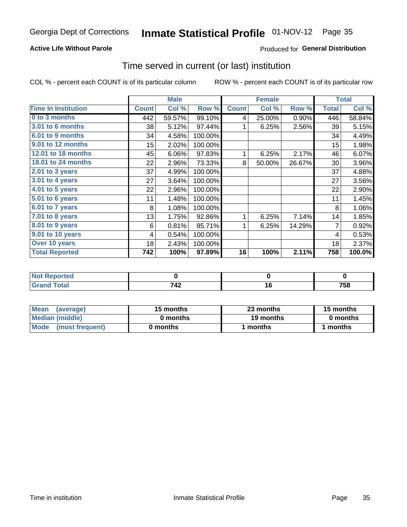# Inmate Statistical Profile 01-NOV-12 Page 35

#### **Active Life Without Parole**

#### **Produced for General Distribution**

### Time served in current (or last) institution

COL % - percent each COUNT is of its particular column

|                            |              | <b>Male</b> |         |              | <b>Female</b> |        |              | <b>Total</b> |
|----------------------------|--------------|-------------|---------|--------------|---------------|--------|--------------|--------------|
| <b>Time In Institution</b> | <b>Count</b> | Col %       | Row %   | <b>Count</b> | Col %         | Row %  | <b>Total</b> | Col %        |
| 0 to 3 months              | 442          | 59.57%      | 99.10%  | 4            | 25.00%        | 0.90%  | 446          | 58.84%       |
| 3.01 to 6 months           | 38           | 5.12%       | 97.44%  |              | 6.25%         | 2.56%  | 39           | 5.15%        |
| 6.01 to 9 months           | 34           | 4.58%       | 100.00% |              |               |        | 34           | 4.49%        |
| 9.01 to 12 months          | 15           | 2.02%       | 100.00% |              |               |        | 15           | 1.98%        |
| 12.01 to 18 months         | 45           | 6.06%       | 97.83%  | 1            | 6.25%         | 2.17%  | 46           | 6.07%        |
| <b>18.01 to 24 months</b>  | 22           | 2.96%       | 73.33%  | 8            | 50.00%        | 26.67% | 30           | 3.96%        |
| $2.01$ to 3 years          | 37           | 4.99%       | 100.00% |              |               |        | 37           | 4.88%        |
| 3.01 to 4 years            | 27           | 3.64%       | 100.00% |              |               |        | 27           | 3.56%        |
| 4.01 to 5 years            | 22           | 2.96%       | 100.00% |              |               |        | 22           | 2.90%        |
| $5.01$ to 6 years          | 11           | 1.48%       | 100.00% |              |               |        | 11           | 1.45%        |
| 6.01 to 7 years            | 8            | 1.08%       | 100.00% |              |               |        | 8            | 1.06%        |
| $7.01$ to 8 years          | 13           | 1.75%       | 92.86%  | 1            | 6.25%         | 7.14%  | 14           | 1.85%        |
| $8.01$ to 9 years          | 6            | 0.81%       | 85.71%  | 1            | 6.25%         | 14.29% | 7            | 0.92%        |
| 9.01 to 10 years           | 4            | 0.54%       | 100.00% |              |               |        | 4            | 0.53%        |
| Over 10 years              | 18           | 2.43%       | 100.00% |              |               |        | 18           | 2.37%        |
| <b>Total Reported</b>      | 742          | 100%        | 97.89%  | 16           | 100%          | 2.11%  | 758          | 100.0%       |

| <b>Reported</b> |                    |     |
|-----------------|--------------------|-----|
| .'ota'          | 710<br><u> 176</u> | 758 |

| <b>Mean</b><br>(average) | 15 months | 23 months | 15 months |
|--------------------------|-----------|-----------|-----------|
| Median (middle)          | 0 months  | 19 months | 0 months  |
| Mode (most frequent)     | 0 months  | months    | l months  |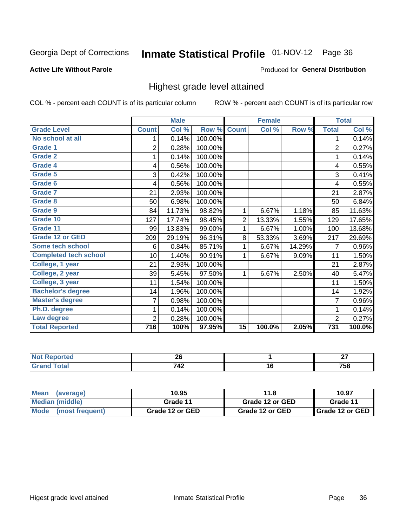# Inmate Statistical Profile 01-NOV-12 Page 36

#### **Active Life Without Parole**

#### Produced for General Distribution

### Highest grade level attained

COL % - percent each COUNT is of its particular column

|                              |                | <b>Male</b> |         |                 | <b>Female</b> |        |                  | <b>Total</b> |
|------------------------------|----------------|-------------|---------|-----------------|---------------|--------|------------------|--------------|
| <b>Grade Level</b>           | <b>Count</b>   | Col %       | Row %   | <b>Count</b>    | Col %         | Row %  | <b>Total</b>     | Col %        |
| No school at all             | 1              | 0.14%       | 100.00% |                 |               |        | 1                | 0.14%        |
| <b>Grade 1</b>               | $\overline{2}$ | 0.28%       | 100.00% |                 |               |        | $\overline{2}$   | 0.27%        |
| <b>Grade 2</b>               | 1              | 0.14%       | 100.00% |                 |               |        | 1                | 0.14%        |
| Grade 4                      | 4              | 0.56%       | 100.00% |                 |               |        | 4                | 0.55%        |
| Grade 5                      | 3              | 0.42%       | 100.00% |                 |               |        | 3                | 0.41%        |
| Grade 6                      | 4              | 0.56%       | 100.00% |                 |               |        | 4                | 0.55%        |
| <b>Grade 7</b>               | 21             | 2.93%       | 100.00% |                 |               |        | 21               | 2.87%        |
| <b>Grade 8</b>               | 50             | 6.98%       | 100.00% |                 |               |        | 50               | 6.84%        |
| <b>Grade 9</b>               | 84             | 11.73%      | 98.82%  | $\mathbf{1}$    | 6.67%         | 1.18%  | 85               | 11.63%       |
| Grade 10                     | 127            | 17.74%      | 98.45%  | $\overline{2}$  | 13.33%        | 1.55%  | 129              | 17.65%       |
| Grade 11                     | 99             | 13.83%      | 99.00%  | 1               | 6.67%         | 1.00%  | 100              | 13.68%       |
| <b>Grade 12 or GED</b>       | 209            | 29.19%      | 96.31%  | 8               | 53.33%        | 3.69%  | 217              | 29.69%       |
| <b>Some tech school</b>      | 6              | 0.84%       | 85.71%  | 1               | 6.67%         | 14.29% | 7                | 0.96%        |
| <b>Completed tech school</b> | 10             | 1.40%       | 90.91%  | 1               | 6.67%         | 9.09%  | 11               | 1.50%        |
| College, 1 year              | 21             | 2.93%       | 100.00% |                 |               |        | 21               | 2.87%        |
| College, 2 year              | 39             | 5.45%       | 97.50%  | 1               | 6.67%         | 2.50%  | 40               | 5.47%        |
| College, 3 year              | 11             | 1.54%       | 100.00% |                 |               |        | 11               | 1.50%        |
| <b>Bachelor's degree</b>     | 14             | 1.96%       | 100.00% |                 |               |        | 14               | 1.92%        |
| <b>Master's degree</b>       | 7              | 0.98%       | 100.00% |                 |               |        | $\overline{7}$   | 0.96%        |
| Ph.D. degree                 | 1              | 0.14%       | 100.00% |                 |               |        | 1                | 0.14%        |
| Law degree                   | $\overline{2}$ | 0.28%       | 100.00% |                 |               |        | $\overline{2}$   | 0.27%        |
| <b>Total Reported</b>        | 716            | 100%        | 97.95%  | $\overline{15}$ | 100.0%        | 2.05%  | $\overline{731}$ | 100.0%       |

| $\bullet$ in the following | n e<br>ZU |    | $\sim$<br>-- |
|----------------------------|-----------|----|--------------|
|                            | 742       | ιu | ---<br>80 ו  |

| <b>Mean</b><br>(average)       | 10.95           | 11.8            | 10.97             |
|--------------------------------|-----------------|-----------------|-------------------|
| Median (middle)                | Grade 11        | Grade 12 or GED | Grade 11          |
| <b>Mode</b><br>(most frequent) | Grade 12 or GED | Grade 12 or GED | I Grade 12 or GED |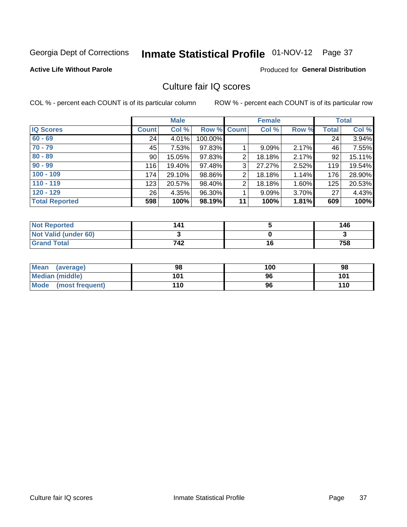# Inmate Statistical Profile 01-NOV-12 Page 37

### **Active Life Without Parole**

#### Produced for General Distribution

### Culture fair IQ scores

COL % - percent each COUNT is of its particular column

|                       |              | <b>Male</b> |             |                | <b>Female</b> |       |              | <b>Total</b> |
|-----------------------|--------------|-------------|-------------|----------------|---------------|-------|--------------|--------------|
| <b>IQ Scores</b>      | <b>Count</b> | Col %       | Row % Count |                | Col %         | Row % | <b>Total</b> | Col %        |
| $60 - 69$             | 24           | 4.01%       | 100.00%     |                |               |       | 24           | 3.94%        |
| $70 - 79$             | 45           | 7.53%       | 97.83%      |                | 9.09%         | 2.17% | 46           | 7.55%        |
| $80 - 89$             | 90           | 15.05%      | 97.83%      | 2              | 18.18%        | 2.17% | 92           | 15.11%       |
| $90 - 99$             | 116          | 19.40%      | 97.48%      | 3              | 27.27%        | 2.52% | 119          | 19.54%       |
| $100 - 109$           | 174          | 29.10%      | 98.86%      | $\overline{2}$ | 18.18%        | 1.14% | 176          | 28.90%       |
| $110 - 119$           | 123          | 20.57%      | 98.40%      | 2              | 18.18%        | 1.60% | 125          | 20.53%       |
| $120 - 129$           | 26           | 4.35%       | 96.30%      |                | 9.09%         | 3.70% | 27           | 4.43%        |
| <b>Total Reported</b> | 598          | 100%        | 98.19%      | 11             | 100%          | 1.81% | 609          | 100%         |

| <b>Not Reported</b>         | 141 |    | 146 |
|-----------------------------|-----|----|-----|
| <b>Not Valid (under 60)</b> |     |    |     |
| <b>Grand Total</b>          | 742 | 16 | 758 |

| <b>Mean</b><br>(average)       | 98  | 100 | 98  |
|--------------------------------|-----|-----|-----|
| <b>Median (middle)</b>         | 101 | 96  | 101 |
| <b>Mode</b><br>(most frequent) | 110 | 96  | 110 |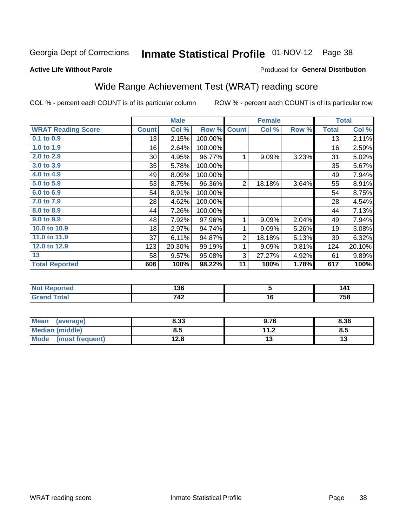## Inmate Statistical Profile 01-NOV-12 Page 38

#### **Active Life Without Parole**

### **Produced for General Distribution**

## Wide Range Achievement Test (WRAT) reading score

COL % - percent each COUNT is of its particular column

|                           |              | <b>Male</b> |         |                | <b>Female</b> |       |              | <b>Total</b> |
|---------------------------|--------------|-------------|---------|----------------|---------------|-------|--------------|--------------|
| <b>WRAT Reading Score</b> | <b>Count</b> | Col %       | Row %   | <b>Count</b>   | Col %         | Row % | <b>Total</b> | Col %        |
| $0.1$ to $0.9$            | 13           | 2.15%       | 100.00% |                |               |       | 13           | 2.11%        |
| 1.0 to 1.9                | 16           | 2.64%       | 100.00% |                |               |       | 16           | 2.59%        |
| 2.0 to 2.9                | $30$         | 4.95%       | 96.77%  | 1              | 9.09%         | 3.23% | 31           | 5.02%        |
| 3.0 to 3.9                | 35           | 5.78%       | 100.00% |                |               |       | 35           | 5.67%        |
| 4.0 to 4.9                | 49           | 8.09%       | 100.00% |                |               |       | 49           | 7.94%        |
| 5.0 to 5.9                | 53           | 8.75%       | 96.36%  | $\overline{2}$ | 18.18%        | 3.64% | 55           | 8.91%        |
| 6.0 to 6.9                | 54           | 8.91%       | 100.00% |                |               |       | 54           | 8.75%        |
| 7.0 to 7.9                | 28           | 4.62%       | 100.00% |                |               |       | 28           | 4.54%        |
| 8.0 to 8.9                | 44           | 7.26%       | 100.00% |                |               |       | 44           | 7.13%        |
| 9.0 to 9.9                | 48           | 7.92%       | 97.96%  | 1              | 9.09%         | 2.04% | 49           | 7.94%        |
| 10.0 to 10.9              | 18           | 2.97%       | 94.74%  | 1              | 9.09%         | 5.26% | 19           | 3.08%        |
| 11.0 to 11.9              | 37           | 6.11%       | 94.87%  | $\overline{2}$ | 18.18%        | 5.13% | 39           | 6.32%        |
| 12.0 to 12.9              | 123          | 20.30%      | 99.19%  | 1              | 9.09%         | 0.81% | 124          | 20.10%       |
| 13                        | 58           | 9.57%       | 95.08%  | 3              | 27.27%        | 4.92% | 61           | 9.89%        |
| <b>Total Reported</b>     | 606          | 100%        | 98.22%  | 11             | 100%          | 1.78% | 617          | 100%         |
|                           |              |             |         |                |               |       |              |              |
|                           |              |             |         |                |               |       |              |              |

| .<br>' NOL<br><b>Reported</b> | "^^<br>I JU |    | ۰4۰        |
|-------------------------------|-------------|----|------------|
| ักfaเ                         | 712<br>- 74 | ı. | 758<br>- - |

| <b>Mean</b><br>(average)       | 8.33 | 9.76                            | 8.36 |
|--------------------------------|------|---------------------------------|------|
| <b>Median (middle)</b>         | 8.5  | 11 <sub>2</sub><br>. . <u>.</u> | Ծ.J  |
| <b>Mode</b><br>(most frequent) | 12.8 |                                 | יי   |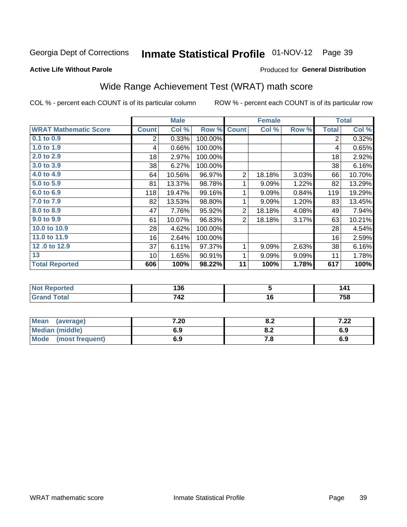## Inmate Statistical Profile 01-NOV-12 Page 39

#### **Active Life Without Parole**

### **Produced for General Distribution**

## Wide Range Achievement Test (WRAT) math score

COL % - percent each COUNT is of its particular column

|                              |              | <b>Male</b> |         |                | <b>Female</b>  |       |              | <b>Total</b> |
|------------------------------|--------------|-------------|---------|----------------|----------------|-------|--------------|--------------|
| <b>WRAT Mathematic Score</b> | <b>Count</b> | Col %       | Row %   | <b>Count</b>   | Col %          | Row % | <b>Total</b> | Col %        |
| 0.1 to 0.9                   | 2            | 0.33%       | 100.00% |                |                |       | 2            | 0.32%        |
| 1.0 to 1.9                   | 4            | 0.66%       | 100.00% |                |                |       | 4            | 0.65%        |
| 2.0 to 2.9                   | 18           | 2.97%       | 100.00% |                |                |       | 18           | 2.92%        |
| 3.0 to 3.9                   | 38           | 6.27%       | 100.00% |                |                |       | 38           | 6.16%        |
| 4.0 to 4.9                   | 64           | 10.56%      | 96.97%  | $\overline{2}$ | 18.18%         | 3.03% | 66           | 10.70%       |
| 5.0 to 5.9                   | 81           | 13.37%      | 98.78%  | 1              | 9.09%          | 1.22% | 82           | 13.29%       |
| 6.0 to 6.9                   | 118          | 19.47%      | 99.16%  | 1              | 9.09%          | 0.84% | 119          | 19.29%       |
| 7.0 to 7.9                   | 82           | 13.53%      | 98.80%  | 1              | 9.09%          | 1.20% | 83           | 13.45%       |
| 8.0 to 8.9                   | 47           | 7.76%       | 95.92%  | $\sqrt{2}$     | 18.18%         | 4.08% | 49           | 7.94%        |
| 9.0 to 9.9                   | 61           | 10.07%      | 96.83%  | $\overline{2}$ | 18.18%         | 3.17% | 63           | 10.21%       |
| 10.0 to 10.9                 | 28           | 4.62%       | 100.00% |                |                |       | 28           | 4.54%        |
| 11.0 to 11.9                 | 16           | 2.64%       | 100.00% |                |                |       | 16           | 2.59%        |
| 12.0 to 12.9                 | 37           | 6.11%       | 97.37%  | 1              | 9.09%          | 2.63% | 38           | 6.16%        |
| 13                           | 10           | 1.65%       | 90.91%  | 1              | 9.09%          | 9.09% | 11           | 1.78%        |
| <b>Total Reported</b>        | 606          | 100%        | 98.22%  | 11             | 100%           | 1.78% | 617          | 100%         |
|                              |              |             |         |                |                |       |              |              |
| <b>Not Reported</b>          |              | 136         |         |                | $\overline{5}$ |       |              | 141          |
| <b>Grand Total</b>           |              | 742         |         |                | 16             |       |              | 758          |

| Mean<br>(average)              | 7.20 | 0.Z   | 7.00<br>1.ZZ |
|--------------------------------|------|-------|--------------|
| <b>Median (middle)</b>         | 6.9  | o.z   | 6.9          |
| <b>Mode</b><br>(most frequent) | 6.9  | . . 0 | 6.9          |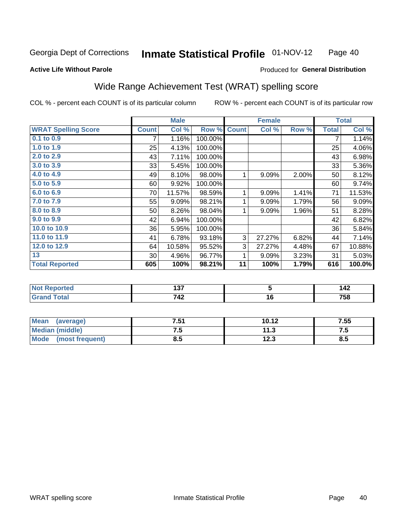#### Inmate Statistical Profile 01-NOV-12 Page 40

#### **Active Life Without Parole**

### Produced for General Distribution

### Wide Range Achievement Test (WRAT) spelling score

COL % - percent each COUNT is of its particular column

|                            |              | <b>Male</b> |         |              | <b>Female</b>   |       |              | <b>Total</b> |
|----------------------------|--------------|-------------|---------|--------------|-----------------|-------|--------------|--------------|
| <b>WRAT Spelling Score</b> | <b>Count</b> | Col %       | Row %   | <b>Count</b> | Col %           | Row % | <b>Total</b> | Col %        |
| $0.1$ to $0.9$             | 7            | 1.16%       | 100.00% |              |                 |       | 7            | 1.14%        |
| 1.0 to 1.9                 | 25           | 4.13%       | 100.00% |              |                 |       | 25           | 4.06%        |
| 2.0 to 2.9                 | 43           | 7.11%       | 100.00% |              |                 |       | 43           | 6.98%        |
| 3.0 to 3.9                 | 33           | 5.45%       | 100.00% |              |                 |       | 33           | 5.36%        |
| 4.0 to 4.9                 | 49           | 8.10%       | 98.00%  | 1            | 9.09%           | 2.00% | 50           | 8.12%        |
| 5.0 t <sub>0</sub> 5.9     | 60           | 9.92%       | 100.00% |              |                 |       | 60           | 9.74%        |
| 6.0 to 6.9                 | 70           | 11.57%      | 98.59%  | 1            | 9.09%           | 1.41% | 71           | 11.53%       |
| 7.0 to 7.9                 | 55           | 9.09%       | 98.21%  | 1            | 9.09%           | 1.79% | 56           | 9.09%        |
| 8.0 to 8.9                 | 50           | 8.26%       | 98.04%  | 1            | 9.09%           | 1.96% | 51           | 8.28%        |
| 9.0 to 9.9                 | 42           | 6.94%       | 100.00% |              |                 |       | 42           | 6.82%        |
| 10.0 to 10.9               | 36           | 5.95%       | 100.00% |              |                 |       | 36           | 5.84%        |
| 11.0 to 11.9               | 41           | 6.78%       | 93.18%  | 3            | 27.27%          | 6.82% | 44           | 7.14%        |
| 12.0 to 12.9               | 64           | 10.58%      | 95.52%  | 3            | 27.27%          | 4.48% | 67           | 10.88%       |
| 13                         | 30           | 4.96%       | 96.77%  | 1            | 9.09%           | 3.23% | 31           | 5.03%        |
| <b>Total Reported</b>      | 605          | 100%        | 98.21%  | 11           | 100%            | 1.79% | 616          | 100.0%       |
|                            |              |             |         |              |                 |       |              |              |
| <b>Not Reported</b>        |              | 137         |         |              | $\overline{5}$  |       |              | 142          |
| <b>Grand Total</b>         |              | 742         |         |              | $\overline{16}$ |       |              | 758          |
|                            |              |             |         |              |                 |       |              |              |

| Mean<br>(average)              | 7.51 | 10.12       | 7.55 |
|--------------------------------|------|-------------|------|
| <b>Median (middle)</b>         |      | د. ا        | ں. ا |
| <b>Mode</b><br>(most frequent) | D.J  | 1 ງາ<br>د ع | ტ.J  |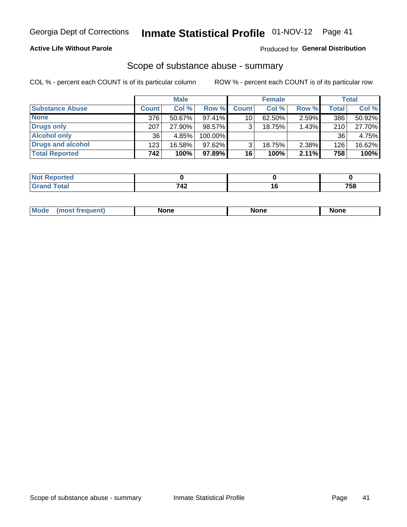### **Active Life Without Parole**

#### Produced for General Distribution

### Scope of substance abuse - summary

COL % - percent each COUNT is of its particular column

|                        |              | <b>Male</b> |         |              | <b>Female</b> |          |              | <b>Total</b> |
|------------------------|--------------|-------------|---------|--------------|---------------|----------|--------------|--------------|
| <b>Substance Abuse</b> | <b>Count</b> | Col %       | Row %   | <b>Count</b> | Col %         | Row %    | <b>Total</b> | Col %        |
| <b>None</b>            | 376          | 50.67%      | 97.41%  | 10           | $62.50\%$     | $2.59\%$ | 386          | 50.92%       |
| <b>Drugs only</b>      | 207          | 27.90%      | 98.57%  |              | 18.75%        | 1.43%    | 210          | 27.70%       |
| <b>Alcohol only</b>    | 36           | 4.85%       | 100.00% |              |               |          | 36           | 4.75%        |
| Drugs and alcohol      | 123          | 16.58%      | 97.62%  |              | 18.75%        | 2.38%    | 126          | 16.62%       |
| <b>Total Reported</b>  | 742          | 100%        | 97.89%  | 16           | 100%          | 2.11%    | 758          | 100%         |

| Reported      |      |            |
|---------------|------|------------|
| <b>c</b> otal | - 14 | 75 C<br>วง |

|  | Mode | None | <b>None</b> | None |
|--|------|------|-------------|------|
|--|------|------|-------------|------|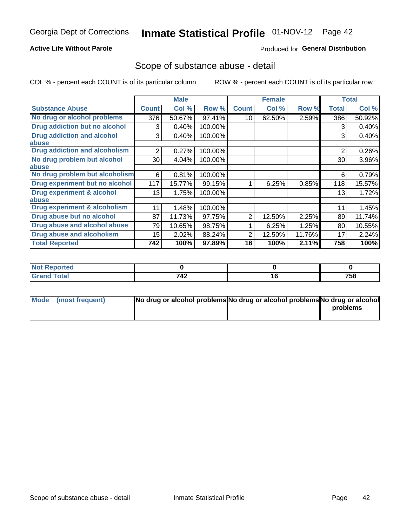### **Active Life Without Parole**

### **Produced for General Distribution**

### Scope of substance abuse - detail

COL % - percent each COUNT is of its particular column

|                                      |                | <b>Male</b> |         |              | <b>Female</b> |        |                | <b>Total</b> |
|--------------------------------------|----------------|-------------|---------|--------------|---------------|--------|----------------|--------------|
| <b>Substance Abuse</b>               | <b>Count</b>   | Col %       | Row %   | <b>Count</b> | Col %         | Row %  | <b>Total</b>   | Col %        |
| No drug or alcohol problems          | 376            | 50.67%      | 97.41%  | 10           | 62.50%        | 2.59%  | 386            | 50.92%       |
| Drug addiction but no alcohol        | 3              | 0.40%       | 100.00% |              |               |        | 3              | 0.40%        |
| <b>Drug addiction and alcohol</b>    | 3              | 0.40%       | 100.00% |              |               |        | 3              | 0.40%        |
| abuse                                |                |             |         |              |               |        |                |              |
| <b>Drug addiction and alcoholism</b> | $\overline{2}$ | 0.27%       | 100.00% |              |               |        | $\overline{2}$ | 0.26%        |
| No drug problem but alcohol          | 30             | 4.04%       | 100.00% |              |               |        | 30             | 3.96%        |
| abuse                                |                |             |         |              |               |        |                |              |
| No drug problem but alcoholism       | 6              | 0.81%       | 100.00% |              |               |        | 6              | 0.79%        |
| Drug experiment but no alcohol       | 117            | 15.77%      | 99.15%  |              | 6.25%         | 0.85%  | 118            | 15.57%       |
| <b>Drug experiment &amp; alcohol</b> | 13             | 1.75%       | 100.00% |              |               |        | 13             | 1.72%        |
| abuse                                |                |             |         |              |               |        |                |              |
| Drug experiment & alcoholism         | 11             | 1.48%       | 100.00% |              |               |        | 11             | 1.45%        |
| Drug abuse but no alcohol            | 87             | 11.73%      | 97.75%  | 2            | 12.50%        | 2.25%  | 89             | 11.74%       |
| Drug abuse and alcohol abuse         | 79             | 10.65%      | 98.75%  |              | 6.25%         | 1.25%  | 80             | 10.55%       |
| <b>Drug abuse and alcoholism</b>     | 15             | 2.02%       | 88.24%  | 2            | 12.50%        | 11.76% | 17             | 2.24%        |
| <b>Total Reported</b>                | 742            | 100%        | 97.89%  | 16           | 100%          | 2.11%  | 758            | 100%         |

| ported      |              |     |
|-------------|--------------|-----|
| <b>otal</b> | 712<br>- - - | 758 |

| Mode (most frequent) | No drug or alcohol problems No drug or alcohol problems No drug or alcohol |          |
|----------------------|----------------------------------------------------------------------------|----------|
|                      |                                                                            | problems |
|                      |                                                                            |          |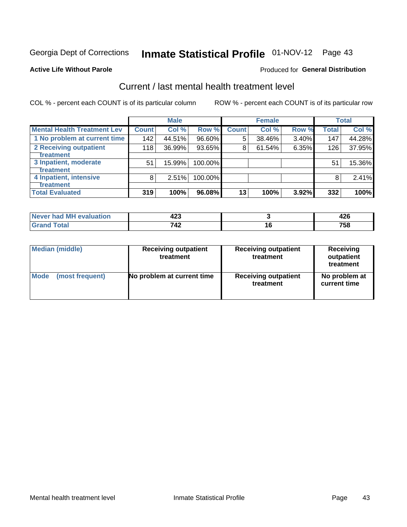# Inmate Statistical Profile 01-NOV-12 Page 43

#### **Active Life Without Parole**

#### Produced for General Distribution

## Current / last mental health treatment level

COL % - percent each COUNT is of its particular column

|                                    |              | <b>Male</b> |         |                 | <b>Female</b> |       |              | <b>Total</b> |
|------------------------------------|--------------|-------------|---------|-----------------|---------------|-------|--------------|--------------|
| <b>Mental Health Treatment Lev</b> | <b>Count</b> | Col%        | Row %   | <b>Count</b>    | Col%          | Row % | <b>Total</b> | Col %        |
| 1 No problem at current time       | 142          | 44.51%      | 96.60%  | 5               | 38.46%        | 3.40% | 147          | 44.28%       |
| 2 Receiving outpatient             | 118          | 36.99%      | 93.65%  | 8               | 61.54%        | 6.35% | 126          | 37.95%       |
| <b>Treatment</b>                   |              |             |         |                 |               |       |              |              |
| 3 Inpatient, moderate              | 51           | 15.99%      | 100.00% |                 |               |       | 51           | 15.36%       |
| <b>Treatment</b>                   |              |             |         |                 |               |       |              |              |
| 4 Inpatient, intensive             | 8            | 2.51%       | 100.00% |                 |               |       | 8            | 2.41%        |
| <b>Treatment</b>                   |              |             |         |                 |               |       |              |              |
| <b>Total Evaluated</b>             | 319          | 100%        | 96.08%  | 13 <sub>1</sub> | 100%          | 3.92% | 332          | 100%         |

| Never had MH evaluation | י ה<br>46 J |     |     |
|-------------------------|-------------|-----|-----|
| Total                   | 742         | ı u | 758 |

| <b>Median (middle)</b> | <b>Receiving outpatient</b><br>treatment | <b>Receiving outpatient</b><br>treatment | <b>Receiving</b><br>outpatient<br>treatment |
|------------------------|------------------------------------------|------------------------------------------|---------------------------------------------|
| <b>Mode</b>            | No problem at current time               | <b>Receiving outpatient</b>              | No problem at                               |
| (most frequent)        |                                          | treatment                                | current time                                |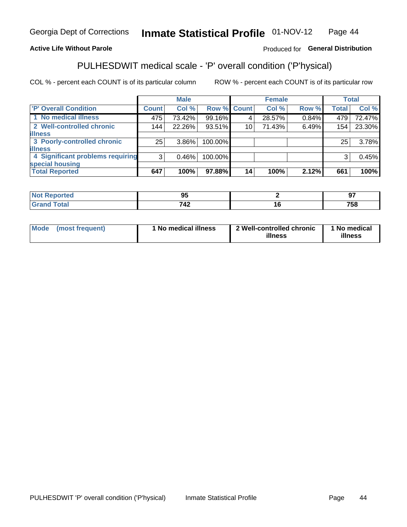#### Inmate Statistical Profile 01-NOV-12 Page 44

### **Active Life Without Parole**

### Produced for General Distribution

## PULHESDWIT medical scale - 'P' overall condition ('P'hysical)

COL % - percent each COUNT is of its particular column

|                                  |                | <b>Male</b> |             |    | <b>Female</b> |       |              | <b>Total</b> |
|----------------------------------|----------------|-------------|-------------|----|---------------|-------|--------------|--------------|
| 'P' Overall Condition            | <b>Count</b>   | Col %       | Row % Count |    | Col %         | Row % | <b>Total</b> | Col %        |
| 1 No medical illness             | 475            | 73.42%      | 99.16%      |    | 28.57%        | 0.84% | 479          | 72.47%       |
| 2 Well-controlled chronic        | 144            | 22.26%      | 93.51%      | 10 | 71.43%        | 6.49% | 154          | 23.30%       |
| <b>illness</b>                   |                |             |             |    |               |       |              |              |
| 3 Poorly-controlled chronic      | 25             | $3.86\%$    | 100.00%     |    |               |       | 25           | 3.78%        |
| <b>illness</b>                   |                |             |             |    |               |       |              |              |
| 4 Significant problems requiring | 3 <sub>1</sub> | 0.46%       | 100.00%     |    |               |       | 3            | 0.45%        |
| special housing                  |                |             |             |    |               |       |              |              |
| <b>Total Reported</b>            | 647            | 100%        | 97.88%      | 14 | 100%          | 2.12% | 661          | 100%         |

| oи<br>--              | $ -$<br>c<br>-- |
|-----------------------|-----------------|
| - - -<br>$\mathbf{r}$ | ---<br>,,<br>ວເ |

| <b>Mode</b> | (most frequent) | 1 No medical illness | 2 Well-controlled chronic<br>illness | 1 No medical<br>illness |
|-------------|-----------------|----------------------|--------------------------------------|-------------------------|
|-------------|-----------------|----------------------|--------------------------------------|-------------------------|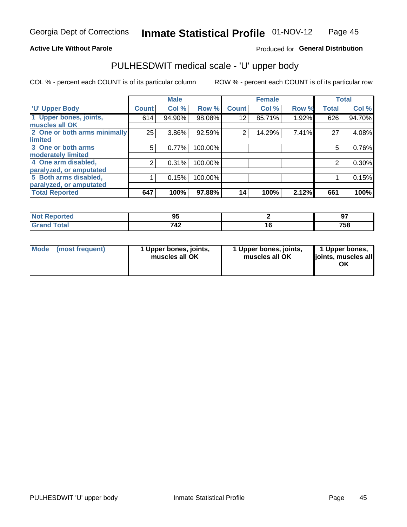### **Active Life Without Parole**

### Produced for General Distribution

## PULHESDWIT medical scale - 'U' upper body

COL % - percent each COUNT is of its particular column

|                              |                | <b>Male</b> |         |              | <b>Female</b> |       |              | <b>Total</b> |
|------------------------------|----------------|-------------|---------|--------------|---------------|-------|--------------|--------------|
| <b>'U' Upper Body</b>        | <b>Count</b>   | Col %       | Row %   | <b>Count</b> | Col %         | Row % | <b>Total</b> | Col %        |
| 1 Upper bones, joints,       | 614            | 94.90%      | 98.08%  | 12           | 85.71%        | 1.92% | 626          | 94.70%       |
| muscles all OK               |                |             |         |              |               |       |              |              |
| 2 One or both arms minimally | 25             | 3.86%       | 92.59%  | 2            | 14.29%        | 7.41% | 27           | 4.08%        |
| limited                      |                |             |         |              |               |       |              |              |
| 3 One or both arms           | 5              | 0.77%       | 100.00% |              |               |       | 5            | 0.76%        |
| <b>moderately limited</b>    |                |             |         |              |               |       |              |              |
| 4 One arm disabled,          | $\overline{2}$ | 0.31%       | 100.00% |              |               |       | 2            | 0.30%        |
| paralyzed, or amputated      |                |             |         |              |               |       |              |              |
| 5 Both arms disabled,        |                | 0.15%       | 100.00% |              |               |       |              | 0.15%        |
| paralyzed, or amputated      |                |             |         |              |               |       |              |              |
| <b>Total Reported</b>        | 647            | 100%        | 97.88%  | 14           | 100%          | 2.12% | 661          | 100%         |

| <b>Not Reported</b> | - -<br>◡ | ົ<br>J.     |
|---------------------|----------|-------------|
| <b>Grand Total</b>  | 742      | 750<br>סכ ו |

| Mode<br>(most frequent) | 1 Upper bones, joints,<br>muscles all OK | 1 Upper bones, joints,<br>muscles all OK | 1 Upper bones,<br>joints, muscles all<br>ΟK |
|-------------------------|------------------------------------------|------------------------------------------|---------------------------------------------|
|-------------------------|------------------------------------------|------------------------------------------|---------------------------------------------|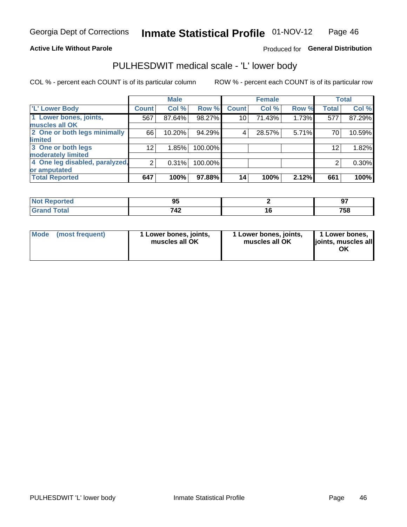### **Active Life Without Parole**

### Produced for General Distribution

### PULHESDWIT medical scale - 'L' lower body

COL % - percent each COUNT is of its particular column

|                                |                 | <b>Male</b> |         |              | <b>Female</b> |       |              | <b>Total</b> |
|--------------------------------|-----------------|-------------|---------|--------------|---------------|-------|--------------|--------------|
| 'L' Lower Body                 | <b>Count</b>    | Col %       | Row %   | <b>Count</b> | Col %         | Row % | <b>Total</b> | Col %        |
| 1 Lower bones, joints,         | 567             | 87.64%      | 98.27%  | 10           | 71.43%        | 1.73% | 577          | 87.29%       |
| muscles all OK                 |                 |             |         |              |               |       |              |              |
| 2 One or both legs minimally   | 66              | 10.20%      | 94.29%  | 4            | 28.57%        | 5.71% | 70           | 10.59%       |
| limited                        |                 |             |         |              |               |       |              |              |
| 3 One or both legs             | 12 <sub>2</sub> | 1.85%       | 100.00% |              |               |       | 12           | 1.82%        |
| moderately limited             |                 |             |         |              |               |       |              |              |
| 4 One leg disabled, paralyzed, | $\overline{2}$  | 0.31%       | 100.00% |              |               |       | 2            | 0.30%        |
| or amputated                   |                 |             |         |              |               |       |              |              |
| <b>Total Reported</b>          | 647             | 100%        | 97.88%  | 14           | 100%          | 2.12% | 661          | 100%         |

| ortea<br>NOT.<br>$\cdots$ | m<br>◡       | Ω7          |
|---------------------------|--------------|-------------|
| <b>Total</b><br>_____     | フィつ<br>1 T L | ラヒぐ<br>75 I |

| Mode | (most frequent) | 1 Lower bones, joints,<br>muscles all OK | 1 Lower bones, joints,<br>muscles all OK | 1 Lower bones,<br>ljoints, muscles all<br>ΟK |
|------|-----------------|------------------------------------------|------------------------------------------|----------------------------------------------|
|------|-----------------|------------------------------------------|------------------------------------------|----------------------------------------------|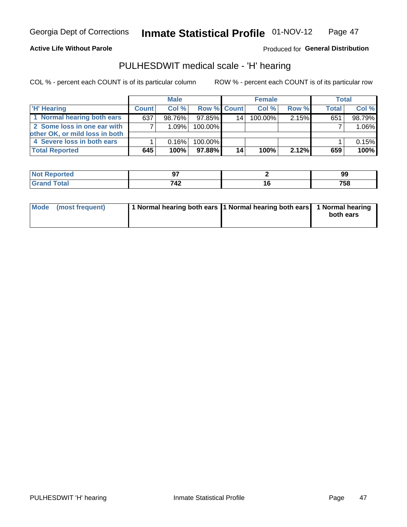### **Active Life Without Parole**

### Produced for General Distribution

### PULHESDWIT medical scale - 'H' hearing

COL % - percent each COUNT is of its particular column

|                                | <b>Male</b>  |        | <b>Female</b>      |    |         | <b>Total</b> |              |        |
|--------------------------------|--------------|--------|--------------------|----|---------|--------------|--------------|--------|
| <b>H' Hearing</b>              | <b>Count</b> | Col%   | <b>Row % Count</b> |    | Col %   | Row %        | <b>Total</b> | Col %  |
| 1 Normal hearing both ears     | 637          | 98.76% | 97.85%             | 14 | 100.00% | 2.15%        | 651          | 98.79% |
| 2 Some loss in one ear with    |              | 1.09%  | 100.00%            |    |         |              |              | 1.06%  |
| other OK, or mild loss in both |              |        |                    |    |         |              |              |        |
| 4 Severe loss in both ears     |              | 0.16%  | 100.00%            |    |         |              |              | 0.15%  |
| <b>Total Reported</b>          | 645          | 100%   | 97.88%             | 14 | 100%    | 2.12%        | 659          | 100%   |

| к∺∙    | --       | - -<br>ಀಀ |
|--------|----------|-----------|
| $\sim$ | 740<br>╌ | 758       |

| Mode (most frequent) | 1 Normal hearing both ears 1 Normal hearing both ears 1 Normal hearing |           |
|----------------------|------------------------------------------------------------------------|-----------|
|                      |                                                                        | both ears |
|                      |                                                                        |           |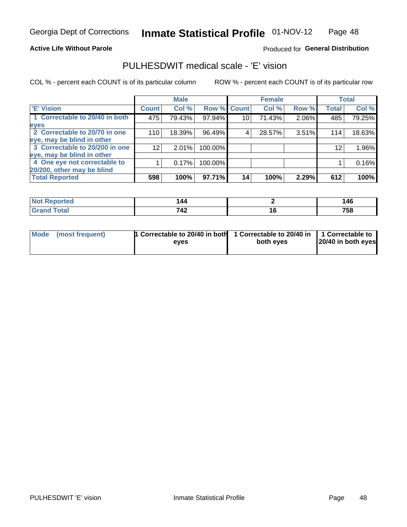### **Active Life Without Parole**

### Produced for General Distribution

### PULHESDWIT medical scale - 'E' vision

COL % - percent each COUNT is of its particular column

|                                |              | <b>Male</b> |         |                 | <b>Female</b> |       |              | <b>Total</b> |
|--------------------------------|--------------|-------------|---------|-----------------|---------------|-------|--------------|--------------|
| <b>E' Vision</b>               | <b>Count</b> | Col %       | Row %   | <b>Count</b>    | Col %         | Row % | <b>Total</b> | Col %        |
| 1 Correctable to 20/40 in both | 475          | 79.43%      | 97.94%  | 10 <sub>1</sub> | 71.43%        | 2.06% | 485          | 79.25%       |
| eyes                           |              |             |         |                 |               |       |              |              |
| 2 Correctable to 20/70 in one  | 110          | 18.39%      | 96.49%  | 4               | 28.57%        | 3.51% | 114          | 18.63%       |
| eye, may be blind in other     |              |             |         |                 |               |       |              |              |
| 3 Correctable to 20/200 in one | 12           | 2.01%       | 100.00% |                 |               |       | 12           | 1.96%        |
| eye, may be blind in other     |              |             |         |                 |               |       |              |              |
| 4 One eye not correctable to   |              | 0.17%       | 100.00% |                 |               |       |              | 0.16%        |
| 20/200, other may be blind     |              |             |         |                 |               |       |              |              |
| <b>Total Reported</b>          | 598          | 100%        | 97.71%  | 14              | 100%          | 2.29% | 612          | 100%         |

| <b>orted</b><br><b>NOT REPO</b><br>$\cdots$ | 144        |     | .40                     |
|---------------------------------------------|------------|-----|-------------------------|
| Total                                       | 749<br>142 | 1 V | 7 <sub>E</sub><br>7 J O |

| Mode (most frequent) | <sup>1</sup> Correctable to 20/40 in both 1 Correctable to 20/40 in 1 Correctable to<br>eves | both eyes | 20/40 in both eyes |
|----------------------|----------------------------------------------------------------------------------------------|-----------|--------------------|
|                      |                                                                                              |           |                    |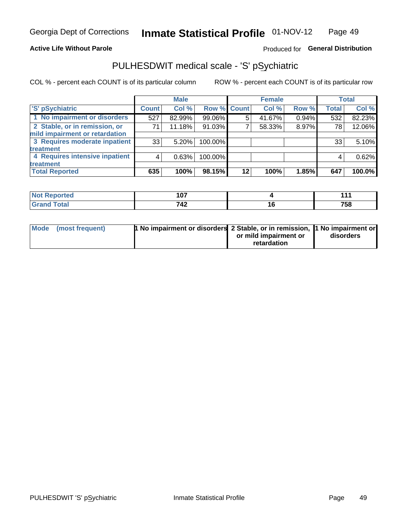### **Active Life Without Parole**

### Produced for General Distribution

## PULHESDWIT medical scale - 'S' pSychiatric

COL % - percent each COUNT is of its particular column

|                                |              | <b>Male</b> |             |    | <b>Female</b> |       |              | <b>Total</b> |
|--------------------------------|--------------|-------------|-------------|----|---------------|-------|--------------|--------------|
| 'S' pSychiatric                | <b>Count</b> | Col %       | Row % Count |    | Col %         | Row % | <b>Total</b> | Col %        |
| 1 No impairment or disorders   | 527          | 82.99%      | 99.06%      |    | 41.67%        | 0.94% | 532          | 82.23%       |
| 2 Stable, or in remission, or  | 71           | 11.18%      | 91.03%      |    | 58.33%        | 8.97% | 78           | 12.06%       |
| mild impairment or retardation |              |             |             |    |               |       |              |              |
| 3 Requires moderate inpatient  | 33           | 5.20%       | 100.00%     |    |               |       | 33           | 5.10%        |
| treatment                      |              |             |             |    |               |       |              |              |
| 4 Requires intensive inpatient | 4            | 0.63%       | 100.00%     |    |               |       | 4            | 0.62%        |
| treatment                      |              |             |             |    |               |       |              |              |
| <b>Total Reported</b>          | 635          | 100%        | 98.15%      | 12 | 100%          | 1.85% | 647          | 100.0%       |

| - - -<br>1 U<br>$ -$ | - - - |
|----------------------|-------|
| 740<br>.             | 758   |

| Mode (most frequent) | <sup>1</sup> No impairment or disorders 2 Stable, or in remission, <sup>1</sup> No impairment or |                       |           |
|----------------------|--------------------------------------------------------------------------------------------------|-----------------------|-----------|
|                      |                                                                                                  | or mild impairment or | disorders |
|                      |                                                                                                  | retardation           |           |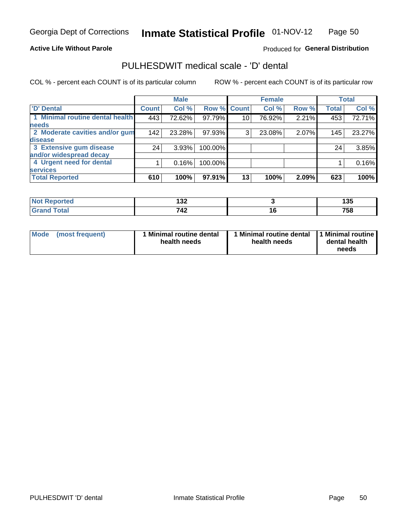### **Active Life Without Parole**

### Produced for General Distribution

### PULHESDWIT medical scale - 'D' dental

COL % - percent each COUNT is of its particular column

|                                 |              | <b>Male</b> |         |                 | <b>Female</b> |       |              | <b>Total</b> |
|---------------------------------|--------------|-------------|---------|-----------------|---------------|-------|--------------|--------------|
| <b>D'</b> Dental                | <b>Count</b> | Col %       |         | Row % Count     | Col %         | Row % | <b>Total</b> | Col %        |
| 1 Minimal routine dental health | 443          | 72.62%      | 97.79%  | 10 <sub>1</sub> | 76.92%        | 2.21% | 453          | 72.71%       |
| <b>needs</b>                    |              |             |         |                 |               |       |              |              |
| 2 Moderate cavities and/or gum  | 142          | 23.28%      | 97.93%  | 3               | 23.08%        | 2.07% | 145          | 23.27%       |
| disease                         |              |             |         |                 |               |       |              |              |
| 3 Extensive gum disease         | 24           | 3.93%       | 100.00% |                 |               |       | 24           | 3.85%        |
| and/or widespread decay         |              |             |         |                 |               |       |              |              |
| 4 Urgent need for dental        |              | 0.16%       | 100.00% |                 |               |       |              | 0.16%        |
| <b>services</b>                 |              |             |         |                 |               |       |              |              |
| <b>Total Reported</b>           | 610          | 100%        | 97.91%  | 13              | 100%          | 2.09% | 623          | 100%         |

| المناسب المتعاد<br>rtea<br>. | .<br>.<br>45 |    | .<br>w      |
|------------------------------|--------------|----|-------------|
| $f \sim f \sim f$<br>l Utal  | 740<br>$44-$ | __ | ラヒロ<br>့ ၁၀ |

| Mode | (most frequent) | <b>Minimal routine dental</b><br>health needs | 1 Minimal routine dental 1 Minimal routine<br>health needs | dental health<br>needs |
|------|-----------------|-----------------------------------------------|------------------------------------------------------------|------------------------|
|------|-----------------|-----------------------------------------------|------------------------------------------------------------|------------------------|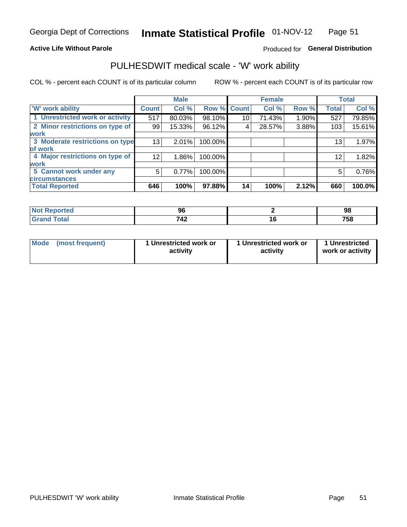### **Active Life Without Parole**

### Produced for General Distribution

### PULHESDWIT medical scale - 'W' work ability

COL % - percent each COUNT is of its particular column

|                                 |                 | <b>Male</b> |         |             | <b>Female</b> |       |              | <b>Total</b> |
|---------------------------------|-----------------|-------------|---------|-------------|---------------|-------|--------------|--------------|
| <b>W' work ability</b>          | <b>Count</b>    | Col %       |         | Row % Count | Col %         | Row % | <b>Total</b> | Col %        |
| 1 Unrestricted work or activity | 517             | 80.03%      | 98.10%  | 10          | 71.43%        | 1.90% | 527          | 79.85%       |
| 2 Minor restrictions on type of | 99              | 15.33%      | 96.12%  | 4           | 28.57%        | 3.88% | 103          | 15.61%       |
| <b>work</b>                     |                 |             |         |             |               |       |              |              |
| 3 Moderate restrictions on type | 13              | 2.01%       | 100.00% |             |               |       | 13           | 1.97%        |
| of work                         |                 |             |         |             |               |       |              |              |
| 4 Major restrictions on type of | 12 <sub>1</sub> | $1.86\%$    | 100.00% |             |               |       | 12           | 1.82%        |
| <b>work</b>                     |                 |             |         |             |               |       |              |              |
| 5 Cannot work under any         | 5               | 0.77%       | 100.00% |             |               |       | 5            | 0.76%        |
| <b>circumstances</b>            |                 |             |         |             |               |       |              |              |
| <b>Total Reported</b>           | 646             | 100%        | 97.88%  | 14          | 100%          | 2.12% | 660          | 100.0%       |

| <b>Not Reported</b> | Ωú<br>JU | 98  |
|---------------------|----------|-----|
| <b>Grand Total</b>  | 742      | 758 |

| <b>Mode</b> | (most frequent) | 1 Unrestricted work or<br>activity | 1 Unrestricted work or<br>activity | 1 Unrestricted<br>work or activity |
|-------------|-----------------|------------------------------------|------------------------------------|------------------------------------|
|-------------|-----------------|------------------------------------|------------------------------------|------------------------------------|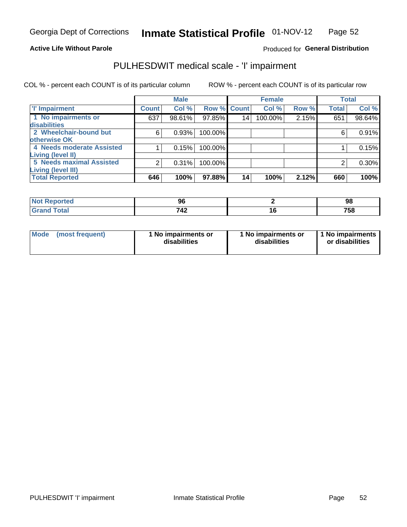### **Active Life Without Parole**

### Produced for General Distribution

## PULHESDWIT medical scale - 'I' impairment

|                           |                | <b>Male</b> |             |    | <b>Female</b> |       |              | <b>Total</b> |
|---------------------------|----------------|-------------|-------------|----|---------------|-------|--------------|--------------|
| <b>T' Impairment</b>      | <b>Count</b>   | Col %       | Row % Count |    | Col %         | Row % | <b>Total</b> | Col %        |
| 1 No impairments or       | 637            | 98.61%      | 97.85%      | 14 | 100.00%       | 2.15% | 651          | 98.64%       |
| disabilities              |                |             |             |    |               |       |              |              |
| 2 Wheelchair-bound but    | 6              | 0.93%       | 100.00%     |    |               |       | 6            | 0.91%        |
| otherwise OK              |                |             |             |    |               |       |              |              |
| 4 Needs moderate Assisted |                | 0.15%       | 100.00%     |    |               |       |              | 0.15%        |
| Living (level II)         |                |             |             |    |               |       |              |              |
| 5 Needs maximal Assisted  | $\overline{2}$ | 0.31%       | 100.00%     |    |               |       |              | $0.30\%$     |
| <b>Living (level III)</b> |                |             |             |    |               |       |              |              |
| <b>Total Reported</b>     | 646            | 100%        | 97.88%      | 14 | 100%          | 2.12% | 660          | 100%         |

| orted | ັບ  | 98  |
|-------|-----|-----|
|       | 712 | 758 |

| Mode | (most frequent) | 1 No impairments or<br>disabilities | 1 No impairments or<br>disabilities | 1 No impairments  <br>or disabilities |
|------|-----------------|-------------------------------------|-------------------------------------|---------------------------------------|
|------|-----------------|-------------------------------------|-------------------------------------|---------------------------------------|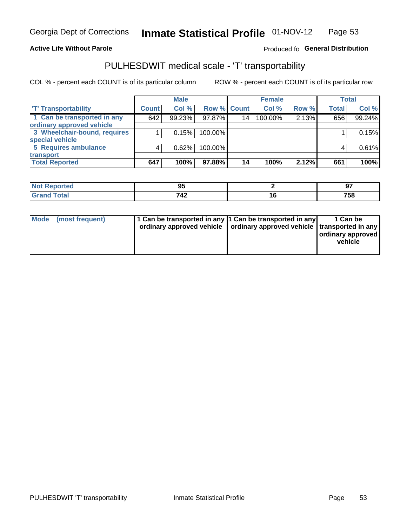### **Active Life Without Parole**

### Produced fo General Distribution

### PULHESDWIT medical scale - 'T' transportability

COL % - percent each COUNT is of its particular column

|                              |              | <b>Male</b> |             |    | <b>Female</b> |       |              | <b>Total</b> |
|------------------------------|--------------|-------------|-------------|----|---------------|-------|--------------|--------------|
| <b>T' Transportability</b>   | <b>Count</b> | Col %       | Row % Count |    | Col %         | Row % | <b>Total</b> | Col %        |
| 1 Can be transported in any  | 642          | 99.23%      | $97.87\%$   | 14 | 100.00%       | 2.13% | 656          | 99.24%       |
| ordinary approved vehicle    |              |             |             |    |               |       |              |              |
| 3 Wheelchair-bound, requires |              | 0.15%       | 100.00%     |    |               |       |              | 0.15%        |
| special vehicle              |              |             |             |    |               |       |              |              |
| 5 Requires ambulance         |              | 0.62%       | 100.00%     |    |               |       |              | 0.61%        |
| transport                    |              |             |             |    |               |       |              |              |
| <b>Total Reported</b>        | 647          | 100%        | 97.88%      | 14 | 100%          | 2.12% | 661          | 100%         |

| ≺eporteal   | - -<br>ື |   | $\sim$ $\sim$ |
|-------------|----------|---|---------------|
| <b>otal</b> | 712      | u | 758           |

| Mode (most frequent) | 1 Can be transported in any 1 Can be transported in any | ordinary approved vehicle   ordinary approved vehicle   transported in any | 1 Can be<br>ordinary approved<br>vehicle |
|----------------------|---------------------------------------------------------|----------------------------------------------------------------------------|------------------------------------------|
|                      |                                                         |                                                                            |                                          |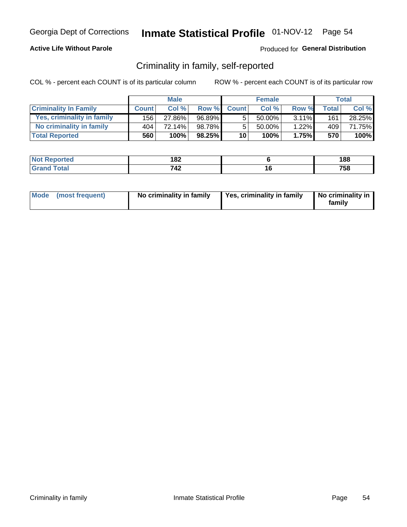### **Active Life Without Parole**

### Produced for General Distribution

### Criminality in family, self-reported

COL % - percent each COUNT is of its particular column

|                              |              | <b>Male</b> |        |                 | <b>Female</b> |          |       | Total  |
|------------------------------|--------------|-------------|--------|-----------------|---------------|----------|-------|--------|
| <b>Criminality In Family</b> | <b>Count</b> | Col%        | Row %  | <b>Count</b>    | Col %         | Row %    | Total | Col %  |
| Yes, criminality in family   | 156          | 27.86%      | 96.89% | 5               | $50.00\%$ .   | $3.11\%$ | 161   | 28.25% |
| No criminality in family     | 404          | 72.14%      | 98.78% | 5               | 50.00%        | $1.22\%$ | 409   | 71.75% |
| <b>Total Reported</b>        | 560          | 100%        | 98.25% | 10 <sup>1</sup> | 100%          | 1.75%    | 570   | 100%   |

| <b>Not Reported</b> | ៱៰៱<br>∘∝ | 188 |
|---------------------|-----------|-----|
| <b>Total</b>        | 740<br>42 | 758 |

|  | Mode (most frequent) | No criminality in family | Yes, criminality in family | No criminality in<br>family |
|--|----------------------|--------------------------|----------------------------|-----------------------------|
|--|----------------------|--------------------------|----------------------------|-----------------------------|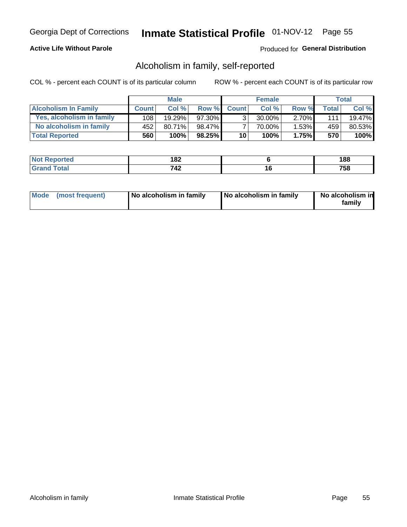### **Active Life Without Parole**

### Produced for General Distribution

### Alcoholism in family, self-reported

COL % - percent each COUNT is of its particular column

|                             |              | <b>Male</b> |           |                 | <b>Female</b> |          |       | Total  |
|-----------------------------|--------------|-------------|-----------|-----------------|---------------|----------|-------|--------|
| <b>Alcoholism In Family</b> | <b>Count</b> | $Col \%$    | Row %     | <b>Count</b>    | Col%          | Row %    | Total | Col %  |
| Yes, alcoholism in family   | 108          | 19.29%      | 97.30%    | $\mathbf{r}$    | $30.00\%$     | $2.70\%$ | 111   | 19.47% |
| No alcoholism in family     | 452          | $80.71\%$   | 98.47%    |                 | 70.00%        | $1.53\%$ | 459   | 80.53% |
| <b>Total Reported</b>       | 560          | 100%        | $98.25\%$ | 10 <sup>1</sup> | 100%          | 1.75%    | 570   | 100%   |

| المستعدد<br>≺eported<br>NO | 182 |     | 188        |
|----------------------------|-----|-----|------------|
| <b>otal</b>                | 742 | . v | 750<br>່ວເ |

|  | Mode (most frequent) | No alcoholism in family | No alcoholism in family | No alcoholism in<br>family |
|--|----------------------|-------------------------|-------------------------|----------------------------|
|--|----------------------|-------------------------|-------------------------|----------------------------|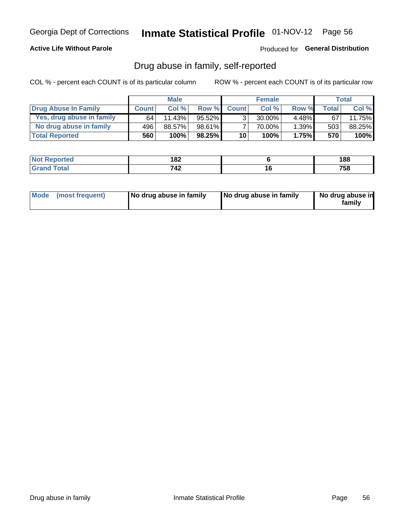### **Active Life Without Parole**

Produced for General Distribution

### Drug abuse in family, self-reported

COL % - percent each COUNT is of its particular column

|                           |              | <b>Male</b> |           |                 | <b>Female</b> |          |              | Total   |
|---------------------------|--------------|-------------|-----------|-----------------|---------------|----------|--------------|---------|
| Drug Abuse In Family      | <b>Count</b> | Col%        | Row %     | <b>Count</b>    | Col%          | Row %    | <b>Total</b> | Col %   |
| Yes, drug abuse in family | 64           | 11.43%      | 95.52%    | 3 <sub>1</sub>  | $30.00\%$     | $4.48\%$ | 67           | 11.75%  |
| No drug abuse in family   | 496          | 88.57%      | 98.61%    |                 | 70.00%        | 1.39%    | 503          | 88.25%  |
| <b>Total Reported</b>     | 560          | 100%        | $98.25\%$ | 10 <sub>1</sub> | 100%          | 1.75%    | 570          | $100\%$ |

| المستعدد<br>≺eported<br>NO | 182 |     | 188        |
|----------------------------|-----|-----|------------|
| <b>otal</b>                | 742 | . v | 750<br>່ວເ |

|  | Mode (most frequent) | No drug abuse in family | No drug abuse in family | No drug abuse in<br>family |
|--|----------------------|-------------------------|-------------------------|----------------------------|
|--|----------------------|-------------------------|-------------------------|----------------------------|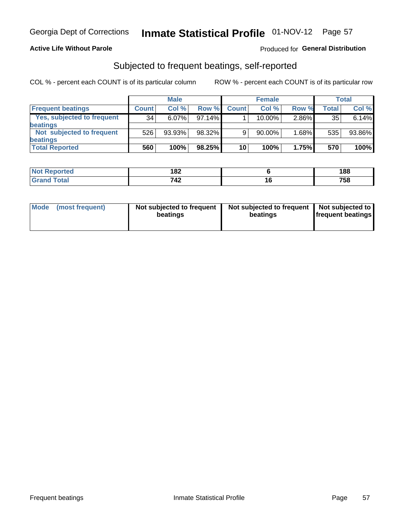### **Active Life Without Parole**

### Produced for General Distribution

### Subjected to frequent beatings, self-reported

COL % - percent each COUNT is of its particular column

|                                   |              | <b>Male</b> |           |              | <b>Female</b> |       |       | Total  |
|-----------------------------------|--------------|-------------|-----------|--------------|---------------|-------|-------|--------|
| <b>Frequent beatings</b>          | <b>Count</b> | Col %       | Row %     | <b>Count</b> | Col %         | Row % | Total | Col %  |
| <b>Yes, subjected to frequent</b> | 34           | $6.07\%$    | 97.14%    |              | 10.00%        | 2.86% | 35    | 6.14%  |
| <b>beatings</b>                   |              |             |           |              |               |       |       |        |
| Not subjected to frequent         | 526          | 93.93%      | 98.32%    | 9            | 90.00%        | 1.68% | 535   | 93.86% |
| <b>beatings</b>                   |              |             |           |              |               |       |       |        |
| <b>Total Reported</b>             | 560          | 100%        | $98.25\%$ | 10           | 100%          | 1.75% | 570   | 100%   |

| <b>Not Reported</b>          | 182 |     | 188 |
|------------------------------|-----|-----|-----|
| <b>Total</b><br><b>Grand</b> | 742 | ı u | 758 |

| (most frequent)<br>Not subjected to frequent<br>Mode<br>beatings | Not subjected to frequent   Not subjected to<br>beatings | <b>frequent beatings</b> |
|------------------------------------------------------------------|----------------------------------------------------------|--------------------------|
|------------------------------------------------------------------|----------------------------------------------------------|--------------------------|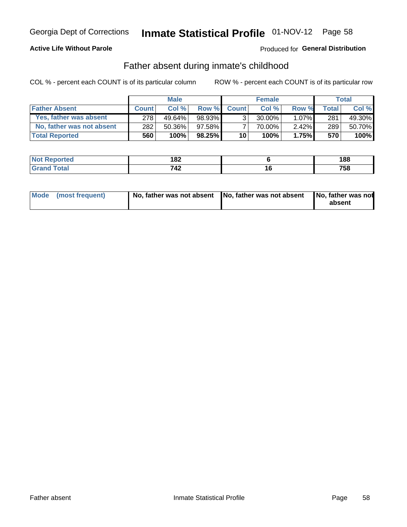### **Active Life Without Parole**

### **Produced for General Distribution**

### Father absent during inmate's childhood

COL % - percent each COUNT is of its particular column

|                           |              | <b>Male</b> |           |                 | <b>Female</b> |          |       | Total  |
|---------------------------|--------------|-------------|-----------|-----------------|---------------|----------|-------|--------|
| <b>Father Absent</b>      | <b>Count</b> | Col%        | Row %     | <b>Count</b>    | Col %         | Row %    | Total | Col %  |
| Yes, father was absent    | 278          | 49.64%      | 98.93%    | 3 <sub>1</sub>  | $30.00\%$     | $1.07\%$ | 281   | 49.30% |
| No, father was not absent | 282          | 50.36%      | 97.58%    |                 | 70.00%        | $2.42\%$ | 289   | 50.70% |
| <b>Total Reported</b>     | 560          | 100%        | $98.25\%$ | 10 <sup>1</sup> | 100%          | 1.75%    | 570   | 100%   |

| <b>Not Reported</b>          | ៱៰៱<br>∣ O∠ |   | 188 |
|------------------------------|-------------|---|-----|
| <b>Total</b><br><b>Grand</b> | 710<br>∡4′  | u | 758 |

|  | Mode (most frequent) | No, father was not absent No, father was not absent |  | No, father was not<br>absent |
|--|----------------------|-----------------------------------------------------|--|------------------------------|
|--|----------------------|-----------------------------------------------------|--|------------------------------|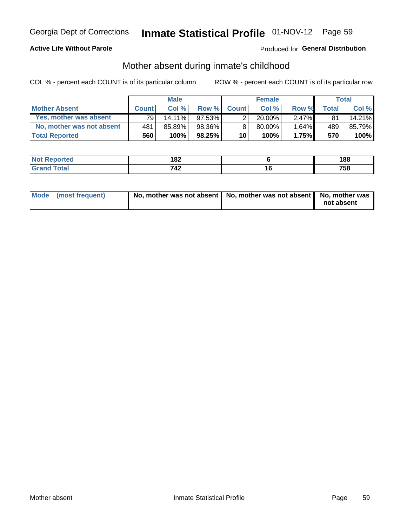### **Active Life Without Parole**

### **Produced for General Distribution**

### Mother absent during inmate's childhood

COL % - percent each COUNT is of its particular column

|                           |              | <b>Male</b> |           |                 | <b>Female</b> |          |              | Total  |
|---------------------------|--------------|-------------|-----------|-----------------|---------------|----------|--------------|--------|
| <b>Mother Absent</b>      | <b>Count</b> | Col%        | Row %     | <b>Count</b>    | Col%          | Row %    | <b>Total</b> | Col %  |
| Yes, mother was absent    | 791          | $14.11\%$   | 97.53%    | 2               | $20.00\%$     | $2.47\%$ | 81           | 14.21% |
| No. mother was not absent | 481          | 85.89%      | 98.36%    | 8               | 80.00%        | 1.64%    | 489          | 85.79% |
| <b>Total Reported</b>     | 560          | 100%        | $98.25\%$ | 10 <sup>1</sup> | 100%          | 1.75%    | 570          | 100%   |

| <b>Not Reported</b> | 182 |     | 188 |
|---------------------|-----|-----|-----|
| <b>Grand Total</b>  | 742 | ı u | 758 |

| Mode (most frequent) | No, mother was not absent   No, mother was not absent   No, mother was | not absent |
|----------------------|------------------------------------------------------------------------|------------|
|----------------------|------------------------------------------------------------------------|------------|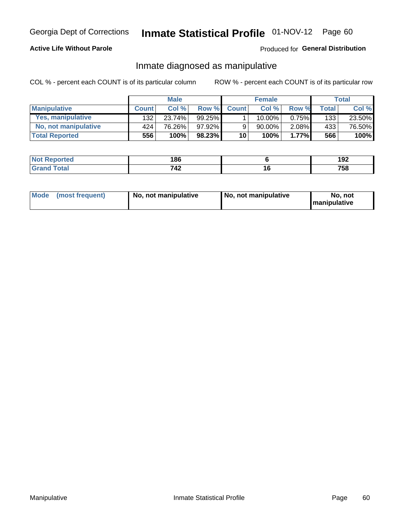### **Active Life Without Parole**

### Produced for General Distribution

### Inmate diagnosed as manipulative

COL % - percent each COUNT is of its particular column

|                          |              | <b>Male</b> |           |              | <b>Female</b> |          |              | Total  |
|--------------------------|--------------|-------------|-----------|--------------|---------------|----------|--------------|--------|
| <b>Manipulative</b>      | <b>Count</b> | Col %       | Row %     | <b>Count</b> | Col %         | Row %    | <b>Total</b> | Col %  |
| <b>Yes, manipulative</b> | 132          | 23.74%      | $99.25\%$ |              | $10.00\%$ .   | $0.75\%$ | 133          | 23.50% |
| No, not manipulative     | 424'         | 76.26%      | 97.92%    | 9            | 90.00%        | $2.08\%$ | 433          | 76.50% |
| <b>Total Reported</b>    | 556          | 100%        | 98.23%    | 10           | $100\%$       | 1.77%    | 566          | 100%   |

| <b>Not Reported</b>   | 186 |    | 100<br>אט ו |
|-----------------------|-----|----|-------------|
| <b>otal</b><br>l Gran | 742 | 10 | 758         |

| <b>Mode</b><br>(most frequent) | No, not manipulative | No, not manipulative | No. not<br><b>I</b> manipulative |
|--------------------------------|----------------------|----------------------|----------------------------------|
|--------------------------------|----------------------|----------------------|----------------------------------|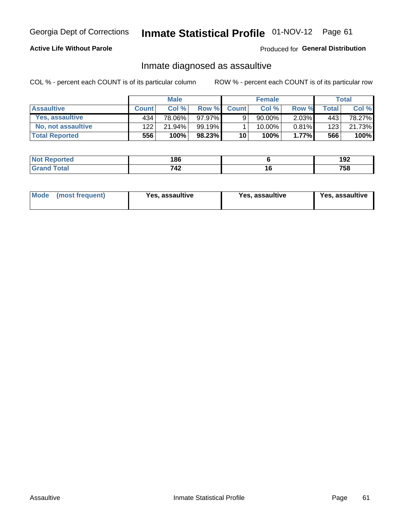# Inmate Statistical Profile 01-NOV-12 Page 61

### **Active Life Without Parole**

Produced for General Distribution

### Inmate diagnosed as assaultive

COL % - percent each COUNT is of its particular column

|                       |              | <b>Male</b> |        |              | <b>Female</b> |          |       | Total  |
|-----------------------|--------------|-------------|--------|--------------|---------------|----------|-------|--------|
| <b>Assaultive</b>     | <b>Count</b> | Col%        | Row %  | <b>Count</b> | Col%          | Row %    | Total | Col %  |
| Yes, assaultive       | 434          | 78.06%      | 97.97% | 9            | 90.00%        | $2.03\%$ | 443   | 78.27% |
| No, not assaultive    | 122          | 21.94%      | 99.19% |              | $10.00\%$ .   | $0.81\%$ | 123   | 21.73% |
| <b>Total Reported</b> | 556          | 100%        | 98.23% | 10           | 100%          | $1.77\%$ | 566   | 100%   |

| <b>Not Reported</b> | 186 |     | . מח<br>192 |
|---------------------|-----|-----|-------------|
| <b>Total</b>        | 742 | i U | 758         |

| Mode (most frequent)<br>Yes, assaultive | Yes, assaultive | <b>Yes, assaultive</b> |
|-----------------------------------------|-----------------|------------------------|
|-----------------------------------------|-----------------|------------------------|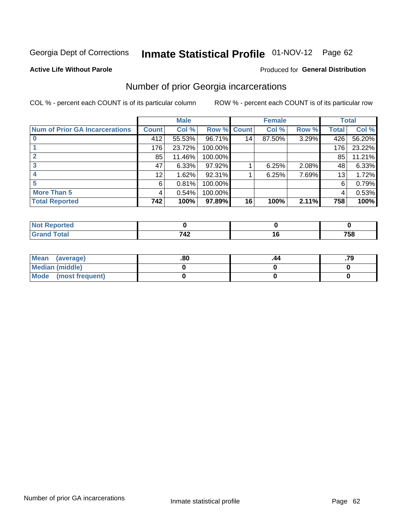# Inmate Statistical Profile 01-NOV-12 Page 62

#### **Active Life Without Parole**

#### Produced for General Distribution

### Number of prior Georgia incarcerations

COL % - percent each COUNT is of its particular column

|                                       | <b>Male</b>     |        |             |                 | <b>Female</b> | <b>Total</b> |                 |        |
|---------------------------------------|-----------------|--------|-------------|-----------------|---------------|--------------|-----------------|--------|
| <b>Num of Prior GA Incarcerations</b> | <b>Count</b>    | Col %  | Row % Count |                 | Col %         | Row %        | Total           | Col %  |
|                                       | 412             | 55.53% | 96.71%      | 14 <sub>1</sub> | 87.50%        | 3.29%        | 426             | 56.20% |
|                                       | 176             | 23.72% | 100.00%     |                 |               |              | 176             | 23.22% |
|                                       | 85              | 11.46% | 100.00%     |                 |               |              | 85              | 11.21% |
|                                       | 47              | 6.33%  | 97.92%      |                 | 6.25%         | 2.08%        | 48              | 6.33%  |
|                                       | 12 <sub>1</sub> | 1.62%  | 92.31%      |                 | 6.25%         | 7.69%        | 13 <sub>1</sub> | 1.72%  |
| 5                                     | 6               | 0.81%  | 100.00%     |                 |               |              | 6               | 0.79%  |
| <b>More Than 5</b>                    | 4               | 0.54%  | 100.00%     |                 |               |              | 4               | 0.53%  |
| <b>Total Reported</b>                 | 742             | 100%   | 97.89%      | 16              | 100%          | 2.11%        | 758             | 100%   |

| тео |              |            |
|-----|--------------|------------|
|     | <u> 174 </u> | ---<br>790 |

| Mean (average)       | .80 |  |
|----------------------|-----|--|
| Median (middle)      |     |  |
| Mode (most frequent) |     |  |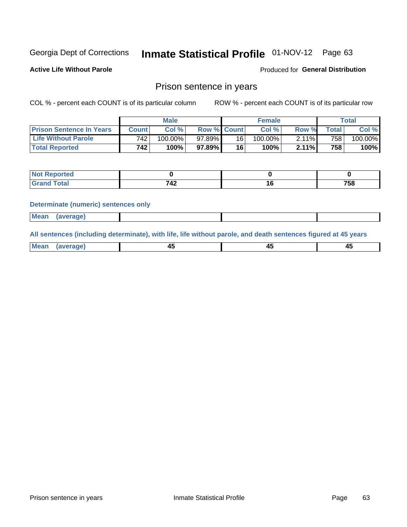# Inmate Statistical Profile 01-NOV-12 Page 63

**Active Life Without Parole** 

**Produced for General Distribution** 

### Prison sentence in years

COL % - percent each COUNT is of its particular column

ROW % - percent each COUNT is of its particular row

|                                 | <b>Male</b>  |            |                    | <b>Female</b> |            |       | $\mathsf{Total}$ |         |
|---------------------------------|--------------|------------|--------------------|---------------|------------|-------|------------------|---------|
| <b>Prison Sentence In Years</b> | <b>Count</b> | Col %      | <b>Row % Count</b> |               | Col %      | Row % | <b>Total</b>     | Col %   |
| <b>Life Without Parole</b>      | 742.         | $100.00\%$ | 97.89%             | 16            | $100.00\%$ | 2.11% | 758 <sub>1</sub> | 100.00% |
| <b>Total Reported</b>           | 742.         | 100%       | 97.89% I           | 16            | 100%       | 2.11% | 758              | 100%    |

| Not Reported |    |     |
|--------------|----|-----|
| <b>otal</b>  | 42 | 758 |

#### **Determinate (numeric) sentences only**

| <b>Mean</b><br><i>(average)</i> |  |
|---------------------------------|--|
|---------------------------------|--|

All sentences (including determinate), with life, life without parole, and death sentences figured at 45 years

| l Mea<br>апе<br>. | -⊷ |  |
|-------------------|----|--|
|                   |    |  |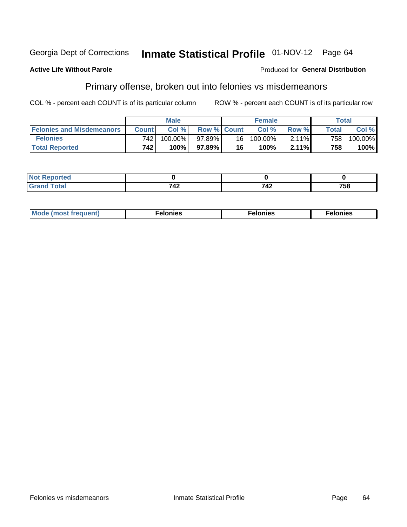#### **Active Life Without Parole**

### **Produced for General Distribution**

### Primary offense, broken out into felonies vs misdemeanors

COL % - percent each COUNT is of its particular column

|                                  | <b>Male</b>      |         |                    | <b>Female</b> |         |       | Total            |         |
|----------------------------------|------------------|---------|--------------------|---------------|---------|-------|------------------|---------|
| <b>Felonies and Misdemeanors</b> | <b>Count</b>     | Col%    | <b>Row % Count</b> |               | Col%    | Row % | <b>Total</b>     | Col %   |
| <b>Felonies</b>                  | 742 <sub>1</sub> | 100.00% | 97.89%             | 16 I          | 100.00% | 2.11% | 758 <sub>1</sub> | 100.00% |
| <b>Total Reported</b>            | 742              | 100%    | 97.89%             | 16            | $100\%$ | 2.11% | 758              | 100%    |

| <b>Not Reported</b>         |    |           |     |
|-----------------------------|----|-----------|-----|
| <b>Total</b><br>Gran<br>uuu | 44 | 749<br>44 | 758 |

| $Mc$<br>equent)<br>нез<br>$\sim$<br>. | onies<br>. | <b>onies</b><br>. |
|---------------------------------------|------------|-------------------|
|---------------------------------------|------------|-------------------|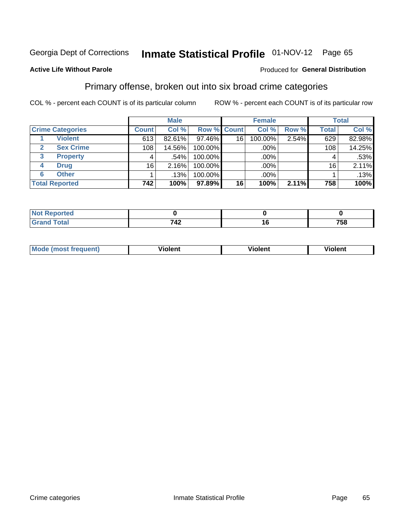## Inmate Statistical Profile 01-NOV-12 Page 65

### **Active Life Without Parole**

#### Produced for General Distribution

### Primary offense, broken out into six broad crime categories

COL % - percent each COUNT is of its particular column

|                         |              | <b>Male</b> |                    |    | <b>Female</b> |       |              | <b>Total</b> |
|-------------------------|--------------|-------------|--------------------|----|---------------|-------|--------------|--------------|
| <b>Crime Categories</b> | <b>Count</b> | Col %       | <b>Row % Count</b> |    | Col %         | Row % | <b>Total</b> | Col %        |
| <b>Violent</b>          | 613          | 82.61%      | 97.46%             | 16 | 100.00%       | 2.54% | 629          | 82.98%       |
| <b>Sex Crime</b>        | 108          | 14.56%      | 100.00%            |    | .00%          |       | 108          | 14.25%       |
| 3<br><b>Property</b>    | 4            | .54%        | 100.00%            |    | .00%          |       | 4            | .53%         |
| <b>Drug</b><br>4        | 16           | 2.16%       | 100.00%            |    | .00%          |       | 16           | $2.11\%$     |
| <b>Other</b><br>6       |              | .13%        | 100.00%            |    | .00%          |       |              | .13%         |
| <b>Total Reported</b>   | 742          | 100%        | 97.89%             | 16 | 100%          | 2.11% | 758          | 100%         |

| <b>Not Reported</b> |             |     |
|---------------------|-------------|-----|
| <b>Total</b>        | フィク<br>אד ו | 758 |

| M | <br>. |  |
|---|-------|--|
|   |       |  |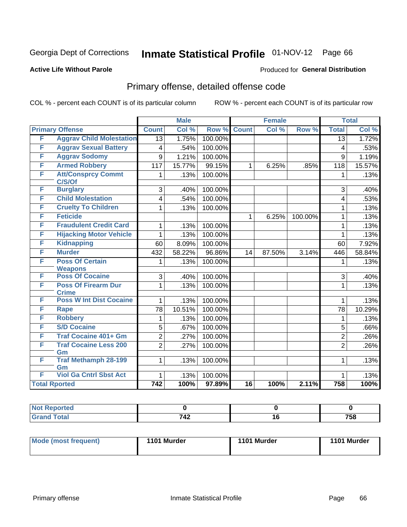## Inmate Statistical Profile 01-NOV-12 Page 66

### **Active Life Without Parole**

#### Produced for General Distribution

## Primary offense, detailed offense code

COL % - percent each COUNT is of its particular column

|   |                                                |                  | <b>Male</b> |         | <b>Female</b>   |        |         | <b>Total</b>   |        |
|---|------------------------------------------------|------------------|-------------|---------|-----------------|--------|---------|----------------|--------|
|   | <b>Primary Offense</b>                         | <b>Count</b>     | Col %       | Row %   | <b>Count</b>    | Col %  | Row %   | <b>Total</b>   | Col %  |
| F | <b>Aggrav Child Molestation</b>                | 13               | 1.75%       | 100.00% |                 |        |         | 13             | 1.72%  |
| F | <b>Aggrav Sexual Battery</b>                   | 4                | .54%        | 100.00% |                 |        |         | 4              | .53%   |
| F | <b>Aggrav Sodomy</b>                           | 9                | 1.21%       | 100.00% |                 |        |         | 9              | 1.19%  |
| F | <b>Armed Robbery</b>                           | 117              | 15.77%      | 99.15%  | 1               | 6.25%  | .85%    | 118            | 15.57% |
| F | <b>Att/Consprcy Commt</b><br>C/S/Of            | 1                | .13%        | 100.00% |                 |        |         | 1              | .13%   |
| F | <b>Burglary</b>                                | 3                | .40%        | 100.00% |                 |        |         | 3              | .40%   |
| F | <b>Child Molestation</b>                       | 4                | .54%        | 100.00% |                 |        |         | 4              | .53%   |
| F | <b>Cruelty To Children</b>                     | 1                | .13%        | 100.00% |                 |        |         | 1              | .13%   |
| F | <b>Feticide</b>                                |                  |             |         | 1               | 6.25%  | 100.00% | 1              | .13%   |
| F | <b>Fraudulent Credit Card</b>                  | 1                | .13%        | 100.00% |                 |        |         | $\mathbf{1}$   | .13%   |
| F | <b>Hijacking Motor Vehicle</b>                 | 1                | .13%        | 100.00% |                 |        |         | 1              | .13%   |
| F | <b>Kidnapping</b>                              | 60               | 8.09%       | 100.00% |                 |        |         | 60             | 7.92%  |
| F | <b>Murder</b>                                  | 432              | 58.22%      | 96.86%  | 14              | 87.50% | 3.14%   | 446            | 58.84% |
| F | <b>Poss Of Certain</b>                         | 1                | .13%        | 100.00% |                 |        |         | $\mathbf{1}$   | .13%   |
|   | <b>Weapons</b>                                 |                  |             |         |                 |        |         |                |        |
| F | <b>Poss Of Cocaine</b>                         | 3                | .40%        | 100.00% |                 |        |         | 3              | .40%   |
| F | <b>Poss Of Firearm Dur</b>                     | 1                | .13%        | 100.00% |                 |        |         | $\mathbf{1}$   | .13%   |
| F | <b>Crime</b><br><b>Poss W Int Dist Cocaine</b> |                  |             |         |                 |        |         |                |        |
|   |                                                | 1                | .13%        | 100.00% |                 |        |         | 1              | .13%   |
| F | <b>Rape</b>                                    | 78               | 10.51%      | 100.00% |                 |        |         | 78             | 10.29% |
| F | <b>Robbery</b>                                 | 1                | .13%        | 100.00% |                 |        |         | $\mathbf 1$    | .13%   |
| F | <b>S/D Cocaine</b>                             | 5                | .67%        | 100.00% |                 |        |         | 5              | .66%   |
| F | <b>Traf Cocaine 401+ Gm</b>                    | $\overline{2}$   | .27%        | 100.00% |                 |        |         | $\overline{2}$ | .26%   |
| F | <b>Traf Cocaine Less 200</b><br>Gm             | $\overline{2}$   | .27%        | 100.00% |                 |        |         | $\overline{2}$ | .26%   |
| F | Traf Methamph 28-199<br>Gm                     | 1                | .13%        | 100.00% |                 |        |         | $\mathbf{1}$   | .13%   |
| F | <b>Viol Ga Cntrl Sbst Act</b>                  | 1                | .13%        | 100.00% |                 |        |         | 1              | .13%   |
|   | <b>Total Rported</b>                           | $\overline{742}$ | 100%        | 97.89%  | $\overline{16}$ | 100%   | 2.11%   | 758            | 100%   |

| <b>NA</b><br>portea<br>$\sim$ |     |     |     |
|-------------------------------|-----|-----|-----|
| $\sim$ $\sim$ $\sim$ $\sim$   | 740 | ıτ  | 750 |
|                               | .   | - - | 790 |

| Mode (most frequent) | 1101 Murder | 1101 Murder | 1101 Murder |
|----------------------|-------------|-------------|-------------|
|----------------------|-------------|-------------|-------------|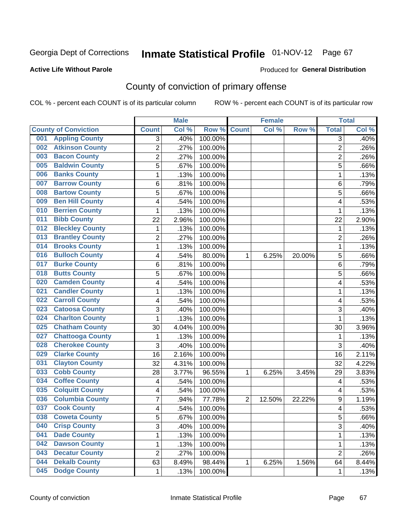### **Active Life Without Parole**

#### Produced for **General Distribution**

## County of conviction of primary offense

|                                |                | <b>Male</b> |                  |                | <b>Female</b> |        |                | <b>Total</b> |
|--------------------------------|----------------|-------------|------------------|----------------|---------------|--------|----------------|--------------|
| <b>County of Conviction</b>    | <b>Count</b>   | Col %       | Row <sup>%</sup> | <b>Count</b>   | Col %         | Row %  | <b>Total</b>   | Col %        |
| <b>Appling County</b><br>001   | 3              | .40%        | 100.00%          |                |               |        | 3              | .40%         |
| <b>Atkinson County</b><br>002  | $\overline{2}$ | .27%        | 100.00%          |                |               |        | $\overline{2}$ | .26%         |
| <b>Bacon County</b><br>003     | 2              | .27%        | 100.00%          |                |               |        | 2              | .26%         |
| <b>Baldwin County</b><br>005   | $\overline{5}$ | .67%        | 100.00%          |                |               |        | $\overline{5}$ | .66%         |
| <b>Banks County</b><br>006     | 1              | .13%        | 100.00%          |                |               |        | $\mathbf{1}$   | .13%         |
| <b>Barrow County</b><br>007    | 6              | .81%        | 100.00%          |                |               |        | 6              | .79%         |
| <b>Bartow County</b><br>008    | 5              | .67%        | 100.00%          |                |               |        | 5              | .66%         |
| <b>Ben Hill County</b><br>009  | 4              | .54%        | 100.00%          |                |               |        | 4              | .53%         |
| <b>Berrien County</b><br>010   | 1              | .13%        | 100.00%          |                |               |        | 1              | .13%         |
| <b>Bibb County</b><br>011      | 22             | $2.96\%$    | 100.00%          |                |               |        | 22             | 2.90%        |
| <b>Bleckley County</b><br>012  | 1              | .13%        | 100.00%          |                |               |        | 1              | .13%         |
| <b>Brantley County</b><br>013  | $\overline{2}$ | .27%        | 100.00%          |                |               |        | $\overline{2}$ | .26%         |
| <b>Brooks County</b><br>014    | 1              | .13%        | 100.00%          |                |               |        | $\mathbf{1}$   | .13%         |
| <b>Bulloch County</b><br>016   | 4              | .54%        | 80.00%           | 1              | 6.25%         | 20.00% | 5              | .66%         |
| <b>Burke County</b><br>017     | 6              | .81%        | 100.00%          |                |               |        | 6              | .79%         |
| <b>Butts County</b><br>018     | 5              | .67%        | 100.00%          |                |               |        | 5              | .66%         |
| <b>Camden County</b><br>020    | 4              | .54%        | 100.00%          |                |               |        | 4              | .53%         |
| <b>Candler County</b><br>021   | 1              | .13%        | 100.00%          |                |               |        | 1              | .13%         |
| <b>Carroll County</b><br>022   | 4              | .54%        | 100.00%          |                |               |        | 4              | .53%         |
| <b>Catoosa County</b><br>023   | 3              | .40%        | 100.00%          |                |               |        | 3              | .40%         |
| <b>Charlton County</b><br>024  | 1              | .13%        | 100.00%          |                |               |        | 1              | .13%         |
| <b>Chatham County</b><br>025   | 30             | 4.04%       | 100.00%          |                |               |        | 30             | 3.96%        |
| <b>Chattooga County</b><br>027 | 1              | .13%        | 100.00%          |                |               |        | 1              | .13%         |
| <b>Cherokee County</b><br>028  | 3              | .40%        | 100.00%          |                |               |        | 3              | .40%         |
| <b>Clarke County</b><br>029    | 16             | 2.16%       | 100.00%          |                |               |        | 16             | 2.11%        |
| <b>Clayton County</b><br>031   | 32             | 4.31%       | 100.00%          |                |               |        | 32             | 4.22%        |
| <b>Cobb County</b><br>033      | 28             | 3.77%       | 96.55%           | 1              | 6.25%         | 3.45%  | 29             | 3.83%        |
| <b>Coffee County</b><br>034    | 4              | .54%        | 100.00%          |                |               |        | 4              | .53%         |
| <b>Colquitt County</b><br>035  | 4              | .54%        | 100.00%          |                |               |        | 4              | .53%         |
| <b>Columbia County</b><br>036  | 7              | .94%        | 77.78%           | $\overline{2}$ | 12.50%        | 22.22% | 9              | 1.19%        |
| <b>Cook County</b><br>037      | 4              | .54%        | 100.00%          |                |               |        | 4              | .53%         |
| 038<br><b>Coweta County</b>    | 5              | .67%        | 100.00%          |                |               |        | 5              | .66%         |
| <b>Crisp County</b><br>040     | 3              | .40%        | 100.00%          |                |               |        | 3              | .40%         |
| 041<br><b>Dade County</b>      | 1              | .13%        | 100.00%          |                |               |        | $\mathbf{1}$   | .13%         |
| <b>Dawson County</b><br>042    | 1              | .13%        | 100.00%          |                |               |        | 1              | .13%         |
| <b>Decatur County</b><br>043   | $\overline{2}$ | .27%        | 100.00%          |                |               |        | $\overline{2}$ | .26%         |
| <b>Dekalb County</b><br>044    | 63             | 8.49%       | 98.44%           | 1              | 6.25%         | 1.56%  | 64             | 8.44%        |
| <b>Dodge County</b><br>045     | $\mathbf 1$    | .13%        | 100.00%          |                |               |        | 1              | .13%         |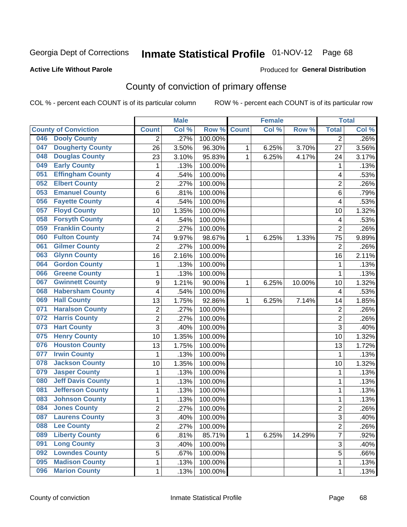#### **Active Life Without Parole**

#### Produced for **General Distribution**

## County of conviction of primary offense

|                             |                          |                | <b>Male</b> |         |              | <b>Female</b> |        |                | <b>Total</b> |
|-----------------------------|--------------------------|----------------|-------------|---------|--------------|---------------|--------|----------------|--------------|
| <b>County of Conviction</b> |                          | <b>Count</b>   | Col %       | Row %   | <b>Count</b> | Col %         | Row %  | <b>Total</b>   | Col %        |
| <b>Dooly County</b><br>046  |                          | 2              | .27%        | 100.00% |              |               |        | $\overline{2}$ | $.26\%$      |
| 047                         | <b>Dougherty County</b>  | 26             | 3.50%       | 96.30%  | 1            | 6.25%         | 3.70%  | 27             | 3.56%        |
| 048                         | <b>Douglas County</b>    | 23             | 3.10%       | 95.83%  | 1            | 6.25%         | 4.17%  | 24             | 3.17%        |
| <b>Early County</b><br>049  |                          | 1              | .13%        | 100.00% |              |               |        | 1              | .13%         |
| 051                         | <b>Effingham County</b>  | 4              | .54%        | 100.00% |              |               |        | 4              | .53%         |
| <b>Elbert County</b><br>052 |                          | $\overline{2}$ | .27%        | 100.00% |              |               |        | $\overline{2}$ | .26%         |
| 053                         | <b>Emanuel County</b>    | 6              | .81%        | 100.00% |              |               |        | 6              | .79%         |
| 056                         | <b>Fayette County</b>    | 4              | .54%        | 100.00% |              |               |        | 4              | .53%         |
| <b>Floyd County</b><br>057  |                          | 10             | 1.35%       | 100.00% |              |               |        | 10             | 1.32%        |
| 058                         | <b>Forsyth County</b>    | 4              | .54%        | 100.00% |              |               |        | 4              | .53%         |
| 059                         | <b>Franklin County</b>   | $\overline{2}$ | .27%        | 100.00% |              |               |        | $\overline{2}$ | .26%         |
| <b>Fulton County</b><br>060 |                          | 74             | 9.97%       | 98.67%  | 1            | 6.25%         | 1.33%  | 75             | 9.89%        |
| <b>Gilmer County</b><br>061 |                          | $\overline{2}$ | .27%        | 100.00% |              |               |        | $\overline{2}$ | .26%         |
| <b>Glynn County</b><br>063  |                          | 16             | 2.16%       | 100.00% |              |               |        | 16             | 2.11%        |
| 064                         | <b>Gordon County</b>     | $\mathbf{1}$   | .13%        | 100.00% |              |               |        | 1              | .13%         |
| 066                         | <b>Greene County</b>     | $\mathbf{1}$   | .13%        | 100.00% |              |               |        | 1              | .13%         |
| 067                         | <b>Gwinnett County</b>   | 9              | 1.21%       | 90.00%  | 1            | 6.25%         | 10.00% | 10             | 1.32%        |
| 068                         | <b>Habersham County</b>  | 4              | .54%        | 100.00% |              |               |        | 4              | .53%         |
| <b>Hall County</b><br>069   |                          | 13             | 1.75%       | 92.86%  | 1            | 6.25%         | 7.14%  | 14             | 1.85%        |
| 071                         | <b>Haralson County</b>   | $\overline{c}$ | .27%        | 100.00% |              |               |        | $\overline{c}$ | .26%         |
| <b>Harris County</b><br>072 |                          | 2              | .27%        | 100.00% |              |               |        | $\overline{2}$ | .26%         |
| <b>Hart County</b><br>073   |                          | 3              | .40%        | 100.00% |              |               |        | $\overline{3}$ | .40%         |
| <b>Henry County</b><br>075  |                          | 10             | 1.35%       | 100.00% |              |               |        | 10             | 1.32%        |
| 076                         | <b>Houston County</b>    | 13             | 1.75%       | 100.00% |              |               |        | 13             | 1.72%        |
| <b>Irwin County</b><br>077  |                          | $\mathbf{1}$   | .13%        | 100.00% |              |               |        | $\mathbf{1}$   | .13%         |
| 078                         | <b>Jackson County</b>    | 10             | 1.35%       | 100.00% |              |               |        | 10             | 1.32%        |
| <b>Jasper County</b><br>079 |                          | $\mathbf{1}$   | .13%        | 100.00% |              |               |        | 1              | .13%         |
| 080                         | <b>Jeff Davis County</b> | $\mathbf{1}$   | .13%        | 100.00% |              |               |        | $\mathbf{1}$   | .13%         |
| 081                         | <b>Jefferson County</b>  | $\mathbf{1}$   | .13%        | 100.00% |              |               |        | $\mathbf{1}$   | .13%         |
| 083                         | <b>Johnson County</b>    | $\mathbf{1}$   | .13%        | 100.00% |              |               |        | $\mathbf{1}$   | .13%         |
| <b>Jones County</b><br>084  |                          | $\overline{2}$ | .27%        | 100.00% |              |               |        | $\overline{2}$ | .26%         |
| 087                         | <b>Laurens County</b>    | 3              | .40%        | 100.00% |              |               |        | 3              | .40%         |
| <b>Lee County</b><br>088    |                          | $\overline{2}$ | .27%        | 100.00% |              |               |        | $\overline{2}$ | .26%         |
| 089                         | <b>Liberty County</b>    | 6              | .81%        | 85.71%  | 1            | 6.25%         | 14.29% | $\overline{7}$ | .92%         |
| <b>Long County</b><br>091   |                          | $\overline{3}$ | .40%        | 100.00% |              |               |        | $\overline{3}$ | .40%         |
| 092                         | <b>Lowndes County</b>    | 5              | .67%        | 100.00% |              |               |        | 5              | .66%         |
| 095                         | <b>Madison County</b>    | 1              | .13%        | 100.00% |              |               |        | $\mathbf{1}$   | .13%         |
| <b>Marion County</b><br>096 |                          | $\mathbf 1$    | .13%        | 100.00% |              |               |        | 1              | .13%         |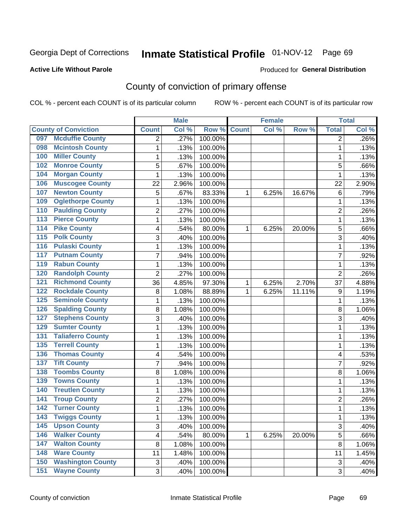#### **Active Life Without Parole**

#### Produced for **General Distribution**

## County of conviction of primary offense

|                  |                             |                           | <b>Male</b> |         |              | <b>Female</b> |        |                           | <b>Total</b> |
|------------------|-----------------------------|---------------------------|-------------|---------|--------------|---------------|--------|---------------------------|--------------|
|                  | <b>County of Conviction</b> | <b>Count</b>              | Col %       | Row %   | <b>Count</b> | Col %         | Row %  | <b>Total</b>              | Col %        |
| 097              | <b>Mcduffie County</b>      | 2                         | .27%        | 100.00% |              |               |        | 2                         | .26%         |
| 098              | <b>Mcintosh County</b>      | 1                         | .13%        | 100.00% |              |               |        | 1                         | .13%         |
| 100              | <b>Miller County</b>        | $\mathbf{1}$              | .13%        | 100.00% |              |               |        | 1                         | .13%         |
| 102              | <b>Monroe County</b>        | 5                         | .67%        | 100.00% |              |               |        | 5                         | .66%         |
| 104              | <b>Morgan County</b>        | 1                         | .13%        | 100.00% |              |               |        | 1                         | .13%         |
| 106              | <b>Muscogee County</b>      | 22                        | 2.96%       | 100.00% |              |               |        | 22                        | 2.90%        |
| 107              | <b>Newton County</b>        | 5                         | .67%        | 83.33%  | 1            | 6.25%         | 16.67% | 6                         | .79%         |
| 109              | <b>Oglethorpe County</b>    | $\mathbf{1}$              | .13%        | 100.00% |              |               |        | 1                         | .13%         |
| 110              | <b>Paulding County</b>      | 2                         | .27%        | 100.00% |              |               |        | $\overline{2}$            | .26%         |
| 113              | <b>Pierce County</b>        | 1                         | .13%        | 100.00% |              |               |        | 1                         | .13%         |
| $\overline{114}$ | <b>Pike County</b>          | 4                         | .54%        | 80.00%  | 1            | 6.25%         | 20.00% | 5                         | .66%         |
| 115              | <b>Polk County</b>          | 3                         | .40%        | 100.00% |              |               |        | $\overline{3}$            | .40%         |
| 116              | <b>Pulaski County</b>       | 1                         | .13%        | 100.00% |              |               |        | 1                         | .13%         |
| 117              | <b>Putnam County</b>        | $\overline{7}$            | .94%        | 100.00% |              |               |        | $\overline{7}$            | .92%         |
| 119              | <b>Rabun County</b>         | $\mathbf{1}$              | .13%        | 100.00% |              |               |        | 1                         | .13%         |
| 120              | <b>Randolph County</b>      | $\overline{2}$            | .27%        | 100.00% |              |               |        | $\overline{2}$            | .26%         |
| 121              | <b>Richmond County</b>      | 36                        | 4.85%       | 97.30%  | 1            | 6.25%         | 2.70%  | 37                        | 4.88%        |
| 122              | <b>Rockdale County</b>      | 8                         | 1.08%       | 88.89%  | 1            | 6.25%         | 11.11% | 9                         | 1.19%        |
| 125              | <b>Seminole County</b>      | 1                         | .13%        | 100.00% |              |               |        | 1                         | .13%         |
| 126              | <b>Spalding County</b>      | 8                         | 1.08%       | 100.00% |              |               |        | 8                         | 1.06%        |
| 127              | <b>Stephens County</b>      | 3                         | .40%        | 100.00% |              |               |        | 3                         | .40%         |
| 129              | <b>Sumter County</b>        | 1                         | .13%        | 100.00% |              |               |        | 1                         | .13%         |
| 131              | <b>Taliaferro County</b>    | $\mathbf{1}$              | .13%        | 100.00% |              |               |        | 1                         | .13%         |
| 135              | <b>Terrell County</b>       | $\mathbf{1}$              | .13%        | 100.00% |              |               |        | 1                         | .13%         |
| 136              | <b>Thomas County</b>        | 4                         | .54%        | 100.00% |              |               |        | 4                         | .53%         |
| 137              | <b>Tift County</b>          | 7                         | .94%        | 100.00% |              |               |        | 7                         | .92%         |
| 138              | <b>Toombs County</b>        | 8                         | 1.08%       | 100.00% |              |               |        | 8                         | 1.06%        |
| 139              | <b>Towns County</b>         | 1                         | .13%        | 100.00% |              |               |        | 1                         | .13%         |
| 140              | <b>Treutlen County</b>      | 1                         | .13%        | 100.00% |              |               |        | 1                         | .13%         |
| 141              | <b>Troup County</b>         | $\overline{2}$            | .27%        | 100.00% |              |               |        | $\overline{2}$            | .26%         |
| 142              | <b>Turner County</b>        | 1                         | .13%        | 100.00% |              |               |        | 1                         | .13%         |
| 143              | <b>Twiggs County</b>        | 1                         | .13%        | 100.00% |              |               |        | 1                         | .13%         |
| 145              | <b>Upson County</b>         | 3                         | .40%        | 100.00% |              |               |        | 3                         | .40%         |
| 146              | <b>Walker County</b>        | 4                         | .54%        | 80.00%  | 1            | 6.25%         | 20.00% | 5                         | .66%         |
| 147              | <b>Walton County</b>        | 8                         | 1.08%       | 100.00% |              |               |        | 8                         | 1.06%        |
| 148              | <b>Ware County</b>          | 11                        | 1.48%       | 100.00% |              |               |        | 11                        | 1.45%        |
| 150              | <b>Washington County</b>    | $\ensuremath{\mathsf{3}}$ | .40%        | 100.00% |              |               |        | $\ensuremath{\mathsf{3}}$ | .40%         |
| 151              | <b>Wayne County</b>         | $\overline{3}$            | .40%        | 100.00% |              |               |        | 3                         | .40%         |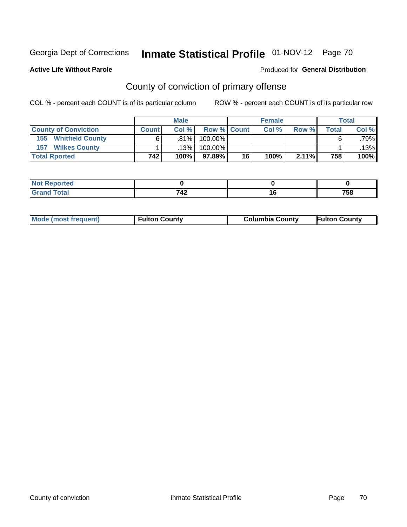#### **Active Life Without Parole**

#### Produced for **General Distribution**

## County of conviction of primary offense

|                                |              | <b>Male</b> |                    |    | <b>Female</b> |          |              | <b>Total</b> |
|--------------------------------|--------------|-------------|--------------------|----|---------------|----------|--------------|--------------|
| <b>County of Conviction</b>    | <b>Count</b> | Col %       | <b>Row % Count</b> |    | Col %         | Row %    | <b>Total</b> | Col %        |
| <b>Whitfield County</b><br>155 |              | $.81\%$     | 100.00%            |    |               |          |              | .79%         |
| <b>Wilkes County</b><br>157    |              | .13% '      | 100.00%            |    |               |          |              | .13%         |
| <b>Total Rported</b>           | 742          | 100%        | 97.89% I           | 16 | 100%          | $2.11\%$ | 758          | 100%         |

| τeα                                |              |      |
|------------------------------------|--------------|------|
| _                                  | 710          | ---  |
| $\sim$ $\sim$ $\sim$ $\sim$ $\sim$ | $\mathbf{r}$ | סכ י |

| <b>Mode (most frequent)</b> | <b>Fulton County</b> | <b>Columbia County</b> | <b>Fulton County</b> |
|-----------------------------|----------------------|------------------------|----------------------|
|                             |                      |                        |                      |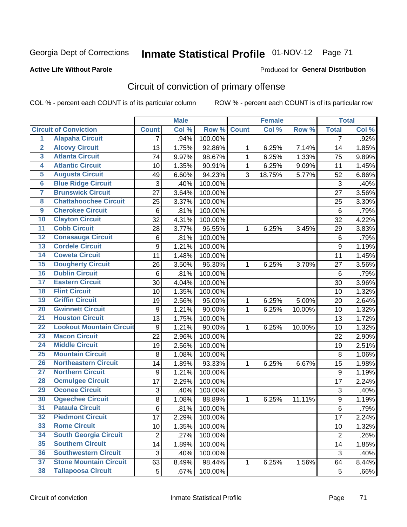### **Active Life Without Parole**

#### Produced for **General Distribution**

## Circuit of conviction of primary offense

|                         |                                 |                | <b>Male</b> |         |              | <b>Female</b> |        |                  | <b>Total</b> |
|-------------------------|---------------------------------|----------------|-------------|---------|--------------|---------------|--------|------------------|--------------|
|                         | <b>Circuit of Conviction</b>    | <b>Count</b>   | Col %       | Row %   | <b>Count</b> | Col %         | Row %  | <b>Total</b>     | Col %        |
| 1                       | <b>Alapaha Circuit</b>          | 7              | .94%        | 100.00% |              |               |        | 7                | .92%         |
| $\overline{2}$          | <b>Alcovy Circuit</b>           | 13             | 1.75%       | 92.86%  | 1            | 6.25%         | 7.14%  | 14               | 1.85%        |
| $\overline{\mathbf{3}}$ | <b>Atlanta Circuit</b>          | 74             | 9.97%       | 98.67%  | $\mathbf{1}$ | 6.25%         | 1.33%  | 75               | 9.89%        |
| 4                       | <b>Atlantic Circuit</b>         | 10             | 1.35%       | 90.91%  | $\mathbf{1}$ | 6.25%         | 9.09%  | 11               | 1.45%        |
| $\overline{5}$          | <b>Augusta Circuit</b>          | 49             | 6.60%       | 94.23%  | 3            | 18.75%        | 5.77%  | 52               | 6.86%        |
| $\overline{6}$          | <b>Blue Ridge Circuit</b>       | 3              | .40%        | 100.00% |              |               |        | 3                | .40%         |
| 7                       | <b>Brunswick Circuit</b>        | 27             | 3.64%       | 100.00% |              |               |        | 27               | 3.56%        |
| $\overline{\mathbf{8}}$ | <b>Chattahoochee Circuit</b>    | 25             | 3.37%       | 100.00% |              |               |        | 25               | 3.30%        |
| $\overline{9}$          | <b>Cherokee Circuit</b>         | 6              | .81%        | 100.00% |              |               |        | 6                | .79%         |
| 10                      | <b>Clayton Circuit</b>          | 32             | 4.31%       | 100.00% |              |               |        | 32               | 4.22%        |
| $\overline{11}$         | <b>Cobb Circuit</b>             | 28             | 3.77%       | 96.55%  | 1            | 6.25%         | 3.45%  | 29               | 3.83%        |
| $\overline{12}$         | <b>Conasauga Circuit</b>        | 6              | .81%        | 100.00% |              |               |        | 6                | .79%         |
| $\overline{13}$         | <b>Cordele Circuit</b>          | 9              | 1.21%       | 100.00% |              |               |        | $\boldsymbol{9}$ | 1.19%        |
| $\overline{14}$         | <b>Coweta Circuit</b>           | 11             | 1.48%       | 100.00% |              |               |        | 11               | 1.45%        |
| $\overline{15}$         | <b>Dougherty Circuit</b>        | 26             | 3.50%       | 96.30%  | 1            | 6.25%         | 3.70%  | 27               | 3.56%        |
| $\overline{16}$         | <b>Dublin Circuit</b>           | 6              | .81%        | 100.00% |              |               |        | $\,6$            | .79%         |
| $\overline{17}$         | <b>Eastern Circuit</b>          | 30             | 4.04%       | 100.00% |              |               |        | 30               | 3.96%        |
| 18                      | <b>Flint Circuit</b>            | 10             | 1.35%       | 100.00% |              |               |        | 10               | 1.32%        |
| 19                      | <b>Griffin Circuit</b>          | 19             | 2.56%       | 95.00%  | 1            | 6.25%         | 5.00%  | 20               | 2.64%        |
| $\overline{20}$         | <b>Gwinnett Circuit</b>         | 9              | 1.21%       | 90.00%  | 1            | 6.25%         | 10.00% | 10               | 1.32%        |
| $\overline{21}$         | <b>Houston Circuit</b>          | 13             | 1.75%       | 100.00% |              |               |        | 13               | 1.72%        |
| $\overline{22}$         | <b>Lookout Mountain Circuit</b> | 9              | 1.21%       | 90.00%  | $\mathbf{1}$ | 6.25%         | 10.00% | 10               | 1.32%        |
| 23                      | <b>Macon Circuit</b>            | 22             | 2.96%       | 100.00% |              |               |        | 22               | 2.90%        |
| $\overline{24}$         | <b>Middle Circuit</b>           | 19             | 2.56%       | 100.00% |              |               |        | 19               | 2.51%        |
| $\overline{25}$         | <b>Mountain Circuit</b>         | 8              | 1.08%       | 100.00% |              |               |        | 8                | 1.06%        |
| 26                      | <b>Northeastern Circuit</b>     | 14             | 1.89%       | 93.33%  | 1            | 6.25%         | 6.67%  | 15               | 1.98%        |
| $\overline{27}$         | <b>Northern Circuit</b>         | 9              | 1.21%       | 100.00% |              |               |        | $\boldsymbol{9}$ | 1.19%        |
| 28                      | <b>Ocmulgee Circuit</b>         | 17             | 2.29%       | 100.00% |              |               |        | 17               | 2.24%        |
| 29                      | <b>Oconee Circuit</b>           | 3              | .40%        | 100.00% |              |               |        | 3                | .40%         |
| 30                      | <b>Ogeechee Circuit</b>         | $\bf 8$        | 1.08%       | 88.89%  | 1            | 6.25%         | 11.11% | $\boldsymbol{9}$ | 1.19%        |
| $\overline{31}$         | <b>Pataula Circuit</b>          | 6              | .81%        | 100.00% |              |               |        | 6                | .79%         |
| 32                      | <b>Piedmont Circuit</b>         | 17             | 2.29%       | 100.00% |              |               |        | 17               | 2.24%        |
| 33                      | <b>Rome Circuit</b>             | 10             | 1.35%       | 100.00% |              |               |        | 10               | 1.32%        |
| 34                      | <b>South Georgia Circuit</b>    | $\overline{2}$ | .27%        | 100.00% |              |               |        | $\overline{2}$   | .26%         |
| 35                      | <b>Southern Circuit</b>         | 14             | 1.89%       | 100.00% |              |               |        | 14               | 1.85%        |
| 36                      | <b>Southwestern Circuit</b>     | 3              | .40%        | 100.00% |              |               |        | 3                | .40%         |
| 37                      | <b>Stone Mountain Circuit</b>   | 63             | 8.49%       | 98.44%  | 1            | 6.25%         | 1.56%  | 64               | 8.44%        |
| 38                      | <b>Tallapoosa Circuit</b>       | 5              | .67%        | 100.00% |              |               |        | 5                | .66%         |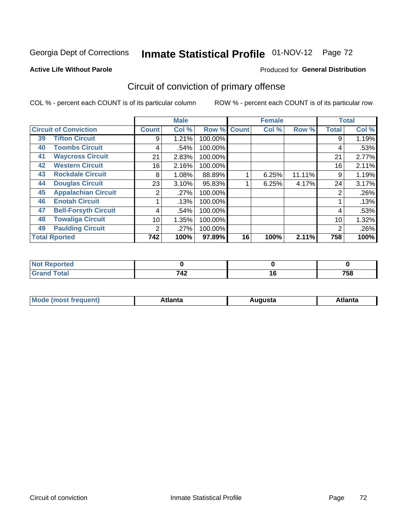#### **Active Life Without Parole**

#### Produced for **General Distribution**

## Circuit of conviction of primary offense

|    |                              |              | <b>Male</b> |         |              | <b>Female</b> |        |              | <b>Total</b> |
|----|------------------------------|--------------|-------------|---------|--------------|---------------|--------|--------------|--------------|
|    | <b>Circuit of Conviction</b> | <b>Count</b> | Col %       | Row %   | <b>Count</b> | Col %         | Row %  | <b>Total</b> | Col %        |
| 39 | <b>Tifton Circuit</b>        | 9            | 1.21%       | 100.00% |              |               |        | 9            | 1.19%        |
| 40 | <b>Toombs Circuit</b>        | 4            | .54%        | 100.00% |              |               |        | 4            | .53%         |
| 41 | <b>Waycross Circuit</b>      | 21           | 2.83%       | 100.00% |              |               |        | 21           | 2.77%        |
| 42 | <b>Western Circuit</b>       | 16           | 2.16%       | 100.00% |              |               |        | 16           | 2.11%        |
| 43 | <b>Rockdale Circuit</b>      | 8            | 1.08%       | 88.89%  |              | 6.25%         | 11.11% | 9            | 1.19%        |
| 44 | <b>Douglas Circuit</b>       | 23           | 3.10%       | 95.83%  |              | 6.25%         | 4.17%  | 24           | 3.17%        |
| 45 | <b>Appalachian Circuit</b>   | 2            | .27%        | 100.00% |              |               |        | 2            | .26%         |
| 46 | <b>Enotah Circuit</b>        |              | .13%        | 100.00% |              |               |        |              | .13%         |
| 47 | <b>Bell-Forsyth Circuit</b>  | 4            | .54%        | 100.00% |              |               |        | 4            | .53%         |
| 48 | <b>Towaliga Circuit</b>      | 10           | 1.35%       | 100.00% |              |               |        | 10           | 1.32%        |
| 49 | <b>Paulding Circuit</b>      | 2            | .27%        | 100.00% |              |               |        | 2            | .26%         |
|    | <b>Total Rported</b>         | 742          | 100%        | 97.89%  | 16           | 100%          | 2.11%  | 758          | 100%         |

| rtea                  |          |            |
|-----------------------|----------|------------|
| <b>otal</b><br>$\sim$ | フィつ<br>. | ---<br>/୦୪ |

| М<br>. Innás<br>.<br>.<br>wanta<br>Πū<br>31.<br>$\sim$ $\sim$ $\sim$ |
|----------------------------------------------------------------------|
|----------------------------------------------------------------------|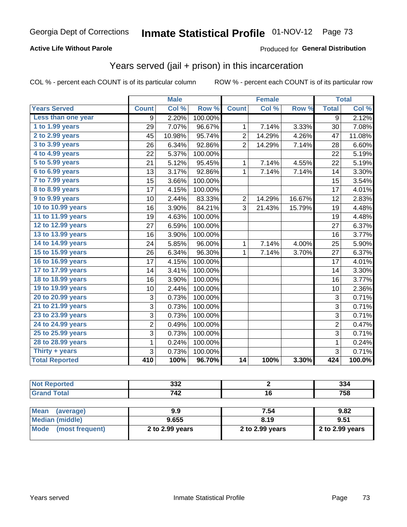### **Active Life Without Parole**

#### Produced for **General Distribution**

## Years served (jail + prison) in this incarceration

|                        | <b>Male</b>    |        |         | <b>Female</b>   |        |        | <b>Total</b>   |        |
|------------------------|----------------|--------|---------|-----------------|--------|--------|----------------|--------|
| <b>Years Served</b>    | <b>Count</b>   | Col %  | Row %   | <b>Count</b>    | Col %  | Row %  | <b>Total</b>   | Col %  |
| Less than one year     | 9              | 2.20%  | 100.00% |                 |        |        | 9              | 2.12%  |
| 1 to 1.99 years        | 29             | 7.07%  | 96.67%  | 1               | 7.14%  | 3.33%  | 30             | 7.08%  |
| 2 to 2.99 years        | 45             | 10.98% | 95.74%  | $\overline{c}$  | 14.29% | 4.26%  | 47             | 11.08% |
| 3 to 3.99 years        | 26             | 6.34%  | 92.86%  | $\overline{2}$  | 14.29% | 7.14%  | 28             | 6.60%  |
| 4 to 4.99 years        | 22             | 5.37%  | 100.00% |                 |        |        | 22             | 5.19%  |
| 5 to 5.99 years        | 21             | 5.12%  | 95.45%  | 1               | 7.14%  | 4.55%  | 22             | 5.19%  |
| 6 to 6.99 years        | 13             | 3.17%  | 92.86%  | 1               | 7.14%  | 7.14%  | 14             | 3.30%  |
| 7 to 7.99 years        | 15             | 3.66%  | 100.00% |                 |        |        | 15             | 3.54%  |
| <b>8 to 8.99 years</b> | 17             | 4.15%  | 100.00% |                 |        |        | 17             | 4.01%  |
| 9 to 9.99 years        | 10             | 2.44%  | 83.33%  | $\overline{2}$  | 14.29% | 16.67% | 12             | 2.83%  |
| 10 to 10.99 years      | 16             | 3.90%  | 84.21%  | 3               | 21.43% | 15.79% | 19             | 4.48%  |
| 11 to 11.99 years      | 19             | 4.63%  | 100.00% |                 |        |        | 19             | 4.48%  |
| 12 to 12.99 years      | 27             | 6.59%  | 100.00% |                 |        |        | 27             | 6.37%  |
| 13 to 13.99 years      | 16             | 3.90%  | 100.00% |                 |        |        | 16             | 3.77%  |
| 14 to 14.99 years      | 24             | 5.85%  | 96.00%  | 1               | 7.14%  | 4.00%  | 25             | 5.90%  |
| 15 to 15.99 years      | 26             | 6.34%  | 96.30%  | 1               | 7.14%  | 3.70%  | 27             | 6.37%  |
| 16 to 16.99 years      | 17             | 4.15%  | 100.00% |                 |        |        | 17             | 4.01%  |
| 17 to 17.99 years      | 14             | 3.41%  | 100.00% |                 |        |        | 14             | 3.30%  |
| 18 to 18.99 years      | 16             | 3.90%  | 100.00% |                 |        |        | 16             | 3.77%  |
| 19 to 19.99 years      | 10             | 2.44%  | 100.00% |                 |        |        | 10             | 2.36%  |
| 20 to 20.99 years      | 3              | 0.73%  | 100.00% |                 |        |        | 3              | 0.71%  |
| 21 to 21.99 years      | 3              | 0.73%  | 100.00% |                 |        |        | $\overline{3}$ | 0.71%  |
| 23 to 23.99 years      | 3              | 0.73%  | 100.00% |                 |        |        | $\overline{3}$ | 0.71%  |
| 24 to 24.99 years      | $\overline{2}$ | 0.49%  | 100.00% |                 |        |        | $\overline{2}$ | 0.47%  |
| 25 to 25.99 years      | 3              | 0.73%  | 100.00% |                 |        |        | 3              | 0.71%  |
| 28 to 28.99 years      | $\mathbf 1$    | 0.24%  | 100.00% |                 |        |        | $\mathbf 1$    | 0.24%  |
| Thirty $+$ years       | 3              | 0.73%  | 100.00% |                 |        |        | 3              | 0.71%  |
| <b>Total Reported</b>  | 410            | 100%   | 96.70%  | $\overline{14}$ | 100%   | 3.30%  | 424            | 100.0% |

| <b>Not Reported</b>      | 332             |                 | 334             |
|--------------------------|-----------------|-----------------|-----------------|
| <b>Grand Total</b>       | 742             | 16              | 758             |
|                          |                 |                 |                 |
| <b>Mean</b><br>(average) | 9.9             | 7.54            | 9.82            |
| Median (middle)          | 9.655           | 8.19            | 9.51            |
| Mode<br>(most frequent)  | 2 to 2.99 years | 2 to 2.99 years | 2 to 2.99 years |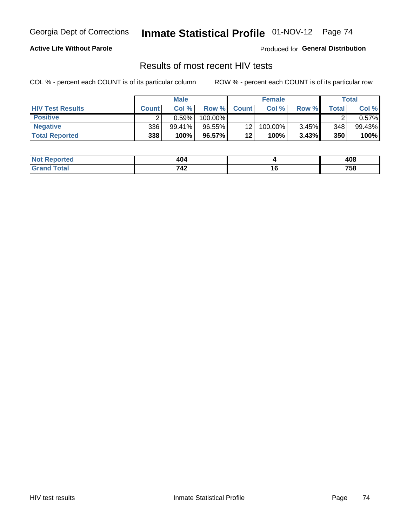#### **Active Life Without Parole**

Produced for **General Distribution**

## Results of most recent HIV tests

|                         |              | <b>Male</b> |         |                 | <b>Female</b> |       |             | Total  |
|-------------------------|--------------|-------------|---------|-----------------|---------------|-------|-------------|--------|
| <b>HIV Test Results</b> | <b>Count</b> | Col%        | Row %I  | <b>Count</b>    | Col %         | Row % | $\tau$ otal | Col %  |
| <b>Positive</b>         |              | 0.59%       | 100.00% |                 |               |       |             | 0.57%  |
| <b>Negative</b>         | 336          | $99.41\%$   | 96.55%  | 12 <sup>2</sup> | 100.00%       | 3.45% | 348         | 99.43% |
| <b>Total Reported</b>   | 338          | 100%        | 96.57%  | 12              | 100%          | 3.43% | 350         | 100%   |

| <b>Not Reported</b> | 404 |        | 408 |
|---------------------|-----|--------|-----|
| int<br>Grr          | 742 | $\sim$ | 758 |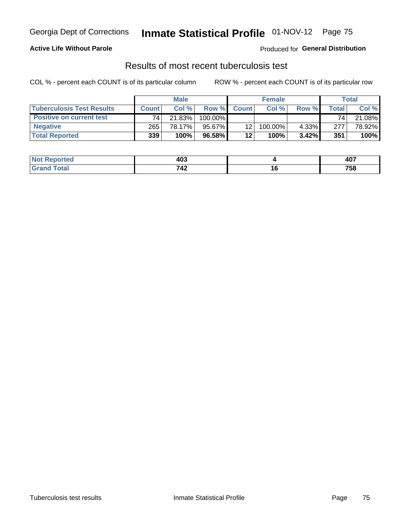### **Active Life Without Parole**

Produced for **General Distribution**

### Results of most recent tuberculosis test

|                                  |              | <b>Male</b> |         |              | <b>Female</b> |        |       | Total  |
|----------------------------------|--------------|-------------|---------|--------------|---------------|--------|-------|--------|
| <b>Tuberculosis Test Results</b> | <b>Count</b> | Col%        | Row %   | <b>Count</b> | Col %         | Row %I | Total | Col %  |
| <b>Positive on current test</b>  | 74           | 21.83%      | 100.00% |              |               |        | 74    | 21.08% |
| <b>Negative</b>                  | 265          | 78.17%      | 95.67%  | 12           | 100.00%       | 4.33%  | 277   | 78.92% |
| <b>Total Reported</b>            | 339          | $100\%$     | 96.58%  | 12           | 100%          | 3.42%  | 351   | 100%   |

| <b>Not Reported</b> | 403                    |               | <b>ANT</b><br>TV. |
|---------------------|------------------------|---------------|-------------------|
| `otal               | 71 <sup>c</sup><br>-74 | . v<br>$\sim$ | 758               |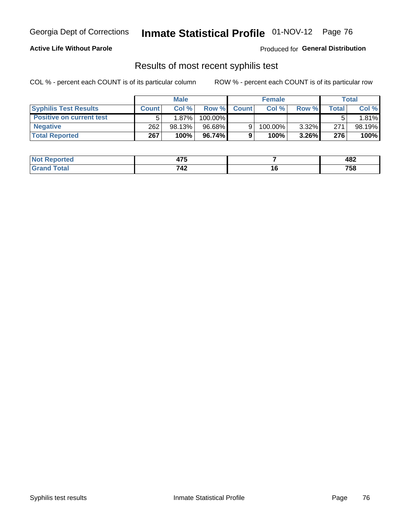#### **Active Life Without Parole**

Produced for **General Distribution**

## Results of most recent syphilis test

|                                 |              | <b>Male</b> |          |              | <b>Female</b> |          |       | Total  |
|---------------------------------|--------------|-------------|----------|--------------|---------------|----------|-------|--------|
| <b>Syphilis Test Results</b>    | <b>Count</b> | Col%        | Row %    | <b>Count</b> | Col %         | Row %I   | Total | Col %  |
| <b>Positive on current test</b> |              | $1.87\%$    | 100.00%  |              |               |          |       | 1.81%  |
| <b>Negative</b>                 | 262          | 98.13%      | 96.68%   |              | 100.00%       | $3.32\%$ | 271   | 98.19% |
| <b>Total Reported</b>           | 267          | 100%        | 96.74% I |              | 100%          | $3.26\%$ | 276   | 100%   |

| <b>Not Reported</b> | $\rightarrow$ |        | 482 |
|---------------------|---------------|--------|-----|
| <b>Total</b>        | 712<br>- 74   | $\sim$ | 758 |